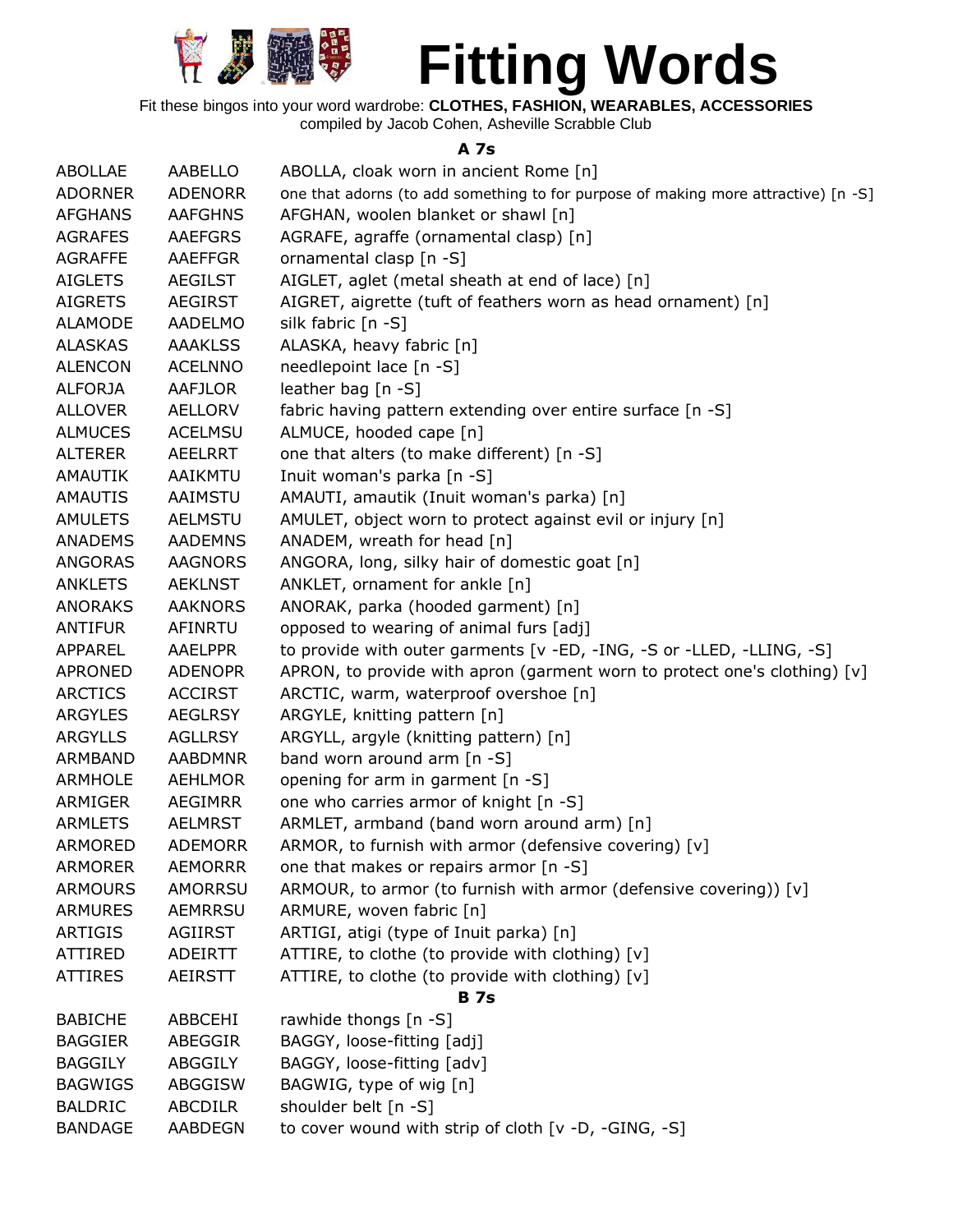

Fit these bingos into your word wardrobe: **CLOTHES, FASHION, WEARABLES, ACCESSORIES** compiled by Jacob Cohen, Asheville Scrabble Club

**A 7s**

| <b>ABOLLAE</b> | AABELLO        | ABOLLA, cloak worn in ancient Rome [n]                                             |
|----------------|----------------|------------------------------------------------------------------------------------|
| <b>ADORNER</b> | <b>ADENORR</b> | one that adorns (to add something to for purpose of making more attractive) [n -S] |
| <b>AFGHANS</b> | <b>AAFGHNS</b> | AFGHAN, woolen blanket or shawl [n]                                                |
| <b>AGRAFES</b> | <b>AAEFGRS</b> | AGRAFE, agraffe (ornamental clasp) [n]                                             |
| <b>AGRAFFE</b> | <b>AAEFFGR</b> | ornamental clasp [n -S]                                                            |
| <b>AIGLETS</b> | <b>AEGILST</b> | AIGLET, aglet (metal sheath at end of lace) [n]                                    |
| <b>AIGRETS</b> | <b>AEGIRST</b> | AIGRET, aigrette (tuft of feathers worn as head ornament) [n]                      |
| <b>ALAMODE</b> | AADELMO        | silk fabric [n -S]                                                                 |
| <b>ALASKAS</b> | <b>AAAKLSS</b> | ALASKA, heavy fabric [n]                                                           |
| <b>ALENCON</b> | <b>ACELNNO</b> | needlepoint lace [n -S]                                                            |
| <b>ALFORJA</b> | AAFJLOR        | leather bag $[n - S]$                                                              |
| <b>ALLOVER</b> | <b>AELLORV</b> | fabric having pattern extending over entire surface [n -S]                         |
| <b>ALMUCES</b> | <b>ACELMSU</b> | ALMUCE, hooded cape [n]                                                            |
| <b>ALTERER</b> | AEELRRT        | one that alters (to make different) [n -S]                                         |
| AMAUTIK        | AAIKMTU        | Inuit woman's parka [n -S]                                                         |
| <b>AMAUTIS</b> | AAIMSTU        | AMAUTI, amautik (Inuit woman's parka) [n]                                          |
| <b>AMULETS</b> | <b>AELMSTU</b> | AMULET, object worn to protect against evil or injury [n]                          |
| <b>ANADEMS</b> | <b>AADEMNS</b> | ANADEM, wreath for head [n]                                                        |
| ANGORAS        | <b>AAGNORS</b> | ANGORA, long, silky hair of domestic goat [n]                                      |
| <b>ANKLETS</b> | <b>AEKLNST</b> | ANKLET, ornament for ankle [n]                                                     |
| <b>ANORAKS</b> | <b>AAKNORS</b> | ANORAK, parka (hooded garment) [n]                                                 |
| <b>ANTIFUR</b> | AFINRTU        | opposed to wearing of animal furs [adj]                                            |
| APPAREL        | <b>AAELPPR</b> | to provide with outer garments [v -ED, -ING, -S or -LLED, -LLING, -S]              |
| <b>APRONED</b> | <b>ADENOPR</b> | APRON, to provide with apron (garment worn to protect one's clothing) $[v]$        |
| <b>ARCTICS</b> | <b>ACCIRST</b> | ARCTIC, warm, waterproof overshoe [n]                                              |
| <b>ARGYLES</b> | <b>AEGLRSY</b> | ARGYLE, knitting pattern [n]                                                       |
| <b>ARGYLLS</b> | <b>AGLLRSY</b> | ARGYLL, argyle (knitting pattern) [n]                                              |
| ARMBAND        | <b>AABDMNR</b> | band worn around arm [n -S]                                                        |
| <b>ARMHOLE</b> | <b>AEHLMOR</b> | opening for arm in garment [n -S]                                                  |
| ARMIGER        | AEGIMRR        | one who carries armor of knight [n -S]                                             |
| <b>ARMLETS</b> | <b>AELMRST</b> | ARMLET, armband (band worn around arm) [n]                                         |
| <b>ARMORED</b> | <b>ADEMORR</b> | ARMOR, to furnish with armor (defensive covering) [v]                              |
| ARMORER        | <b>AEMORRR</b> | one that makes or repairs armor [n -S]                                             |
| <b>ARMOURS</b> | <b>AMORRSU</b> | ARMOUR, to armor (to furnish with armor (defensive covering)) [v]                  |
| <b>ARMURES</b> | <b>AEMRRSU</b> | ARMURE, woven fabric [n]                                                           |
| <b>ARTIGIS</b> | <b>AGIIRST</b> | ARTIGI, atigi (type of Inuit parka) [n]                                            |
| <b>ATTIRED</b> | <b>ADEIRTT</b> | ATTIRE, to clothe (to provide with clothing) [v]                                   |
| <b>ATTIRES</b> | <b>AEIRSTT</b> | ATTIRE, to clothe (to provide with clothing) [v]                                   |
|                |                | <b>B</b> 7s                                                                        |
| <b>BABICHE</b> | ABBCEHI        | rawhide thongs [n -S]                                                              |
| <b>BAGGIER</b> | ABEGGIR        | BAGGY, loose-fitting [adj]                                                         |
| <b>BAGGILY</b> | ABGGILY        | BAGGY, loose-fitting [adv]                                                         |
| <b>BAGWIGS</b> | ABGGISW        | BAGWIG, type of wig [n]                                                            |
| <b>BALDRIC</b> | <b>ABCDILR</b> | shoulder belt [n -S]                                                               |
| <b>BANDAGE</b> | <b>AABDEGN</b> | to cover wound with strip of cloth [v -D, -GING, -S]                               |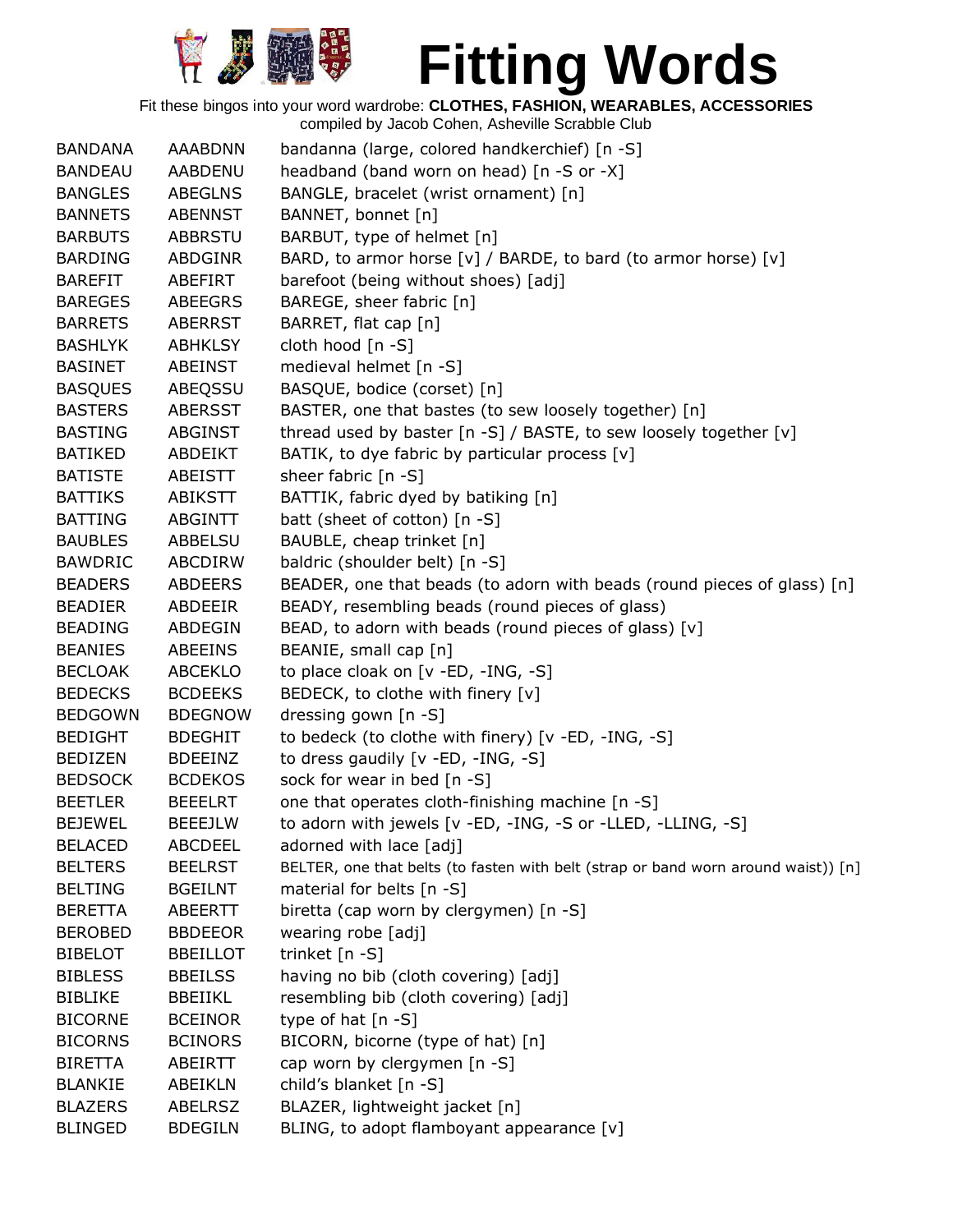

| <b>BANDANA</b> | <b>AAABDNN</b>  | bandanna (large, colored handkerchief) [n -S]                                      |
|----------------|-----------------|------------------------------------------------------------------------------------|
| <b>BANDEAU</b> | AABDENU         | headband (band worn on head) [n -S or -X]                                          |
| <b>BANGLES</b> | <b>ABEGLNS</b>  | BANGLE, bracelet (wrist ornament) [n]                                              |
| <b>BANNETS</b> | <b>ABENNST</b>  | BANNET, bonnet [n]                                                                 |
| <b>BARBUTS</b> | <b>ABBRSTU</b>  | BARBUT, type of helmet [n]                                                         |
| <b>BARDING</b> | <b>ABDGINR</b>  | BARD, to armor horse [v] / BARDE, to bard (to armor horse) [v]                     |
| <b>BAREFIT</b> | ABEFIRT         | barefoot (being without shoes) [adj]                                               |
| <b>BAREGES</b> | <b>ABEEGRS</b>  | BAREGE, sheer fabric [n]                                                           |
| <b>BARRETS</b> | <b>ABERRST</b>  | BARRET, flat cap [n]                                                               |
| <b>BASHLYK</b> | <b>ABHKLSY</b>  | cloth hood [n -S]                                                                  |
| <b>BASINET</b> | <b>ABEINST</b>  | medieval helmet [n -S]                                                             |
| <b>BASQUES</b> | ABEQSSU         | BASQUE, bodice (corset) [n]                                                        |
| <b>BASTERS</b> | <b>ABERSST</b>  | BASTER, one that bastes (to sew loosely together) [n]                              |
| <b>BASTING</b> | ABGINST         | thread used by baster [n -S] / BASTE, to sew loosely together [v]                  |
| <b>BATIKED</b> | ABDEIKT         | BATIK, to dye fabric by particular process [v]                                     |
| <b>BATISTE</b> | ABEISTT         | sheer fabric [n -S]                                                                |
| <b>BATTIKS</b> | <b>ABIKSTT</b>  | BATTIK, fabric dyed by batiking [n]                                                |
| <b>BATTING</b> | <b>ABGINTT</b>  | batt (sheet of cotton) [n -S]                                                      |
| <b>BAUBLES</b> | ABBELSU         | BAUBLE, cheap trinket [n]                                                          |
| <b>BAWDRIC</b> | ABCDIRW         | baldric (shoulder belt) [n -S]                                                     |
| <b>BEADERS</b> | <b>ABDEERS</b>  | BEADER, one that beads (to adorn with beads (round pieces of glass) [n]            |
| <b>BEADIER</b> | ABDEEIR         | BEADY, resembling beads (round pieces of glass)                                    |
| <b>BEADING</b> | ABDEGIN         | BEAD, to adorn with beads (round pieces of glass) [v]                              |
| <b>BEANIES</b> | ABEEINS         | BEANIE, small cap [n]                                                              |
| <b>BECLOAK</b> | ABCEKLO         | to place cloak on [v -ED, -ING, -S]                                                |
| <b>BEDECKS</b> | <b>BCDEEKS</b>  | BEDECK, to clothe with finery [v]                                                  |
| <b>BEDGOWN</b> | <b>BDEGNOW</b>  | dressing gown [n -S]                                                               |
| <b>BEDIGHT</b> | <b>BDEGHIT</b>  | to bedeck (to clothe with finery) [v -ED, -ING, -S]                                |
| <b>BEDIZEN</b> | <b>BDEEINZ</b>  | to dress gaudily [v -ED, -ING, -S]                                                 |
| <b>BEDSOCK</b> | <b>BCDEKOS</b>  | sock for wear in bed [n -S]                                                        |
| <b>BEETLER</b> | <b>BEEELRT</b>  | one that operates cloth-finishing machine [n -S]                                   |
| <b>BEJEWEL</b> | <b>BEEEJLW</b>  | to adorn with jewels [v -ED, -ING, -S or -LLED, -LLING, -S]                        |
| <b>BELACED</b> | <b>ABCDEEL</b>  | adorned with lace [adj]                                                            |
| <b>BELTERS</b> | <b>BEELRST</b>  | BELTER, one that belts (to fasten with belt (strap or band worn around waist)) [n] |
| <b>BELTING</b> | <b>BGEILNT</b>  | material for belts [n -S]                                                          |
| <b>BERETTA</b> | <b>ABEERTT</b>  | biretta (cap worn by clergymen) [n -S]                                             |
| <b>BEROBED</b> | <b>BBDEEOR</b>  | wearing robe [adj]                                                                 |
| <b>BIBELOT</b> | <b>BBEILLOT</b> | trinket [n -S]                                                                     |
| <b>BIBLESS</b> | <b>BBEILSS</b>  | having no bib (cloth covering) [adj]                                               |
| <b>BIBLIKE</b> | <b>BBEIIKL</b>  | resembling bib (cloth covering) [adj]                                              |
| <b>BICORNE</b> | <b>BCEINOR</b>  | type of hat $[n -S]$                                                               |
| <b>BICORNS</b> | <b>BCINORS</b>  | BICORN, bicorne (type of hat) [n]                                                  |
| <b>BIRETTA</b> | ABEIRTT         | cap worn by clergymen [n -S]                                                       |
| <b>BLANKIE</b> | ABEIKLN         | child's blanket [n -S]                                                             |
| <b>BLAZERS</b> | <b>ABELRSZ</b>  | BLAZER, lightweight jacket [n]                                                     |
| <b>BLINGED</b> | <b>BDEGILN</b>  | BLING, to adopt flamboyant appearance [v]                                          |
|                |                 |                                                                                    |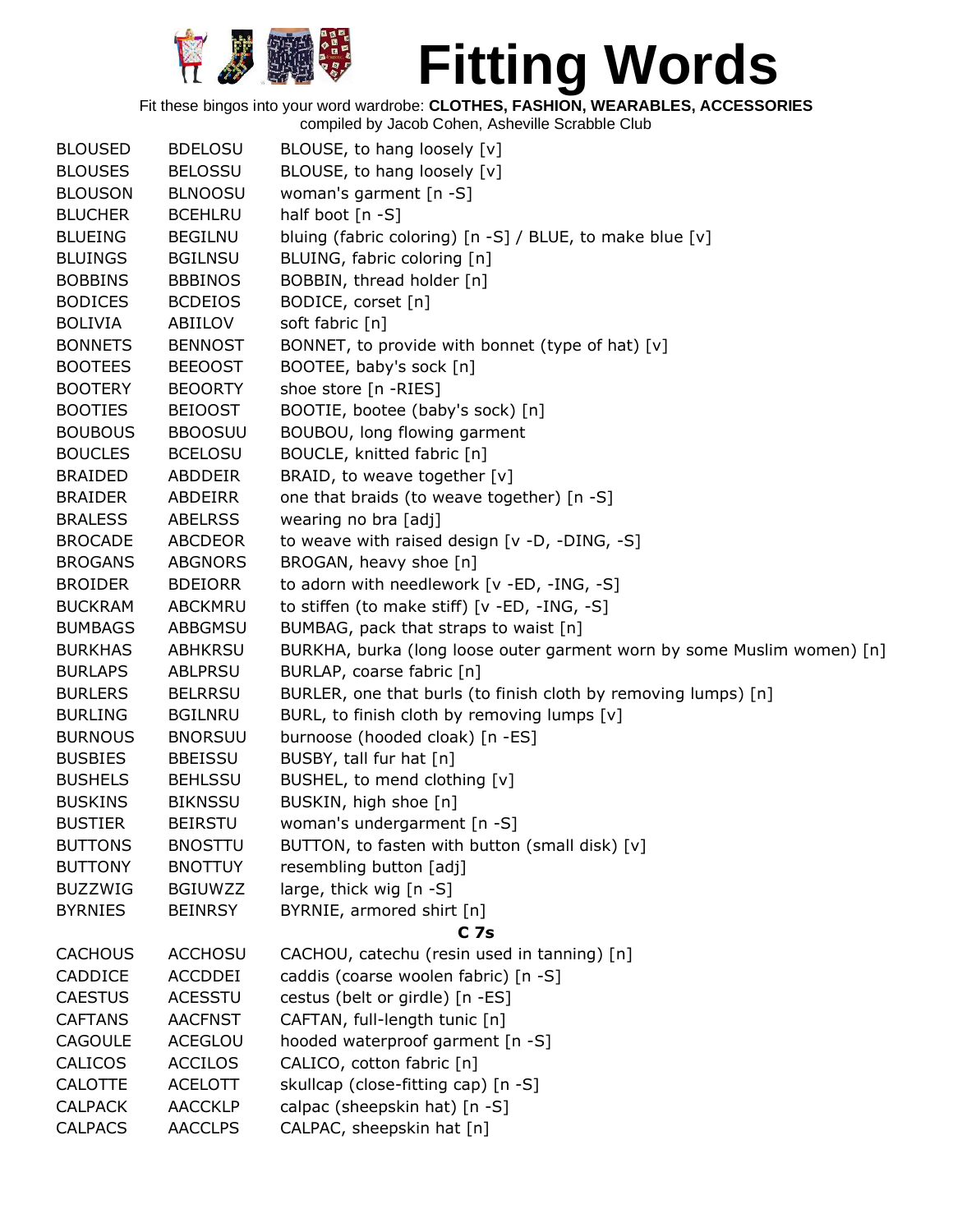

Fit these bingos into your word wardrobe: **CLOTHES, FASHION, WEARABLES, ACCESSORIES**

| <b>BLOUSED</b> | <b>BDELOSU</b> | BLOUSE, to hang loosely [v]                                            |
|----------------|----------------|------------------------------------------------------------------------|
| <b>BLOUSES</b> | <b>BELOSSU</b> | BLOUSE, to hang loosely [v]                                            |
| <b>BLOUSON</b> | <b>BLNOOSU</b> | woman's garment [n -S]                                                 |
| <b>BLUCHER</b> | <b>BCEHLRU</b> | half boot [n -S]                                                       |
| <b>BLUEING</b> | <b>BEGILNU</b> | bluing (fabric coloring) [n -S] / BLUE, to make blue [v]               |
| <b>BLUINGS</b> | <b>BGILNSU</b> | BLUING, fabric coloring [n]                                            |
| <b>BOBBINS</b> | <b>BBBINOS</b> | BOBBIN, thread holder [n]                                              |
| <b>BODICES</b> | <b>BCDEIOS</b> | BODICE, corset [n]                                                     |
| <b>BOLIVIA</b> | ABIILOV        | soft fabric [n]                                                        |
| <b>BONNETS</b> | <b>BENNOST</b> | BONNET, to provide with bonnet (type of hat) [v]                       |
| <b>BOOTEES</b> | <b>BEEOOST</b> | BOOTEE, baby's sock [n]                                                |
| <b>BOOTERY</b> | <b>BEOORTY</b> | shoe store [n -RIES]                                                   |
| <b>BOOTIES</b> | <b>BEIOOST</b> | BOOTIE, bootee (baby's sock) [n]                                       |
| <b>BOUBOUS</b> | <b>BBOOSUU</b> | BOUBOU, long flowing garment                                           |
| <b>BOUCLES</b> | <b>BCELOSU</b> | BOUCLE, knitted fabric [n]                                             |
| <b>BRAIDED</b> | ABDDEIR        | BRAID, to weave together [v]                                           |
| <b>BRAIDER</b> | ABDEIRR        | one that braids (to weave together) [n -S]                             |
| <b>BRALESS</b> | <b>ABELRSS</b> | wearing no bra [adj]                                                   |
| <b>BROCADE</b> | <b>ABCDEOR</b> | to weave with raised design [v -D, -DING, -S]                          |
| <b>BROGANS</b> | <b>ABGNORS</b> | BROGAN, heavy shoe [n]                                                 |
| <b>BROIDER</b> | <b>BDEIORR</b> | to adorn with needlework [v -ED, -ING, -S]                             |
| <b>BUCKRAM</b> | ABCKMRU        | to stiffen (to make stiff) [v -ED, -ING, -S]                           |
| <b>BUMBAGS</b> | ABBGMSU        | BUMBAG, pack that straps to waist [n]                                  |
| <b>BURKHAS</b> | <b>ABHKRSU</b> | BURKHA, burka (long loose outer garment worn by some Muslim women) [n] |
| <b>BURLAPS</b> | <b>ABLPRSU</b> | BURLAP, coarse fabric [n]                                              |
| <b>BURLERS</b> | <b>BELRRSU</b> | BURLER, one that burls (to finish cloth by removing lumps) [n]         |
| <b>BURLING</b> | <b>BGILNRU</b> | BURL, to finish cloth by removing lumps [v]                            |
| <b>BURNOUS</b> | <b>BNORSUU</b> | burnoose (hooded cloak) [n -ES]                                        |
| <b>BUSBIES</b> | <b>BBEISSU</b> | BUSBY, tall fur hat [n]                                                |
| <b>BUSHELS</b> | <b>BEHLSSU</b> | BUSHEL, to mend clothing [v]                                           |
| <b>BUSKINS</b> | <b>BIKNSSU</b> | BUSKIN, high shoe [n]                                                  |
| <b>BUSTIER</b> | <b>BEIRSTU</b> | woman's undergarment [n -S]                                            |
| <b>BUTTONS</b> | <b>BNOSTTU</b> | BUTTON, to fasten with button (small disk) [v]                         |
| <b>BUTTONY</b> | <b>BNOTTUY</b> | resembling button [adj]                                                |
| <b>BUZZWIG</b> | <b>BGIUWZZ</b> | large, thick wig [n -S]                                                |
| <b>BYRNIES</b> | <b>BEINRSY</b> | BYRNIE, armored shirt [n]                                              |
|                |                | C <sub>7s</sub>                                                        |
| <b>CACHOUS</b> | <b>ACCHOSU</b> | CACHOU, catechu (resin used in tanning) [n]                            |
| CADDICE        | <b>ACCDDEI</b> | caddis (coarse woolen fabric) [n -S]                                   |
| <b>CAESTUS</b> | <b>ACESSTU</b> | cestus (belt or girdle) [n -ES]                                        |
| <b>CAFTANS</b> | <b>AACFNST</b> | CAFTAN, full-length tunic [n]                                          |
| <b>CAGOULE</b> | <b>ACEGLOU</b> | hooded waterproof garment [n -S]                                       |
| CALICOS        | <b>ACCILOS</b> | CALICO, cotton fabric [n]                                              |
| <b>CALOTTE</b> | <b>ACELOTT</b> | skullcap (close-fitting cap) [n -S]                                    |
| <b>CALPACK</b> | <b>AACCKLP</b> | calpac (sheepskin hat) [n -S]                                          |
| <b>CALPACS</b> | <b>AACCLPS</b> | CALPAC, sheepskin hat [n]                                              |
|                |                |                                                                        |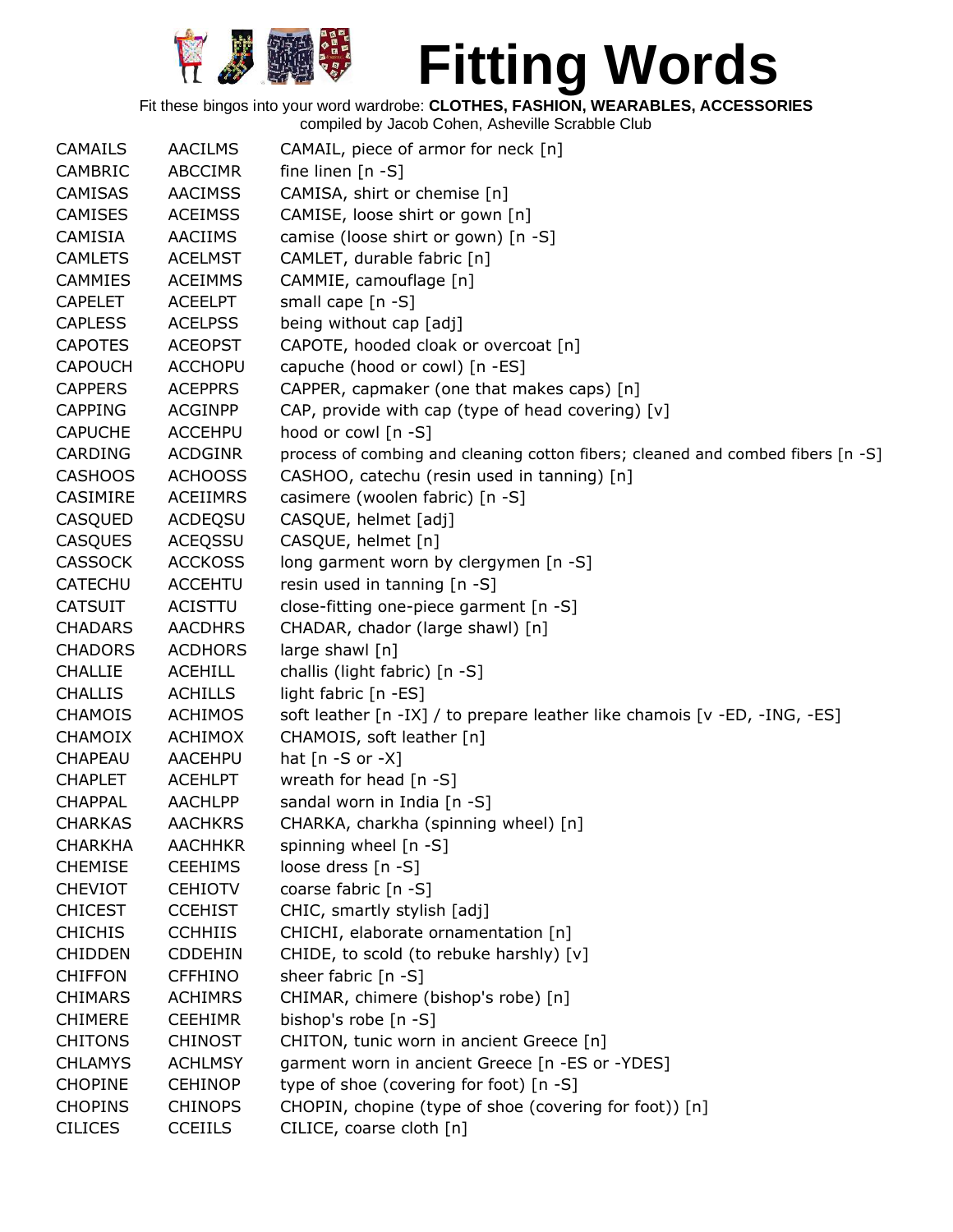

Fit these bingos into your word wardrobe: **CLOTHES, FASHION, WEARABLES, ACCESSORIES**

| <b>CAMAILS</b> | <b>AACILMS</b>  | CAMAIL, piece of armor for neck [n]                                             |
|----------------|-----------------|---------------------------------------------------------------------------------|
| CAMBRIC        | ABCCIMR         | fine linen $[n - S]$                                                            |
| <b>CAMISAS</b> | <b>AACIMSS</b>  | CAMISA, shirt or chemise [n]                                                    |
| <b>CAMISES</b> | <b>ACEIMSS</b>  | CAMISE, loose shirt or gown [n]                                                 |
| <b>CAMISIA</b> | <b>AACIIMS</b>  | camise (loose shirt or gown) [n -S]                                             |
| <b>CAMLETS</b> | <b>ACELMST</b>  | CAMLET, durable fabric [n]                                                      |
| <b>CAMMIES</b> | <b>ACEIMMS</b>  | CAMMIE, camouflage [n]                                                          |
| <b>CAPELET</b> | <b>ACEELPT</b>  | small cape [n -S]                                                               |
| <b>CAPLESS</b> | <b>ACELPSS</b>  | being without cap [adj]                                                         |
| <b>CAPOTES</b> | <b>ACEOPST</b>  | CAPOTE, hooded cloak or overcoat [n]                                            |
| <b>CAPOUCH</b> | <b>ACCHOPU</b>  | capuche (hood or cowl) [n -ES]                                                  |
| <b>CAPPERS</b> | <b>ACEPPRS</b>  | CAPPER, capmaker (one that makes caps) [n]                                      |
| <b>CAPPING</b> | <b>ACGINPP</b>  | CAP, provide with cap (type of head covering) [v]                               |
| <b>CAPUCHE</b> | <b>ACCEHPU</b>  | hood or cowl [n -S]                                                             |
| CARDING        | <b>ACDGINR</b>  | process of combing and cleaning cotton fibers; cleaned and combed fibers [n -S] |
| <b>CASHOOS</b> | <b>ACHOOSS</b>  | CASHOO, catechu (resin used in tanning) [n]                                     |
| CASIMIRE       | <b>ACEIIMRS</b> | casimere (woolen fabric) [n -S]                                                 |
| CASQUED        | ACDEQSU         | CASQUE, helmet [adj]                                                            |
| <b>CASQUES</b> | <b>ACEQSSU</b>  | CASQUE, helmet [n]                                                              |
| <b>CASSOCK</b> | <b>ACCKOSS</b>  | long garment worn by clergymen [n -S]                                           |
| CATECHU        | <b>ACCEHTU</b>  | resin used in tanning [n -S]                                                    |
| <b>CATSUIT</b> | ACISTTU         | close-fitting one-piece garment [n -S]                                          |
| <b>CHADARS</b> | <b>AACDHRS</b>  | CHADAR, chador (large shawl) [n]                                                |
| <b>CHADORS</b> | <b>ACDHORS</b>  | large shawl [n]                                                                 |
| <b>CHALLIE</b> | <b>ACEHILL</b>  | challis (light fabric) [n -S]                                                   |
| <b>CHALLIS</b> | <b>ACHILLS</b>  | light fabric [n -ES]                                                            |
| <b>CHAMOIS</b> | <b>ACHIMOS</b>  | soft leather [n -IX] / to prepare leather like chamois [v -ED, -ING, -ES]       |
| <b>CHAMOIX</b> | <b>ACHIMOX</b>  | CHAMOIS, soft leather [n]                                                       |
| CHAPEAU        | AACEHPU         | hat $[n - S$ or $-X]$                                                           |
| <b>CHAPLET</b> | <b>ACEHLPT</b>  | wreath for head [n -S]                                                          |
| <b>CHAPPAL</b> | <b>AACHLPP</b>  | sandal worn in India [n -S]                                                     |
| <b>CHARKAS</b> | <b>AACHKRS</b>  | CHARKA, charkha (spinning wheel) [n]                                            |
| <b>CHARKHA</b> | <b>AACHHKR</b>  | spinning wheel [n -S]                                                           |
| <b>CHEMISE</b> | <b>CEEHIMS</b>  | loose dress [n -S]                                                              |
| <b>CHEVIOT</b> | <b>CEHIOTV</b>  | coarse fabric [n -S]                                                            |
| <b>CHICEST</b> | <b>CCEHIST</b>  | CHIC, smartly stylish [adj]                                                     |
| <b>CHICHIS</b> | <b>CCHHIIS</b>  | CHICHI, elaborate ornamentation [n]                                             |
| <b>CHIDDEN</b> | <b>CDDEHIN</b>  | CHIDE, to scold (to rebuke harshly) [v]                                         |
| <b>CHIFFON</b> | <b>CFFHINO</b>  | sheer fabric [n -S]                                                             |
| <b>CHIMARS</b> | <b>ACHIMRS</b>  | CHIMAR, chimere (bishop's robe) [n]                                             |
| <b>CHIMERE</b> | <b>CEEHIMR</b>  | bishop's robe [n -S]                                                            |
| <b>CHITONS</b> | <b>CHINOST</b>  | CHITON, tunic worn in ancient Greece [n]                                        |
| <b>CHLAMYS</b> | <b>ACHLMSY</b>  | garment worn in ancient Greece [n -ES or -YDES]                                 |
| <b>CHOPINE</b> | <b>CEHINOP</b>  | type of shoe (covering for foot) [n -S]                                         |
| <b>CHOPINS</b> | <b>CHINOPS</b>  | CHOPIN, chopine (type of shoe (covering for foot)) [n]                          |
| <b>CILICES</b> | <b>CCEIILS</b>  | CILICE, coarse cloth [n]                                                        |
|                |                 |                                                                                 |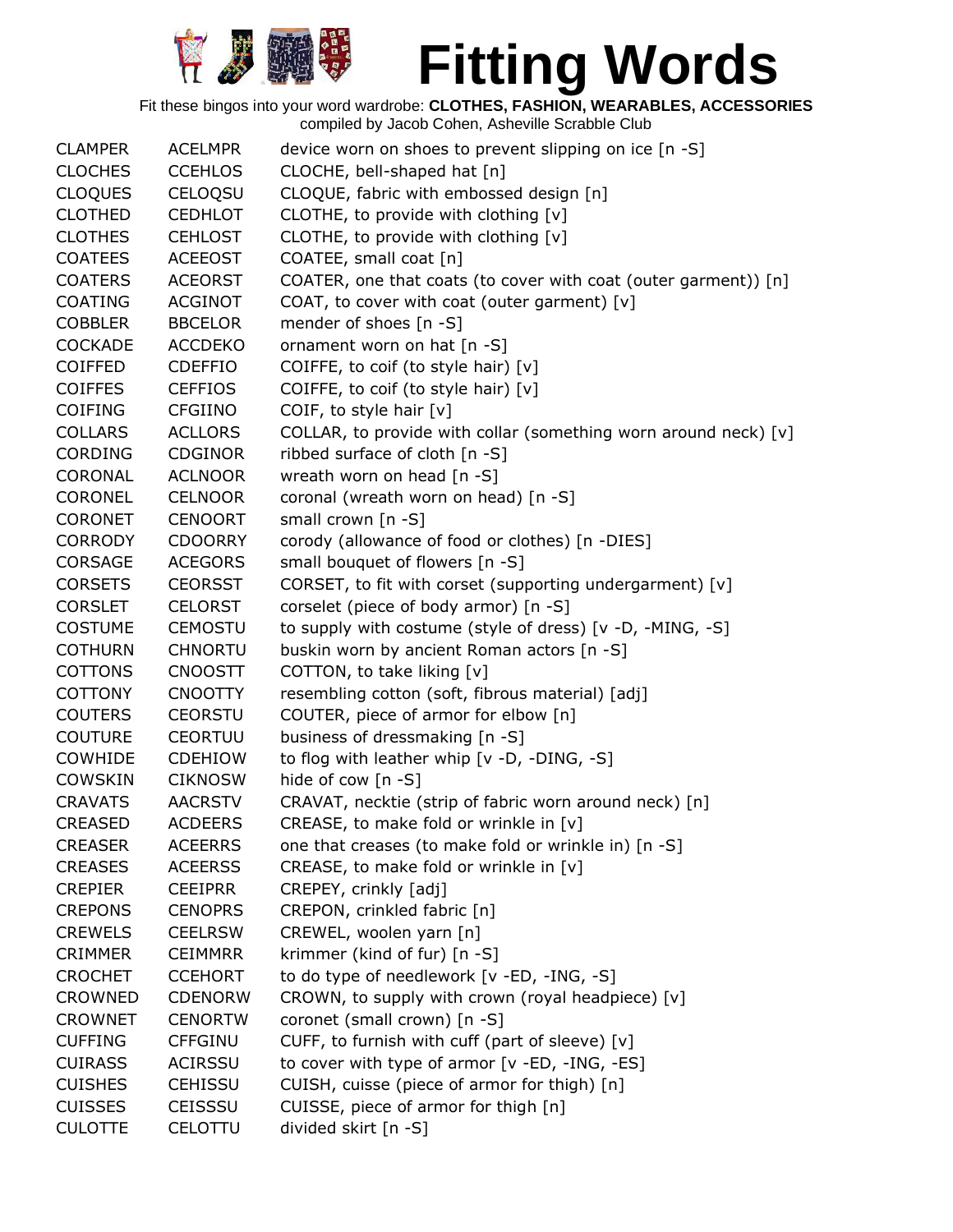

| <b>CLAMPER</b> | <b>ACELMPR</b> | device worn on shoes to prevent slipping on ice [n -S]          |
|----------------|----------------|-----------------------------------------------------------------|
| <b>CLOCHES</b> | <b>CCEHLOS</b> | CLOCHE, bell-shaped hat [n]                                     |
| <b>CLOQUES</b> | CELOQSU        | CLOQUE, fabric with embossed design [n]                         |
| <b>CLOTHED</b> | <b>CEDHLOT</b> | CLOTHE, to provide with clothing [v]                            |
| <b>CLOTHES</b> | <b>CEHLOST</b> | CLOTHE, to provide with clothing [v]                            |
| <b>COATEES</b> | <b>ACEEOST</b> | COATEE, small coat [n]                                          |
| <b>COATERS</b> | <b>ACEORST</b> | COATER, one that coats (to cover with coat (outer garment)) [n] |
| <b>COATING</b> | <b>ACGINOT</b> | COAT, to cover with coat (outer garment) [v]                    |
| <b>COBBLER</b> | <b>BBCELOR</b> | mender of shoes [n -S]                                          |
| <b>COCKADE</b> | <b>ACCDEKO</b> | ornament worn on hat [n -S]                                     |
| <b>COIFFED</b> | <b>CDEFFIO</b> | COIFFE, to coif (to style hair) [v]                             |
| <b>COIFFES</b> | <b>CEFFIOS</b> | COIFFE, to coif (to style hair) [v]                             |
| <b>COIFING</b> | <b>CFGIINO</b> | COIF, to style hair [v]                                         |
| <b>COLLARS</b> | <b>ACLLORS</b> | COLLAR, to provide with collar (something worn around neck) [v] |
| <b>CORDING</b> | <b>CDGINOR</b> | ribbed surface of cloth [n -S]                                  |
| CORONAL        | <b>ACLNOOR</b> | wreath worn on head [n -S]                                      |
| <b>CORONEL</b> | <b>CELNOOR</b> | coronal (wreath worn on head) [n -S]                            |
| <b>CORONET</b> | <b>CENOORT</b> | small crown [n -S]                                              |
| <b>CORRODY</b> | <b>CDOORRY</b> | corody (allowance of food or clothes) [n -DIES]                 |
| <b>CORSAGE</b> | <b>ACEGORS</b> | small bouquet of flowers [n -S]                                 |
| <b>CORSETS</b> | <b>CEORSST</b> | CORSET, to fit with corset (supporting undergarment) [v]        |
|                | <b>CELORST</b> |                                                                 |
| <b>CORSLET</b> |                | corselet (piece of body armor) [n -S]                           |
| <b>COSTUME</b> | <b>CEMOSTU</b> | to supply with costume (style of dress) [v -D, -MING, -S]       |
| <b>COTHURN</b> | <b>CHNORTU</b> | buskin worn by ancient Roman actors [n -S]                      |
| <b>COTTONS</b> | <b>CNOOSTT</b> | COTTON, to take liking [v]                                      |
| <b>COTTONY</b> | <b>CNOOTTY</b> | resembling cotton (soft, fibrous material) [adj]                |
| <b>COUTERS</b> | <b>CEORSTU</b> | COUTER, piece of armor for elbow [n]                            |
| <b>COUTURE</b> | <b>CEORTUU</b> | business of dressmaking [n -S]                                  |
| COWHIDE        | <b>CDEHIOW</b> | to flog with leather whip [v -D, -DING, -S]                     |
| <b>COWSKIN</b> | <b>CIKNOSW</b> | hide of cow [n -S]                                              |
| <b>CRAVATS</b> | <b>AACRSTV</b> | CRAVAT, necktie (strip of fabric worn around neck) [n]          |
| <b>CREASED</b> | <b>ACDEERS</b> | CREASE, to make fold or wrinkle in [v]                          |
| <b>CREASER</b> | <b>ACEERRS</b> | one that creases (to make fold or wrinkle in) [n -S]            |
| <b>CREASES</b> | <b>ACEERSS</b> | CREASE, to make fold or wrinkle in [v]                          |
| <b>CREPIER</b> | <b>CEEIPRR</b> | CREPEY, crinkly [adj]                                           |
| <b>CREPONS</b> | <b>CENOPRS</b> | CREPON, crinkled fabric [n]                                     |
| <b>CREWELS</b> | <b>CEELRSW</b> | CREWEL, woolen yarn [n]                                         |
| <b>CRIMMER</b> | <b>CEIMMRR</b> | krimmer (kind of fur) [n -S]                                    |
| <b>CROCHET</b> | <b>CCEHORT</b> | to do type of needlework [v -ED, -ING, -S]                      |
| <b>CROWNED</b> | <b>CDENORW</b> | CROWN, to supply with crown (royal headpiece) [v]               |
| <b>CROWNET</b> | <b>CENORTW</b> | coronet (small crown) [n -S]                                    |
| <b>CUFFING</b> | <b>CFFGINU</b> | CUFF, to furnish with cuff (part of sleeve) [v]                 |
| <b>CUIRASS</b> | <b>ACIRSSU</b> | to cover with type of armor [v -ED, -ING, -ES]                  |
| <b>CUISHES</b> | <b>CEHISSU</b> | CUISH, cuisse (piece of armor for thigh) [n]                    |
| <b>CUISSES</b> | <b>CEISSSU</b> | CUISSE, piece of armor for thigh [n]                            |
| <b>CULOTTE</b> | CELOTTU        | divided skirt [n -S]                                            |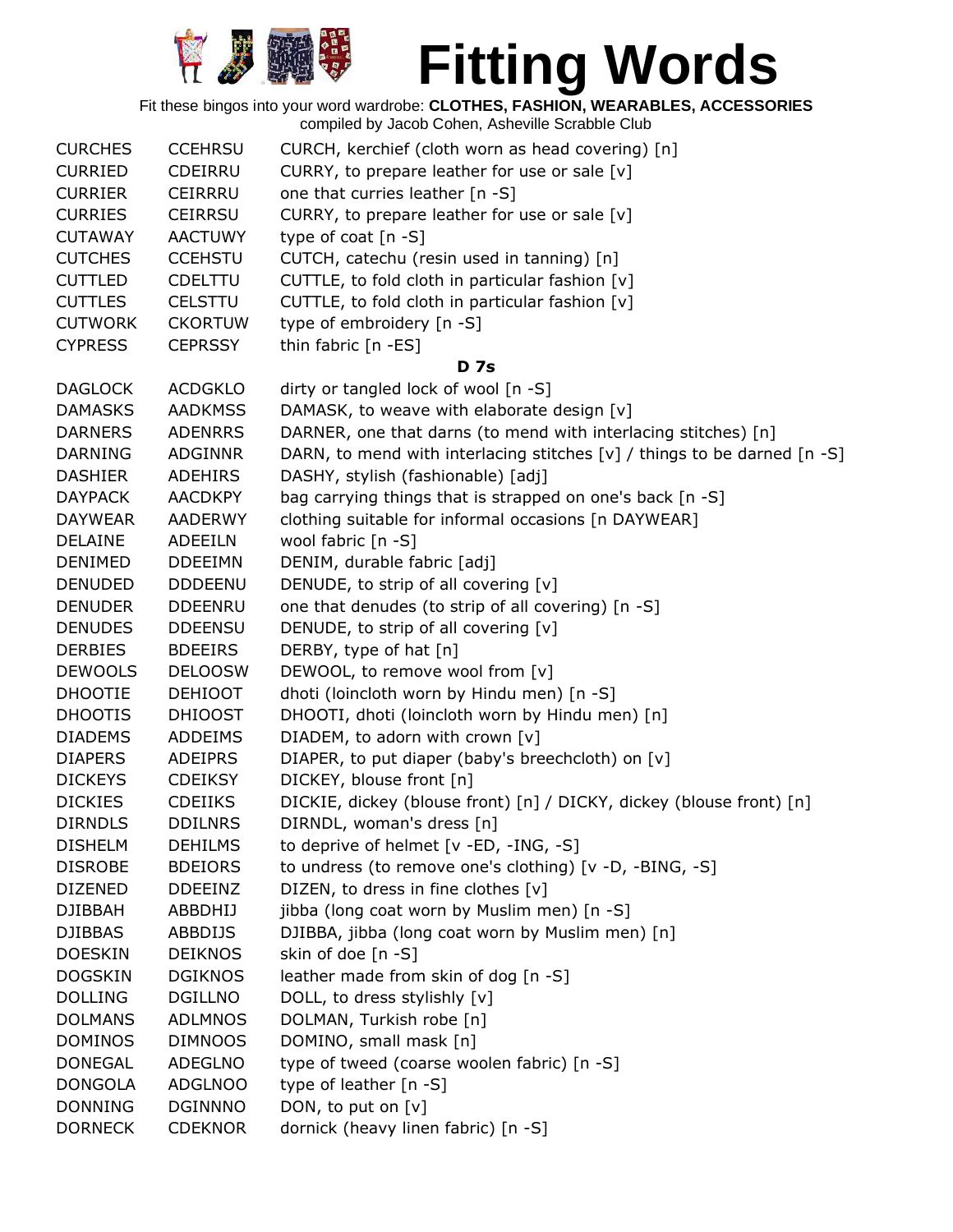

| <b>CURCHES</b> | <b>CCEHRSU</b> | CURCH, kerchief (cloth worn as head covering) [n]                        |
|----------------|----------------|--------------------------------------------------------------------------|
| <b>CURRIED</b> | <b>CDEIRRU</b> | CURRY, to prepare leather for use or sale [v]                            |
| <b>CURRIER</b> | <b>CEIRRRU</b> | one that curries leather [n -S]                                          |
| <b>CURRIES</b> | <b>CEIRRSU</b> | CURRY, to prepare leather for use or sale [v]                            |
| <b>CUTAWAY</b> | <b>AACTUWY</b> | type of coat $[n - S]$                                                   |
| <b>CUTCHES</b> | <b>CCEHSTU</b> | CUTCH, catechu (resin used in tanning) [n]                               |
| <b>CUTTLED</b> | <b>CDELTTU</b> | CUTTLE, to fold cloth in particular fashion [v]                          |
| <b>CUTTLES</b> | <b>CELSTTU</b> | CUTTLE, to fold cloth in particular fashion [v]                          |
| <b>CUTWORK</b> | <b>CKORTUW</b> | type of embroidery [n -S]                                                |
| <b>CYPRESS</b> | <b>CEPRSSY</b> | thin fabric [n -ES]                                                      |
|                |                | <b>D</b> 7s                                                              |
| <b>DAGLOCK</b> | <b>ACDGKLO</b> | dirty or tangled lock of wool [n -S]                                     |
| <b>DAMASKS</b> | <b>AADKMSS</b> | DAMASK, to weave with elaborate design [v]                               |
| <b>DARNERS</b> | <b>ADENRRS</b> | DARNER, one that darns (to mend with interlacing stitches) [n]           |
| <b>DARNING</b> | <b>ADGINNR</b> | DARN, to mend with interlacing stitches [v] / things to be darned [n -S] |
| <b>DASHIER</b> | <b>ADEHIRS</b> | DASHY, stylish (fashionable) [adj]                                       |
| <b>DAYPACK</b> | <b>AACDKPY</b> | bag carrying things that is strapped on one's back [n -S]                |
| <b>DAYWEAR</b> | AADERWY        | clothing suitable for informal occasions [n DAYWEAR]                     |
| <b>DELAINE</b> | <b>ADEEILN</b> | wool fabric [n -S]                                                       |
| <b>DENIMED</b> | <b>DDEEIMN</b> | DENIM, durable fabric [adj]                                              |
| <b>DENUDED</b> | <b>DDDEENU</b> | DENUDE, to strip of all covering [v]                                     |
| <b>DENUDER</b> |                |                                                                          |
|                | <b>DDEENRU</b> | one that denudes (to strip of all covering) [n -S]                       |
| <b>DENUDES</b> | <b>DDEENSU</b> | DENUDE, to strip of all covering [v]                                     |
| <b>DERBIES</b> | <b>BDEEIRS</b> | DERBY, type of hat [n]                                                   |
| <b>DEWOOLS</b> | <b>DELOOSW</b> | DEWOOL, to remove wool from [v]                                          |
| <b>DHOOTIE</b> | <b>DEHIOOT</b> | dhoti (loincloth worn by Hindu men) [n -S]                               |
| <b>DHOOTIS</b> | <b>DHIOOST</b> | DHOOTI, dhoti (loincloth worn by Hindu men) [n]                          |
| <b>DIADEMS</b> | <b>ADDEIMS</b> | DIADEM, to adorn with crown [v]                                          |
| <b>DIAPERS</b> | <b>ADEIPRS</b> | DIAPER, to put diaper (baby's breechcloth) on [v]                        |
| <b>DICKEYS</b> | <b>CDEIKSY</b> | DICKEY, blouse front [n]                                                 |
| <b>DICKIES</b> | <b>CDEIIKS</b> | DICKIE, dickey (blouse front) [n] / DICKY, dickey (blouse front) [n]     |
| <b>DIRNDLS</b> | <b>DDILNRS</b> | DIRNDL, woman's dress [n]                                                |
| <b>DISHELM</b> | <b>DEHILMS</b> | to deprive of helmet [v -ED, -ING, -S]                                   |
| <b>DISROBE</b> | <b>BDEIORS</b> | to undress (to remove one's clothing) [v -D, -BING, -S]                  |
| <b>DIZENED</b> | <b>DDEEINZ</b> | DIZEN, to dress in fine clothes [v]                                      |
| <b>DJIBBAH</b> | ABBDHIJ        | jibba (long coat worn by Muslim men) [n -S]                              |
| <b>DJIBBAS</b> | <b>ABBDIJS</b> | DJIBBA, jibba (long coat worn by Muslim men) [n]                         |
| <b>DOESKIN</b> | <b>DEIKNOS</b> | skin of doe [n -S]                                                       |
| <b>DOGSKIN</b> | <b>DGIKNOS</b> | leather made from skin of dog [n -S]                                     |
| <b>DOLLING</b> | <b>DGILLNO</b> | DOLL, to dress stylishly [v]                                             |
| <b>DOLMANS</b> | <b>ADLMNOS</b> | DOLMAN, Turkish robe [n]                                                 |
| <b>DOMINOS</b> | <b>DIMNOOS</b> | DOMINO, small mask [n]                                                   |
| <b>DONEGAL</b> | ADEGLNO        | type of tweed (coarse woolen fabric) [n -S]                              |
| <b>DONGOLA</b> | <b>ADGLNOO</b> | type of leather [n -S]                                                   |
| <b>DONNING</b> | <b>DGINNNO</b> | DON, to put on [v]                                                       |
| <b>DORNECK</b> | <b>CDEKNOR</b> | dornick (heavy linen fabric) [n -S]                                      |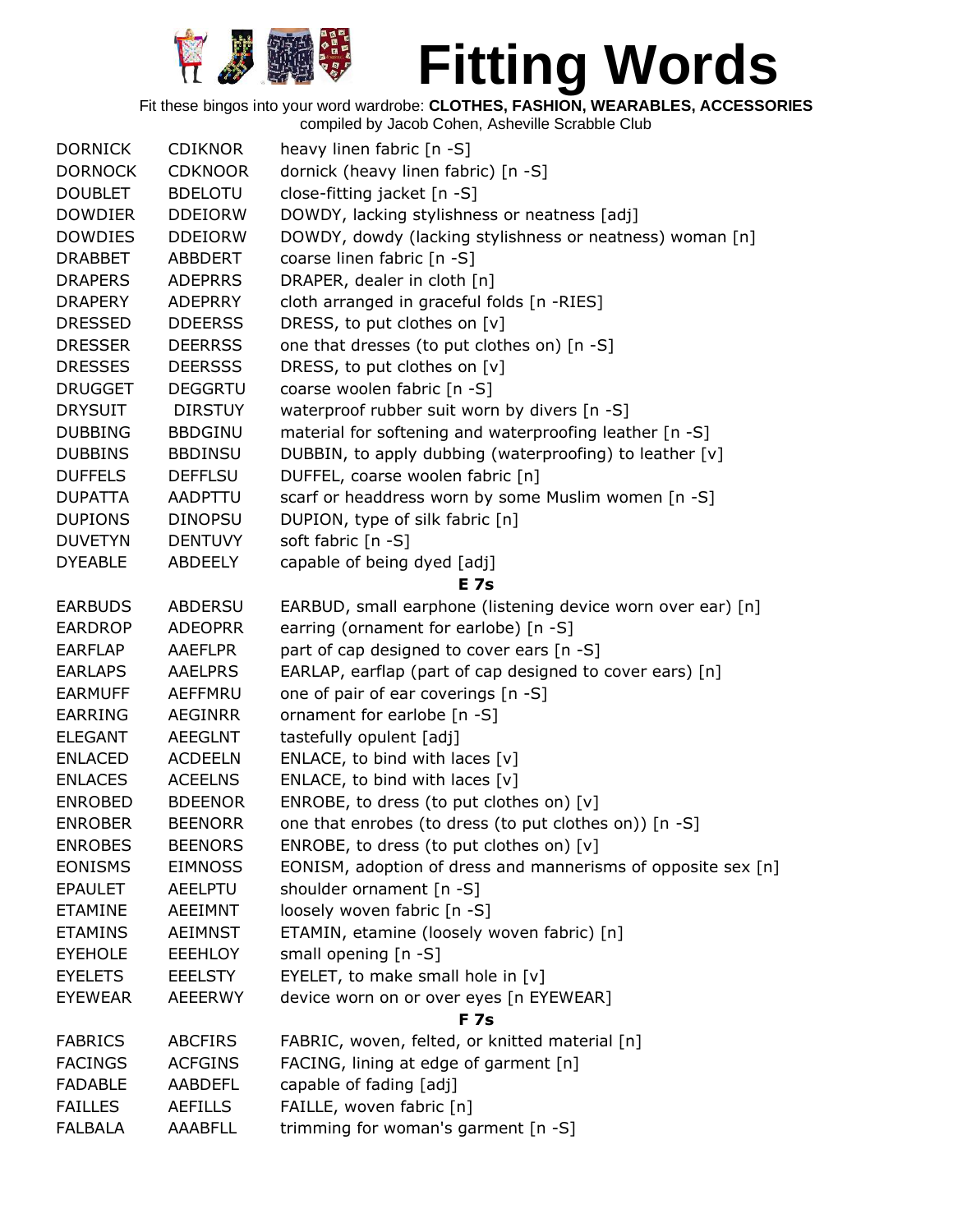

Fit these bingos into your word wardrobe: **CLOTHES, FASHION, WEARABLES, ACCESSORIES**

| <b>DORNICK</b> | <b>CDIKNOR</b> | heavy linen fabric [n -S]                                    |
|----------------|----------------|--------------------------------------------------------------|
| <b>DORNOCK</b> | <b>CDKNOOR</b> | dornick (heavy linen fabric) [n -S]                          |
| <b>DOUBLET</b> | <b>BDELOTU</b> | close-fitting jacket [n -S]                                  |
| <b>DOWDIER</b> | <b>DDEIORW</b> | DOWDY, lacking stylishness or neatness [adj]                 |
| <b>DOWDIES</b> | <b>DDEIORW</b> | DOWDY, dowdy (lacking stylishness or neatness) woman [n]     |
| <b>DRABBET</b> | <b>ABBDERT</b> | coarse linen fabric [n -S]                                   |
| <b>DRAPERS</b> | <b>ADEPRRS</b> | DRAPER, dealer in cloth [n]                                  |
| <b>DRAPERY</b> | <b>ADEPRRY</b> | cloth arranged in graceful folds [n -RIES]                   |
| <b>DRESSED</b> | <b>DDEERSS</b> | DRESS, to put clothes on [v]                                 |
| <b>DRESSER</b> | <b>DEERRSS</b> | one that dresses (to put clothes on) [n -S]                  |
| <b>DRESSES</b> | <b>DEERSSS</b> | DRESS, to put clothes on [v]                                 |
| <b>DRUGGET</b> | <b>DEGGRTU</b> | coarse woolen fabric [n -S]                                  |
| <b>DRYSUIT</b> | <b>DIRSTUY</b> | waterproof rubber suit worn by divers [n -S]                 |
| <b>DUBBING</b> | <b>BBDGINU</b> | material for softening and waterproofing leather [n -S]      |
| <b>DUBBINS</b> | <b>BBDINSU</b> | DUBBIN, to apply dubbing (waterproofing) to leather [v]      |
| <b>DUFFELS</b> | <b>DEFFLSU</b> | DUFFEL, coarse woolen fabric [n]                             |
| <b>DUPATTA</b> | <b>AADPTTU</b> | scarf or headdress worn by some Muslim women [n -S]          |
| <b>DUPIONS</b> | <b>DINOPSU</b> | DUPION, type of silk fabric [n]                              |
| <b>DUVETYN</b> | <b>DENTUVY</b> | soft fabric [n -S]                                           |
| <b>DYEABLE</b> | <b>ABDEELY</b> | capable of being dyed [adj]                                  |
|                |                | <b>E</b> 7s                                                  |
| <b>EARBUDS</b> | <b>ABDERSU</b> | EARBUD, small earphone (listening device worn over ear) [n]  |
| <b>EARDROP</b> | <b>ADEOPRR</b> | earring (ornament for earlobe) [n -S]                        |
| <b>EARFLAP</b> | <b>AAEFLPR</b> | part of cap designed to cover ears [n -S]                    |
| <b>EARLAPS</b> | <b>AAELPRS</b> | EARLAP, earflap (part of cap designed to cover ears) [n]     |
| <b>EARMUFF</b> | AEFFMRU        | one of pair of ear coverings [n -S]                          |
| <b>EARRING</b> | <b>AEGINRR</b> | ornament for earlobe [n -S]                                  |
| <b>ELEGANT</b> | <b>AEEGLNT</b> | tastefully opulent [adj]                                     |
| <b>ENLACED</b> | <b>ACDEELN</b> | ENLACE, to bind with laces [v]                               |
| <b>ENLACES</b> | <b>ACEELNS</b> | ENLACE, to bind with laces $[v]$                             |
| <b>ENROBED</b> | <b>BDEENOR</b> | ENROBE, to dress (to put clothes on) [v]                     |
| <b>ENROBER</b> | <b>BEENORR</b> | one that enrobes (to dress (to put clothes on)) [n -S]       |
| <b>ENROBES</b> | <b>BEENORS</b> | ENROBE, to dress (to put clothes on) $[v]$                   |
| <b>EONISMS</b> | <b>EIMNOSS</b> | EONISM, adoption of dress and mannerisms of opposite sex [n] |
| <b>EPAULET</b> | <b>AEELPTU</b> | shoulder ornament $[n -S]$                                   |
| <b>ETAMINE</b> | <b>AEEIMNT</b> | loosely woven fabric [n -S]                                  |
| <b>ETAMINS</b> | <b>AEIMNST</b> | ETAMIN, etamine (loosely woven fabric) [n]                   |
| <b>EYEHOLE</b> | <b>EEEHLOY</b> | small opening [n -S]                                         |
| <b>EYELETS</b> | <b>EEELSTY</b> | EYELET, to make small hole in [v]                            |
| <b>EYEWEAR</b> | <b>AEEERWY</b> | device worn on or over eyes [n EYEWEAR]                      |
|                |                | <b>F7s</b>                                                   |
| <b>FABRICS</b> | <b>ABCFIRS</b> | FABRIC, woven, felted, or knitted material [n]               |
| <b>FACINGS</b> | <b>ACFGINS</b> | FACING, lining at edge of garment [n]                        |
| <b>FADABLE</b> | AABDEFL        | capable of fading [adj]                                      |
| <b>FAILLES</b> | <b>AEFILLS</b> | FAILLE, woven fabric [n]                                     |
| <b>FALBALA</b> | <b>AAABFLL</b> | trimming for woman's garment [n -S]                          |
|                |                |                                                              |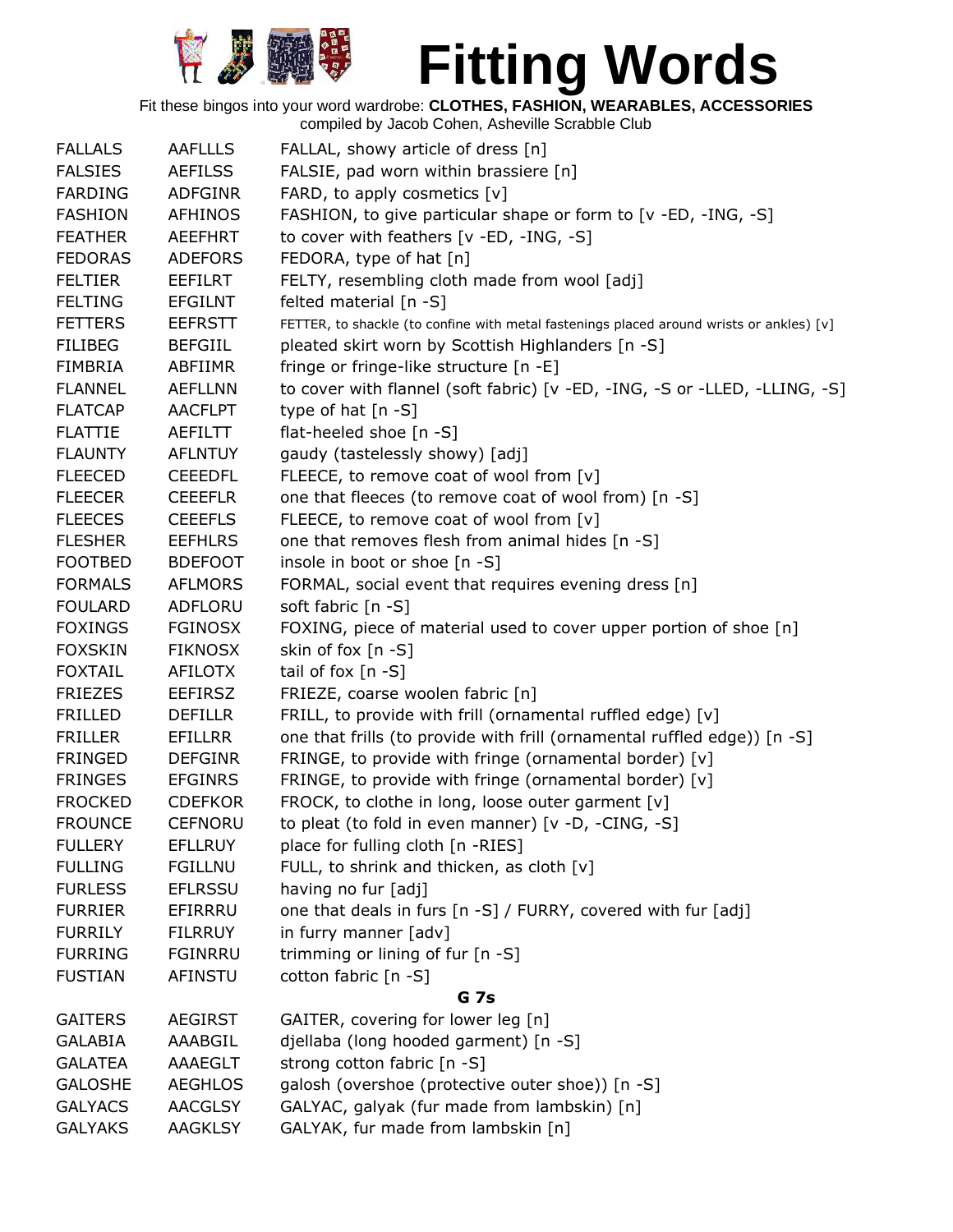

Fit these bingos into your word wardrobe: **CLOTHES, FASHION, WEARABLES, ACCESSORIES**

| <b>FALLALS</b> | <b>AAFLLLS</b> | FALLAL, showy article of dress [n]                                                       |
|----------------|----------------|------------------------------------------------------------------------------------------|
| <b>FALSIES</b> | <b>AEFILSS</b> | FALSIE, pad worn within brassiere [n]                                                    |
| <b>FARDING</b> | <b>ADFGINR</b> | FARD, to apply cosmetics [v]                                                             |
| <b>FASHION</b> | <b>AFHINOS</b> | FASHION, to give particular shape or form to [v -ED, -ING, -S]                           |
| <b>FEATHER</b> | <b>AEEFHRT</b> | to cover with feathers [v -ED, -ING, -S]                                                 |
| <b>FEDORAS</b> | <b>ADEFORS</b> | FEDORA, type of hat [n]                                                                  |
| <b>FELTIER</b> | <b>EEFILRT</b> | FELTY, resembling cloth made from wool [adj]                                             |
| <b>FELTING</b> | <b>EFGILNT</b> | felted material $[n -S]$                                                                 |
| <b>FETTERS</b> | <b>EEFRSTT</b> | FETTER, to shackle (to confine with metal fastenings placed around wrists or ankles) [v] |
| <b>FILIBEG</b> | <b>BEFGIIL</b> | pleated skirt worn by Scottish Highlanders [n -S]                                        |
| <b>FIMBRIA</b> | ABFIIMR        | fringe or fringe-like structure [n -E]                                                   |
| <b>FLANNEL</b> | <b>AEFLLNN</b> | to cover with flannel (soft fabric) [v -ED, -ING, -S or -LLED, -LLING, -S]               |
| <b>FLATCAP</b> | <b>AACFLPT</b> | type of hat $[n - S]$                                                                    |
| <b>FLATTIE</b> | AEFILTT        | flat-heeled shoe [n -S]                                                                  |
| <b>FLAUNTY</b> | <b>AFLNTUY</b> | gaudy (tastelessly showy) [adj]                                                          |
| <b>FLEECED</b> | <b>CEEEDFL</b> | FLEECE, to remove coat of wool from [v]                                                  |
| <b>FLEECER</b> | <b>CEEEFLR</b> | one that fleeces (to remove coat of wool from) [n -S]                                    |
| <b>FLEECES</b> | <b>CEEEFLS</b> | FLEECE, to remove coat of wool from [v]                                                  |
| <b>FLESHER</b> | <b>EEFHLRS</b> | one that removes flesh from animal hides [n -S]                                          |
| <b>FOOTBED</b> | <b>BDEFOOT</b> | insole in boot or shoe [n -S]                                                            |
| <b>FORMALS</b> | <b>AFLMORS</b> | FORMAL, social event that requires evening dress [n]                                     |
| <b>FOULARD</b> | ADFLORU        | soft fabric [n -S]                                                                       |
| <b>FOXINGS</b> | <b>FGINOSX</b> | FOXING, piece of material used to cover upper portion of shoe [n]                        |
| <b>FOXSKIN</b> | <b>FIKNOSX</b> | skin of fox [n -S]                                                                       |
| <b>FOXTAIL</b> | <b>AFILOTX</b> | tail of fox $[n -S]$                                                                     |
| <b>FRIEZES</b> | <b>EEFIRSZ</b> | FRIEZE, coarse woolen fabric [n]                                                         |
| <b>FRILLED</b> | <b>DEFILLR</b> | FRILL, to provide with frill (ornamental ruffled edge) [v]                               |
| <b>FRILLER</b> | <b>EFILLRR</b> | one that frills (to provide with frill (ornamental ruffled edge)) [n -S]                 |
| <b>FRINGED</b> | <b>DEFGINR</b> | FRINGE, to provide with fringe (ornamental border) [v]                                   |
| <b>FRINGES</b> | <b>EFGINRS</b> | FRINGE, to provide with fringe (ornamental border) [v]                                   |
| <b>FROCKED</b> | <b>CDEFKOR</b> | FROCK, to clothe in long, loose outer garment [v]                                        |
| <b>FROUNCE</b> | <b>CEFNORU</b> | to pleat (to fold in even manner) [v -D, -CING, -S]                                      |
| <b>FULLERY</b> | <b>EFLLRUY</b> | place for fulling cloth [n -RIES]                                                        |
| <b>FULLING</b> | <b>FGILLNU</b> | FULL, to shrink and thicken, as cloth [v]                                                |
| <b>FURLESS</b> | <b>EFLRSSU</b> | having no fur [adj]                                                                      |
| <b>FURRIER</b> | EFIRRRU        | one that deals in furs [n -S] / FURRY, covered with fur [adj]                            |
| <b>FURRILY</b> | <b>FILRRUY</b> | in furry manner [adv]                                                                    |
| <b>FURRING</b> | <b>FGINRRU</b> | trimming or lining of fur [n -S]                                                         |
| <b>FUSTIAN</b> | <b>AFINSTU</b> | cotton fabric [n -S]                                                                     |
|                |                | <b>G</b> 7s                                                                              |
| <b>GAITERS</b> | <b>AEGIRST</b> | GAITER, covering for lower leg [n]                                                       |
| <b>GALABIA</b> | AAABGIL        | djellaba (long hooded garment) [n -S]                                                    |
| <b>GALATEA</b> | AAAEGLT        | strong cotton fabric [n -S]                                                              |
| <b>GALOSHE</b> | <b>AEGHLOS</b> | galosh (overshoe (protective outer shoe)) [n -S]                                         |
| <b>GALYACS</b> | <b>AACGLSY</b> | GALYAC, galyak (fur made from lambskin) [n]                                              |
| <b>GALYAKS</b> | <b>AAGKLSY</b> | GALYAK, fur made from lambskin [n]                                                       |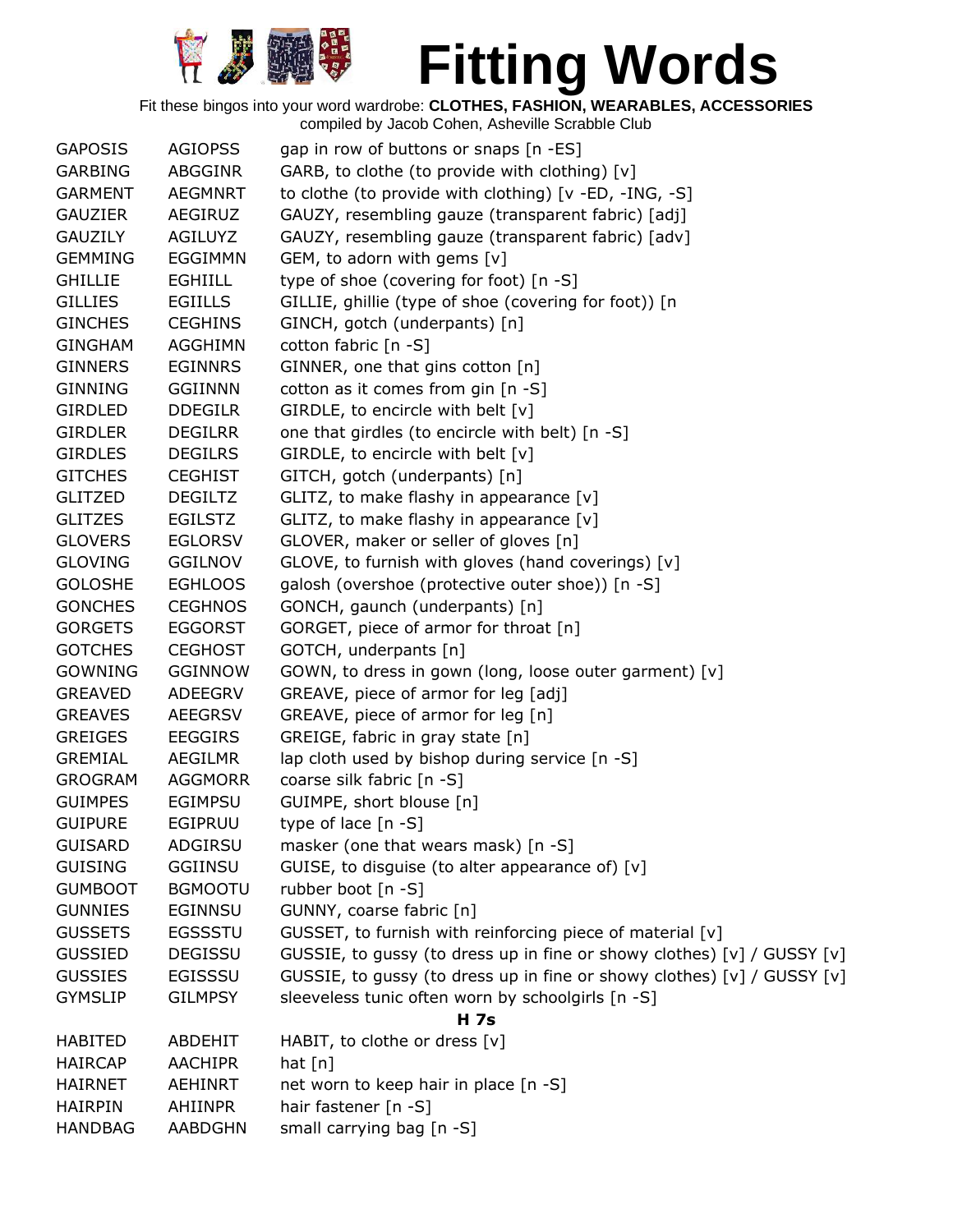

| <b>GAPOSIS</b> | <b>AGIOPSS</b> | gap in row of buttons or snaps [n -ES]                                  |
|----------------|----------------|-------------------------------------------------------------------------|
| <b>GARBING</b> | ABGGINR        | GARB, to clothe (to provide with clothing) [v]                          |
| <b>GARMENT</b> | <b>AEGMNRT</b> | to clothe (to provide with clothing) [v -ED, -ING, -S]                  |
| <b>GAUZIER</b> | AEGIRUZ        | GAUZY, resembling gauze (transparent fabric) [adj]                      |
| <b>GAUZILY</b> | <b>AGILUYZ</b> | GAUZY, resembling gauze (transparent fabric) [adv]                      |
| <b>GEMMING</b> | <b>EGGIMMN</b> | GEM, to adorn with gems $[v]$                                           |
| <b>GHILLIE</b> | <b>EGHIILL</b> | type of shoe (covering for foot) [n -S]                                 |
| <b>GILLIES</b> | <b>EGIILLS</b> | GILLIE, ghillie (type of shoe (covering for foot)) [n                   |
| <b>GINCHES</b> | <b>CEGHINS</b> | GINCH, gotch (underpants) [n]                                           |
| <b>GINGHAM</b> | <b>AGGHIMN</b> | cotton fabric [n -S]                                                    |
| <b>GINNERS</b> | <b>EGINNRS</b> | GINNER, one that gins cotton [n]                                        |
| <b>GINNING</b> | <b>GGIINNN</b> | cotton as it comes from gin [n -S]                                      |
| <b>GIRDLED</b> | <b>DDEGILR</b> | GIRDLE, to encircle with belt [v]                                       |
| <b>GIRDLER</b> | <b>DEGILRR</b> | one that girdles (to encircle with belt) [n -S]                         |
| <b>GIRDLES</b> | <b>DEGILRS</b> | GIRDLE, to encircle with belt [v]                                       |
| <b>GITCHES</b> | <b>CEGHIST</b> | GITCH, gotch (underpants) [n]                                           |
| <b>GLITZED</b> | <b>DEGILTZ</b> | GLITZ, to make flashy in appearance [v]                                 |
| <b>GLITZES</b> | <b>EGILSTZ</b> | GLITZ, to make flashy in appearance [v]                                 |
| <b>GLOVERS</b> | <b>EGLORSV</b> | GLOVER, maker or seller of gloves [n]                                   |
| <b>GLOVING</b> | <b>GGILNOV</b> | GLOVE, to furnish with gloves (hand coverings) [v]                      |
| <b>GOLOSHE</b> | <b>EGHLOOS</b> | galosh (overshoe (protective outer shoe)) [n -S]                        |
| <b>GONCHES</b> | <b>CEGHNOS</b> | GONCH, gaunch (underpants) [n]                                          |
| <b>GORGETS</b> | <b>EGGORST</b> | GORGET, piece of armor for throat [n]                                   |
| <b>GOTCHES</b> | <b>CEGHOST</b> | GOTCH, underpants [n]                                                   |
| <b>GOWNING</b> | <b>GGINNOW</b> | GOWN, to dress in gown (long, loose outer garment) [v]                  |
| <b>GREAVED</b> | ADEEGRV        | GREAVE, piece of armor for leg [adj]                                    |
| <b>GREAVES</b> | <b>AEEGRSV</b> | GREAVE, piece of armor for leg [n]                                      |
| <b>GREIGES</b> | <b>EEGGIRS</b> | GREIGE, fabric in gray state [n]                                        |
| <b>GREMIAL</b> | <b>AEGILMR</b> | lap cloth used by bishop during service [n -S]                          |
| <b>GROGRAM</b> | <b>AGGMORR</b> | coarse silk fabric [n -S]                                               |
| <b>GUIMPES</b> | <b>EGIMPSU</b> | GUIMPE, short blouse [n]                                                |
| <b>GUIPURE</b> | <b>EGIPRUU</b> | type of lace $[n - S]$                                                  |
| <b>GUISARD</b> | ADGIRSU        | masker (one that wears mask) [n -S]                                     |
| <b>GUISING</b> | <b>GGIINSU</b> | GUISE, to disguise (to alter appearance of) [v]                         |
| <b>GUMBOOT</b> | <b>BGMOOTU</b> | rubber boot [n -S]                                                      |
| <b>GUNNIES</b> | <b>EGINNSU</b> | GUNNY, coarse fabric [n]                                                |
| <b>GUSSETS</b> | <b>EGSSSTU</b> | GUSSET, to furnish with reinforcing piece of material [v]               |
| <b>GUSSIED</b> | <b>DEGISSU</b> | GUSSIE, to gussy (to dress up in fine or showy clothes) [v] / GUSSY [v] |
| <b>GUSSIES</b> | <b>EGISSSU</b> | GUSSIE, to gussy (to dress up in fine or showy clothes) [v] / GUSSY [v] |
| <b>GYMSLIP</b> | <b>GILMPSY</b> | sleeveless tunic often worn by schoolgirls [n -S]                       |
|                |                | <b>H</b> 7s                                                             |
| <b>HABITED</b> | <b>ABDEHIT</b> | HABIT, to clothe or dress [v]                                           |
| <b>HAIRCAP</b> | <b>AACHIPR</b> | hat $[n]$                                                               |
| <b>HAIRNET</b> | <b>AEHINRT</b> | net worn to keep hair in place [n -S]                                   |
| <b>HAIRPIN</b> | <b>AHIINPR</b> | hair fastener [n -S]                                                    |
| <b>HANDBAG</b> | <b>AABDGHN</b> | small carrying bag [n -S]                                               |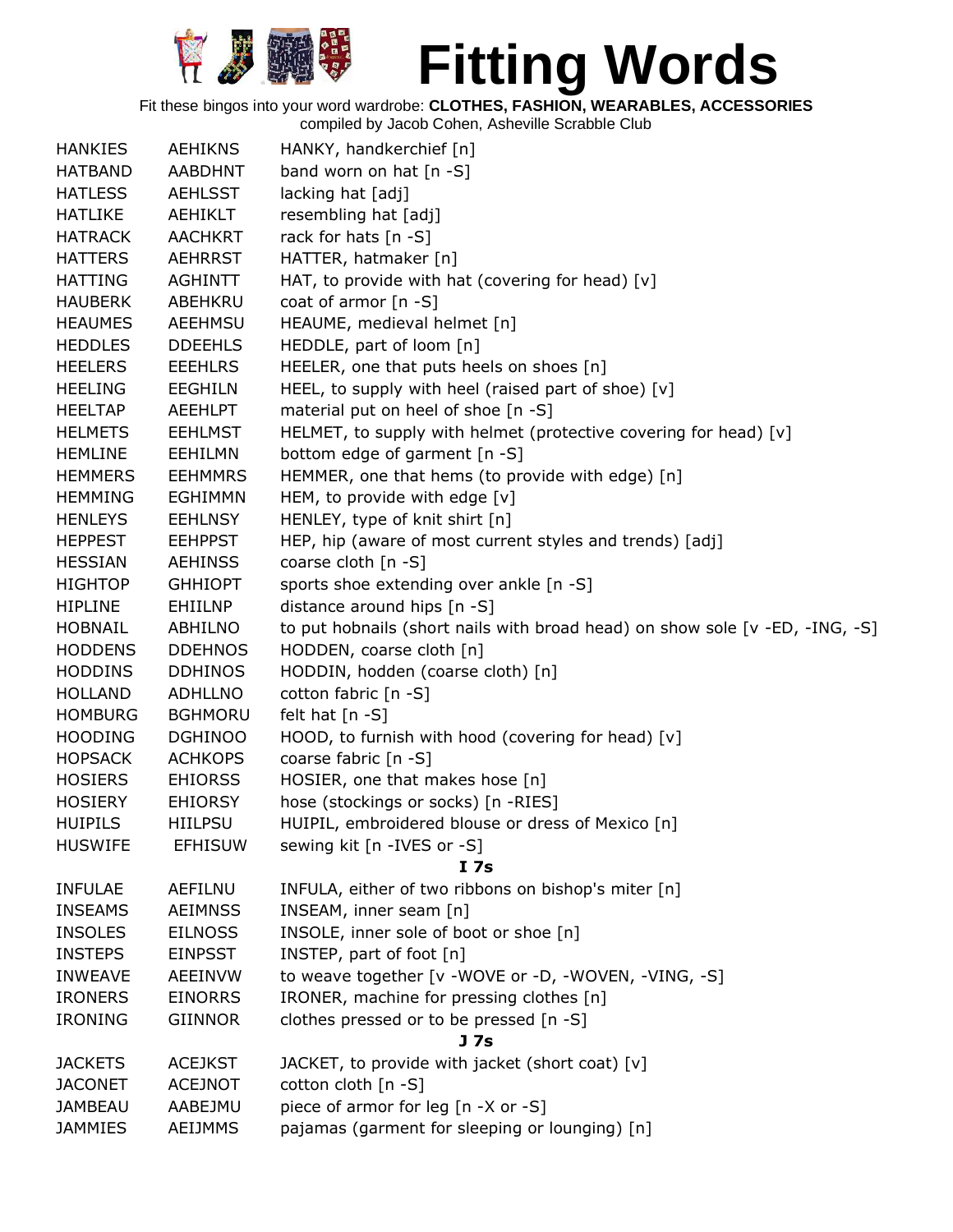

Fit these bingos into your word wardrobe: **CLOTHES, FASHION, WEARABLES, ACCESSORIES**

| <b>HANKIES</b> | <b>AEHIKNS</b> | HANKY, handkerchief [n]                                                      |
|----------------|----------------|------------------------------------------------------------------------------|
| <b>HATBAND</b> | AABDHNT        | band worn on hat $[n - S]$                                                   |
| <b>HATLESS</b> | <b>AEHLSST</b> |                                                                              |
|                |                | lacking hat [adj]                                                            |
| <b>HATLIKE</b> | AEHIKLT        | resembling hat [adj]                                                         |
| <b>HATRACK</b> | <b>AACHKRT</b> | rack for hats [n -S]                                                         |
| <b>HATTERS</b> | <b>AEHRRST</b> | HATTER, hatmaker [n]                                                         |
| <b>HATTING</b> | <b>AGHINTT</b> | HAT, to provide with hat (covering for head) $[v]$                           |
| <b>HAUBERK</b> | ABEHKRU        | coat of armor $[n - S]$                                                      |
| <b>HEAUMES</b> | AEEHMSU        | HEAUME, medieval helmet [n]                                                  |
| <b>HEDDLES</b> | <b>DDEEHLS</b> | HEDDLE, part of loom [n]                                                     |
| <b>HEELERS</b> | <b>EEEHLRS</b> | HEELER, one that puts heels on shoes [n]                                     |
| <b>HEELING</b> | <b>EEGHILN</b> | HEEL, to supply with heel (raised part of shoe) [v]                          |
| <b>HEELTAP</b> | <b>AEEHLPT</b> | material put on heel of shoe [n -S]                                          |
| <b>HELMETS</b> | <b>EEHLMST</b> | HELMET, to supply with helmet (protective covering for head) [v]             |
| <b>HEMLINE</b> | EEHILMN        | bottom edge of garment [n -S]                                                |
| <b>HEMMERS</b> | <b>EEHMMRS</b> | HEMMER, one that hems (to provide with edge) [n]                             |
| <b>HEMMING</b> | <b>EGHIMMN</b> | HEM, to provide with edge [v]                                                |
| <b>HENLEYS</b> | <b>EEHLNSY</b> | HENLEY, type of knit shirt [n]                                               |
| <b>HEPPEST</b> | <b>EEHPPST</b> | HEP, hip (aware of most current styles and trends) [adj]                     |
| <b>HESSIAN</b> | AEHINSS        | coarse cloth $[n - S]$                                                       |
| <b>HIGHTOP</b> | <b>GHHIOPT</b> | sports shoe extending over ankle [n -S]                                      |
| <b>HIPLINE</b> | EHIILNP        | distance around hips [n -S]                                                  |
| <b>HOBNAIL</b> | ABHILNO        | to put hobnails (short nails with broad head) on show sole [v -ED, -ING, -S] |
| <b>HODDENS</b> | <b>DDEHNOS</b> | HODDEN, coarse cloth [n]                                                     |
| <b>HODDINS</b> | <b>DDHINOS</b> | HODDIN, hodden (coarse cloth) [n]                                            |
| <b>HOLLAND</b> | ADHLLNO        | cotton fabric [n -S]                                                         |
| <b>HOMBURG</b> | <b>BGHMORU</b> | felt hat $[n - S]$                                                           |
| <b>HOODING</b> | <b>DGHINOO</b> | HOOD, to furnish with hood (covering for head) [v]                           |
| <b>HOPSACK</b> | <b>ACHKOPS</b> | coarse fabric [n -S]                                                         |
| <b>HOSIERS</b> | <b>EHIORSS</b> | HOSIER, one that makes hose [n]                                              |
| <b>HOSIERY</b> | <b>EHIORSY</b> | hose (stockings or socks) [n -RIES]                                          |
| <b>HUIPILS</b> | <b>HIILPSU</b> | HUIPIL, embroidered blouse or dress of Mexico [n]                            |
| <b>HUSWIFE</b> | <b>EFHISUW</b> | sewing kit [n -IVES or -S]                                                   |
|                |                | I 7s                                                                         |
| <b>INFULAE</b> | AEFILNU        | INFULA, either of two ribbons on bishop's miter [n]                          |
| <b>INSEAMS</b> | <b>AEIMNSS</b> | INSEAM, inner seam [n]                                                       |
| <b>INSOLES</b> | <b>EILNOSS</b> | INSOLE, inner sole of boot or shoe [n]                                       |
| <b>INSTEPS</b> | <b>EINPSST</b> | INSTEP, part of foot [n]                                                     |
| <b>INWEAVE</b> | <b>AEEINVW</b> | to weave together [v -WOVE or -D, -WOVEN, -VING, -S]                         |
| <b>IRONERS</b> | <b>EINORRS</b> | IRONER, machine for pressing clothes [n]                                     |
| IRONING        | <b>GIINNOR</b> | clothes pressed or to be pressed [n -S]                                      |
|                |                | J <sub>7s</sub>                                                              |
| <b>JACKETS</b> | <b>ACEJKST</b> | JACKET, to provide with jacket (short coat) [v]                              |
| <b>JACONET</b> | <b>ACEJNOT</b> | cotton cloth [n -S]                                                          |
| <b>JAMBEAU</b> | AABEJMU        | piece of armor for leg [n -X or -S]                                          |
| <b>JAMMIES</b> | AEIJMMS        | pajamas (garment for sleeping or lounging) [n]                               |
|                |                |                                                                              |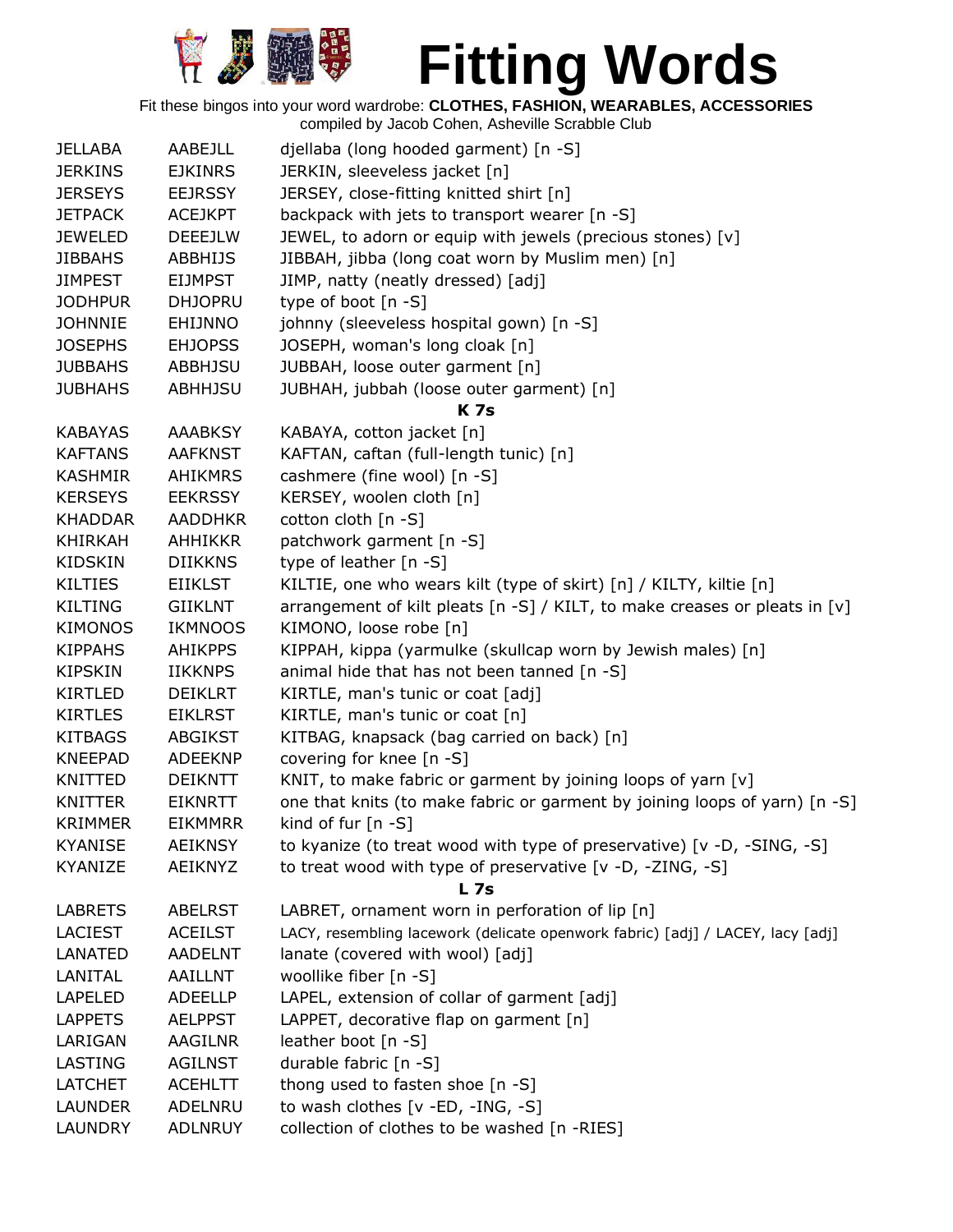

Fit these bingos into your word wardrobe: **CLOTHES, FASHION, WEARABLES, ACCESSORIES**

| <b>JELLABA</b> | AABEJLL        | djellaba (long hooded garment) [n -S]                                          |
|----------------|----------------|--------------------------------------------------------------------------------|
| <b>JERKINS</b> | <b>EJKINRS</b> | JERKIN, sleeveless jacket [n]                                                  |
| <b>JERSEYS</b> | <b>EEJRSSY</b> | JERSEY, close-fitting knitted shirt [n]                                        |
| <b>JETPACK</b> | <b>ACEJKPT</b> | backpack with jets to transport wearer [n -S]                                  |
| <b>JEWELED</b> | <b>DEEEJLW</b> | JEWEL, to adorn or equip with jewels (precious stones) [v]                     |
| <b>JIBBAHS</b> | <b>ABBHIJS</b> | JIBBAH, jibba (long coat worn by Muslim men) [n]                               |
| <b>JIMPEST</b> | <b>EIJMPST</b> | JIMP, natty (neatly dressed) [adj]                                             |
| <b>JODHPUR</b> | <b>DHJOPRU</b> | type of boot [n -S]                                                            |
| <b>JOHNNIE</b> | <b>EHIJNNO</b> | johnny (sleeveless hospital gown) [n -S]                                       |
| <b>JOSEPHS</b> | <b>EHJOPSS</b> | JOSEPH, woman's long cloak [n]                                                 |
| <b>JUBBAHS</b> | ABBHJSU        | JUBBAH, loose outer garment [n]                                                |
| <b>JUBHAHS</b> | <b>ABHHJSU</b> | JUBHAH, jubbah (loose outer garment) [n]                                       |
|                |                | <b>K</b> 7s                                                                    |
| <b>KABAYAS</b> | <b>AAABKSY</b> | KABAYA, cotton jacket [n]                                                      |
| <b>KAFTANS</b> | <b>AAFKNST</b> | KAFTAN, caftan (full-length tunic) [n]                                         |
| <b>KASHMIR</b> | <b>AHIKMRS</b> | cashmere (fine wool) [n -S]                                                    |
| <b>KERSEYS</b> | <b>EEKRSSY</b> | KERSEY, woolen cloth [n]                                                       |
| <b>KHADDAR</b> | <b>AADDHKR</b> | cotton cloth [n -S]                                                            |
| <b>KHIRKAH</b> | <b>AHHIKKR</b> | patchwork garment [n -S]                                                       |
| <b>KIDSKIN</b> | <b>DIIKKNS</b> | type of leather [n -S]                                                         |
| <b>KILTIES</b> | <b>EIIKLST</b> | KILTIE, one who wears kilt (type of skirt) [n] / KILTY, kiltie [n]             |
| <b>KILTING</b> | <b>GIIKLNT</b> | arrangement of kilt pleats [n -S] / KILT, to make creases or pleats in [v]     |
| <b>KIMONOS</b> | <b>IKMNOOS</b> | KIMONO, loose robe [n]                                                         |
| <b>KIPPAHS</b> | <b>AHIKPPS</b> | KIPPAH, kippa (yarmulke (skullcap worn by Jewish males) [n]                    |
| <b>KIPSKIN</b> | <b>IIKKNPS</b> | animal hide that has not been tanned [n -S]                                    |
| <b>KIRTLED</b> | <b>DEIKLRT</b> | KIRTLE, man's tunic or coat [adj]                                              |
| <b>KIRTLES</b> | <b>EIKLRST</b> | KIRTLE, man's tunic or coat [n]                                                |
| <b>KITBAGS</b> | <b>ABGIKST</b> | KITBAG, knapsack (bag carried on back) [n]                                     |
| <b>KNEEPAD</b> | <b>ADEEKNP</b> | covering for knee [n -S]                                                       |
| KNITTED        | <b>DEIKNTT</b> | KNIT, to make fabric or garment by joining loops of yarn [v]                   |
| <b>KNITTER</b> | <b>EIKNRTT</b> | one that knits (to make fabric or garment by joining loops of yarn) [n -S]     |
| <b>KRIMMER</b> | <b>EIKMMRR</b> | kind of fur $[n -S]$                                                           |
| <b>KYANISE</b> | <b>AEIKNSY</b> | to kyanize (to treat wood with type of preservative) [v -D, -SING, -S]         |
| KYANIZE        | <b>AEIKNYZ</b> | to treat wood with type of preservative [v -D, -ZING, -S]                      |
|                |                | <b>L</b> 7s                                                                    |
| <b>LABRETS</b> | <b>ABELRST</b> | LABRET, ornament worn in perforation of lip [n]                                |
| <b>LACIEST</b> | <b>ACEILST</b> | LACY, resembling lacework (delicate openwork fabric) [adj] / LACEY, lacy [adj] |
| LANATED        | <b>AADELNT</b> | lanate (covered with wool) [adj]                                               |
| LANITAL        | AAILLNT        | woollike fiber [n -S]                                                          |
| <b>LAPELED</b> | <b>ADEELLP</b> | LAPEL, extension of collar of garment [adj]                                    |
| <b>LAPPETS</b> | <b>AELPPST</b> | LAPPET, decorative flap on garment [n]                                         |
| LARIGAN        | AAGILNR        | leather boot $[n - S]$                                                         |
| LASTING        | <b>AGILNST</b> | durable fabric [n -S]                                                          |
| <b>LATCHET</b> | <b>ACEHLTT</b> | thong used to fasten shoe [n -S]                                               |
| <b>LAUNDER</b> | ADELNRU        | to wash clothes [v -ED, -ING, -S]                                              |
| <b>LAUNDRY</b> | <b>ADLNRUY</b> | collection of clothes to be washed [n -RIES]                                   |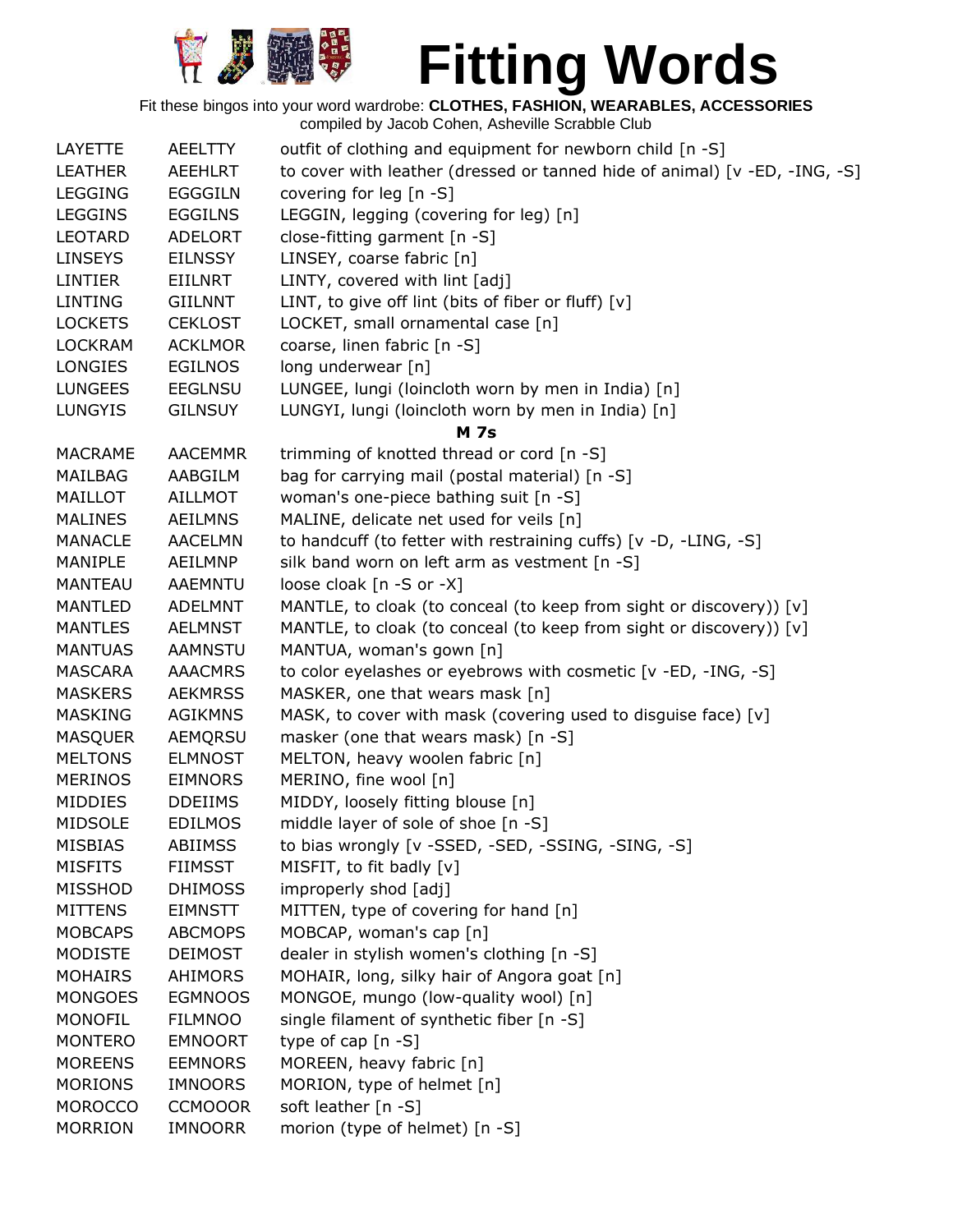

| LAYETTE        | AEELTTY        | outfit of clothing and equipment for newborn child [n -S]                  |
|----------------|----------------|----------------------------------------------------------------------------|
| <b>LEATHER</b> | <b>AEEHLRT</b> | to cover with leather (dressed or tanned hide of animal) [v -ED, -ING, -S] |
| <b>LEGGING</b> | <b>EGGGILN</b> | covering for leg [n -S]                                                    |
| <b>LEGGINS</b> | <b>EGGILNS</b> | LEGGIN, legging (covering for leg) [n]                                     |
| LEOTARD        | ADELORT        | close-fitting garment [n -S]                                               |
| <b>LINSEYS</b> | <b>EILNSSY</b> | LINSEY, coarse fabric [n]                                                  |
| LINTIER        | EIILNRT        | LINTY, covered with lint [adj]                                             |
| <b>LINTING</b> | <b>GIILNNT</b> | LINT, to give off lint (bits of fiber or fluff) $[v]$                      |
| <b>LOCKETS</b> | <b>CEKLOST</b> | LOCKET, small ornamental case [n]                                          |
| <b>LOCKRAM</b> | <b>ACKLMOR</b> | coarse, linen fabric [n -S]                                                |
| <b>LONGIES</b> | <b>EGILNOS</b> | long underwear [n]                                                         |
| <b>LUNGEES</b> | <b>EEGLNSU</b> | LUNGEE, lungi (loincloth worn by men in India) [n]                         |
| <b>LUNGYIS</b> | <b>GILNSUY</b> | LUNGYI, lungi (loincloth worn by men in India) [n]                         |
|                |                | <b>M</b> 7s                                                                |
| <b>MACRAME</b> | <b>AACEMMR</b> | trimming of knotted thread or cord [n -S]                                  |
| <b>MAILBAG</b> | AABGILM        | bag for carrying mail (postal material) [n -S]                             |
| MAILLOT        | <b>AILLMOT</b> | woman's one-piece bathing suit [n -S]                                      |
| <b>MALINES</b> | <b>AEILMNS</b> | MALINE, delicate net used for veils [n]                                    |
| <b>MANACLE</b> | <b>AACELMN</b> | to handcuff (to fetter with restraining cuffs) [v -D, -LING, -S]           |
| MANIPLE        | AEILMNP        | silk band worn on left arm as vestment [n -S]                              |
| <b>MANTEAU</b> | <b>AAEMNTU</b> | loose cloak [n -S or -X]                                                   |
| <b>MANTLED</b> | <b>ADELMNT</b> | MANTLE, to cloak (to conceal (to keep from sight or discovery)) [v]        |
| <b>MANTLES</b> | <b>AELMNST</b> | MANTLE, to cloak (to conceal (to keep from sight or discovery)) [v]        |
| <b>MANTUAS</b> | <b>AAMNSTU</b> | MANTUA, woman's gown [n]                                                   |
| <b>MASCARA</b> | <b>AAACMRS</b> | to color eyelashes or eyebrows with cosmetic [v -ED, -ING, -S]             |
| <b>MASKERS</b> | <b>AEKMRSS</b> | MASKER, one that wears mask [n]                                            |
| <b>MASKING</b> | <b>AGIKMNS</b> | MASK, to cover with mask (covering used to disguise face) [v]              |
| <b>MASQUER</b> | AEMQRSU        | masker (one that wears mask) [n -S]                                        |
| <b>MELTONS</b> | <b>ELMNOST</b> | MELTON, heavy woolen fabric [n]                                            |
| <b>MERINOS</b> | <b>EIMNORS</b> | MERINO, fine wool [n]                                                      |
| MIDDIES        | <b>DDEIIMS</b> | MIDDY, loosely fitting blouse [n]                                          |
| <b>MIDSOLE</b> | <b>EDILMOS</b> | middle layer of sole of shoe [n -S]                                        |
| <b>MISBIAS</b> | <b>ABIIMSS</b> | to bias wrongly [v -SSED, -SED, -SSING, -SING, -S]                         |
| <b>MISFITS</b> | <b>FIIMSST</b> | MISFIT, to fit badly [v]                                                   |
| <b>MISSHOD</b> | <b>DHIMOSS</b> | improperly shod [adj]                                                      |
| <b>MITTENS</b> | <b>EIMNSTT</b> | MITTEN, type of covering for hand [n]                                      |
| <b>MOBCAPS</b> | <b>ABCMOPS</b> | MOBCAP, woman's cap [n]                                                    |
| <b>MODISTE</b> | <b>DEIMOST</b> | dealer in stylish women's clothing [n -S]                                  |
| <b>MOHAIRS</b> | AHIMORS        | MOHAIR, long, silky hair of Angora goat [n]                                |
| <b>MONGOES</b> | <b>EGMNOOS</b> | MONGOE, mungo (low-quality wool) [n]                                       |
| <b>MONOFIL</b> | <b>FILMNOO</b> | single filament of synthetic fiber [n -S]                                  |
| <b>MONTERO</b> | <b>EMNOORT</b> | type of cap $[n - S]$                                                      |
| <b>MOREENS</b> | <b>EEMNORS</b> | MOREEN, heavy fabric [n]                                                   |
| <b>MORIONS</b> | <b>IMNOORS</b> | MORION, type of helmet [n]                                                 |
| <b>MOROCCO</b> | <b>CCMOOOR</b> | soft leather [n -S]                                                        |
| <b>MORRION</b> | <b>IMNOORR</b> | morion (type of helmet) [n -S]                                             |
|                |                |                                                                            |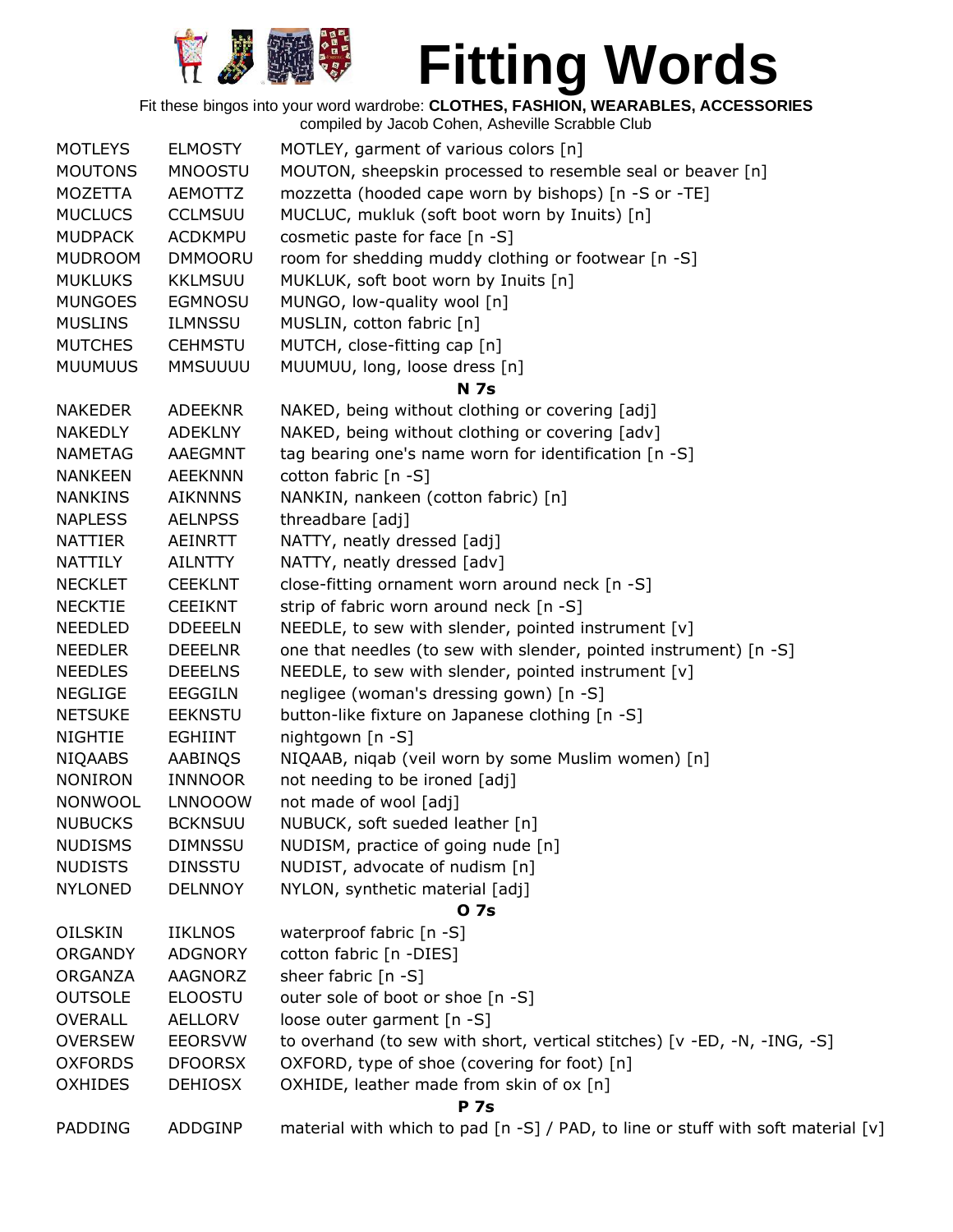

| <b>MOTLEYS</b> | <b>ELMOSTY</b> | MOTLEY, garment of various colors [n]                                            |
|----------------|----------------|----------------------------------------------------------------------------------|
| <b>MOUTONS</b> | <b>MNOOSTU</b> | MOUTON, sheepskin processed to resemble seal or beaver [n]                       |
| MOZETTA        | <b>AEMOTTZ</b> | mozzetta (hooded cape worn by bishops) [n -S or -TE]                             |
| <b>MUCLUCS</b> | <b>CCLMSUU</b> | MUCLUC, mukluk (soft boot worn by Inuits) [n]                                    |
| <b>MUDPACK</b> | <b>ACDKMPU</b> | cosmetic paste for face [n -S]                                                   |
| <b>MUDROOM</b> | <b>DMMOORU</b> | room for shedding muddy clothing or footwear [n -S]                              |
| <b>MUKLUKS</b> | <b>KKLMSUU</b> | MUKLUK, soft boot worn by Inuits [n]                                             |
| <b>MUNGOES</b> | <b>EGMNOSU</b> | MUNGO, low-quality wool [n]                                                      |
| <b>MUSLINS</b> | <b>ILMNSSU</b> | MUSLIN, cotton fabric [n]                                                        |
| <b>MUTCHES</b> | <b>CEHMSTU</b> | MUTCH, close-fitting cap [n]                                                     |
| <b>MUUMUUS</b> | <b>MMSUUUU</b> | MUUMUU, long, loose dress [n]                                                    |
|                |                | <b>N</b> 7s                                                                      |
| <b>NAKEDER</b> | <b>ADEEKNR</b> | NAKED, being without clothing or covering [adj]                                  |
| <b>NAKEDLY</b> | <b>ADEKLNY</b> | NAKED, being without clothing or covering [adv]                                  |
| <b>NAMETAG</b> | AAEGMNT        | tag bearing one's name worn for identification [n -S]                            |
| <b>NANKEEN</b> | <b>AEEKNNN</b> | cotton fabric [n -S]                                                             |
| <b>NANKINS</b> | <b>AIKNNNS</b> | NANKIN, nankeen (cotton fabric) [n]                                              |
| <b>NAPLESS</b> | <b>AELNPSS</b> | threadbare [adj]                                                                 |
| <b>NATTIER</b> | <b>AEINRTT</b> | NATTY, neatly dressed [adj]                                                      |
| NATTILY        | AILNTTY        | NATTY, neatly dressed [adv]                                                      |
| <b>NECKLET</b> | <b>CEEKLNT</b> | close-fitting ornament worn around neck [n -S]                                   |
| <b>NECKTIE</b> | <b>CEEIKNT</b> | strip of fabric worn around neck [n -S]                                          |
| <b>NEEDLED</b> | <b>DDEEELN</b> | NEEDLE, to sew with slender, pointed instrument [v]                              |
| <b>NEEDLER</b> | <b>DEEELNR</b> | one that needles (to sew with slender, pointed instrument) [n -S]                |
| <b>NEEDLES</b> | <b>DEEELNS</b> | NEEDLE, to sew with slender, pointed instrument [v]                              |
| <b>NEGLIGE</b> | <b>EEGGILN</b> | negligee (woman's dressing gown) [n -S]                                          |
| <b>NETSUKE</b> | <b>EEKNSTU</b> | button-like fixture on Japanese clothing [n -S]                                  |
| <b>NIGHTIE</b> | <b>EGHIINT</b> | nightgown [n -S]                                                                 |
| <b>NIQAABS</b> | AABINQS        | NIQAAB, niqab (veil worn by some Muslim women) [n]                               |
| <b>NONIRON</b> | <b>INNNOOR</b> | not needing to be ironed [adj]                                                   |
| NONWOOL        | <b>LNNOOOW</b> | not made of wool [adj]                                                           |
| <b>NUBUCKS</b> | <b>BCKNSUU</b> | NUBUCK, soft sueded leather [n]                                                  |
| <b>NUDISMS</b> | <b>DIMNSSU</b> | NUDISM, practice of going nude [n]                                               |
| <b>NUDISTS</b> | <b>DINSSTU</b> | NUDIST, advocate of nudism [n]                                                   |
| <b>NYLONED</b> | <b>DELNNOY</b> | NYLON, synthetic material [adj]                                                  |
|                |                | 0 7s                                                                             |
| <b>OILSKIN</b> | <b>IIKLNOS</b> | waterproof fabric [n -S]                                                         |
| <b>ORGANDY</b> | <b>ADGNORY</b> | cotton fabric [n -DIES]                                                          |
| ORGANZA        | AAGNORZ        | sheer fabric [n -S]                                                              |
| <b>OUTSOLE</b> | <b>ELOOSTU</b> | outer sole of boot or shoe [n -S]                                                |
| <b>OVERALL</b> | <b>AELLORV</b> | loose outer garment [n -S]                                                       |
| <b>OVERSEW</b> | <b>EEORSVW</b> | to overhand (to sew with short, vertical stitches) [v -ED, -N, -ING, -S]         |
| <b>OXFORDS</b> | <b>DFOORSX</b> | OXFORD, type of shoe (covering for foot) [n]                                     |
| <b>OXHIDES</b> | <b>DEHIOSX</b> | OXHIDE, leather made from skin of ox [n]                                         |
|                |                | <b>P</b> 7s                                                                      |
| PADDING        | ADDGINP        | material with which to pad [n -S] / PAD, to line or stuff with soft material [v] |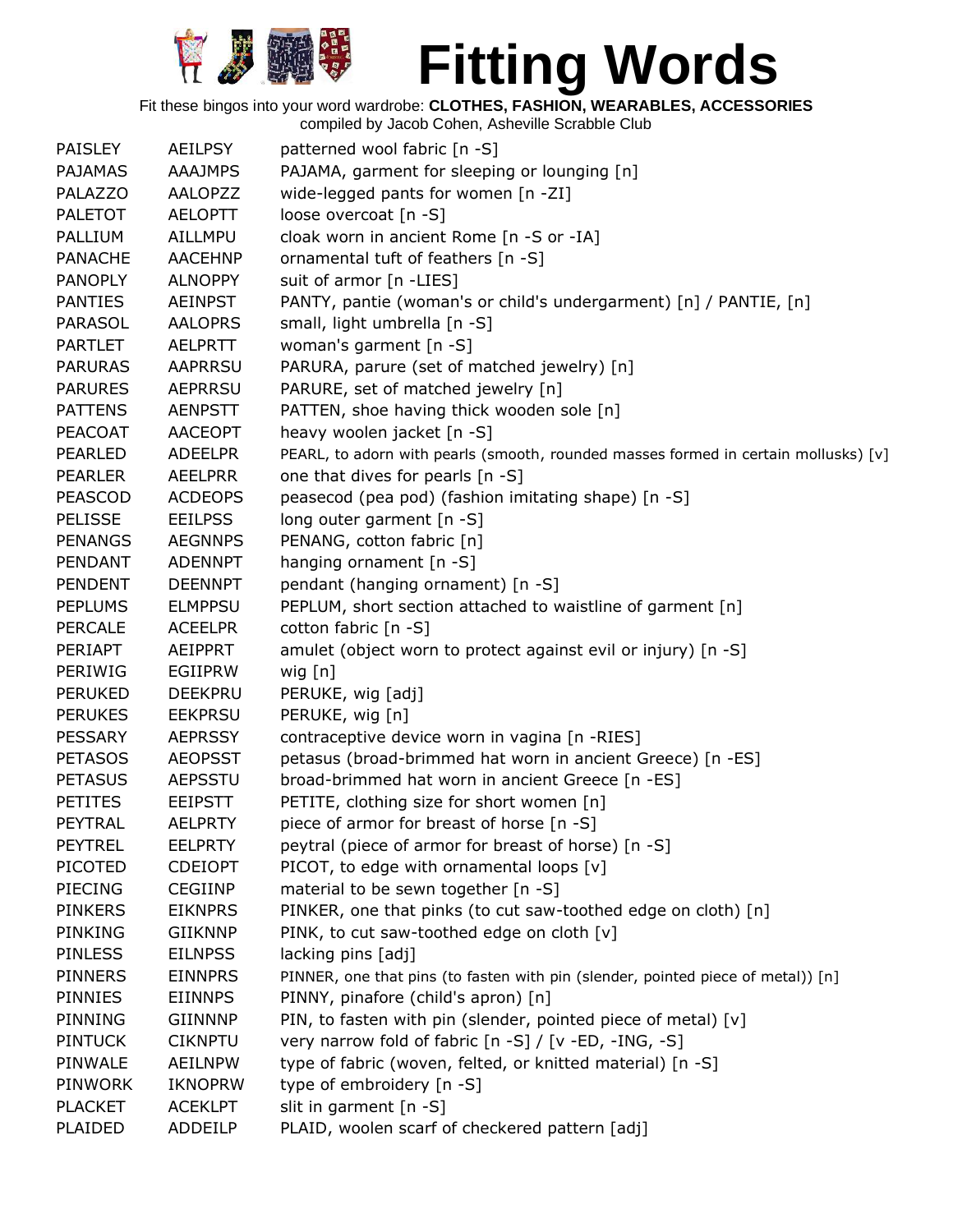

Fit these bingos into your word wardrobe: **CLOTHES, FASHION, WEARABLES, ACCESSORIES**

| <b>PAISLEY</b> | AEILPSY        | patterned wool fabric [n -S]                                                        |
|----------------|----------------|-------------------------------------------------------------------------------------|
| <b>PAJAMAS</b> | <b>AAAJMPS</b> | PAJAMA, garment for sleeping or lounging [n]                                        |
| PALAZZO        | <b>AALOPZZ</b> | wide-legged pants for women [n -ZI]                                                 |
| <b>PALETOT</b> | <b>AELOPTT</b> | loose overcoat [n -S]                                                               |
| PALLIUM        | AILLMPU        | cloak worn in ancient Rome [n -S or -IA]                                            |
| <b>PANACHE</b> | <b>AACEHNP</b> | ornamental tuft of feathers [n -S]                                                  |
| <b>PANOPLY</b> | <b>ALNOPPY</b> | suit of armor [n -LIES]                                                             |
| <b>PANTIES</b> | <b>AEINPST</b> | PANTY, pantie (woman's or child's undergarment) [n] / PANTIE, [n]                   |
| <b>PARASOL</b> | <b>AALOPRS</b> | small, light umbrella [n -S]                                                        |
| <b>PARTLET</b> | <b>AELPRTT</b> | woman's garment [n -S]                                                              |
| <b>PARURAS</b> | <b>AAPRRSU</b> | PARURA, parure (set of matched jewelry) [n]                                         |
| <b>PARURES</b> | <b>AEPRRSU</b> | PARURE, set of matched jewelry [n]                                                  |
| <b>PATTENS</b> | <b>AENPSTT</b> | PATTEN, shoe having thick wooden sole [n]                                           |
| <b>PEACOAT</b> | <b>AACEOPT</b> | heavy woolen jacket [n -S]                                                          |
| <b>PEARLED</b> | <b>ADEELPR</b> | PEARL, to adorn with pearls (smooth, rounded masses formed in certain mollusks) [v] |
| <b>PEARLER</b> | <b>AEELPRR</b> | one that dives for pearls [n -S]                                                    |
| <b>PEASCOD</b> | <b>ACDEOPS</b> | peasecod (pea pod) (fashion imitating shape) [n -S]                                 |
| <b>PELISSE</b> | <b>EEILPSS</b> | long outer garment [n -S]                                                           |
| <b>PENANGS</b> | <b>AEGNNPS</b> | PENANG, cotton fabric [n]                                                           |
| PENDANT        | <b>ADENNPT</b> | hanging ornament [n -S]                                                             |
| <b>PENDENT</b> | <b>DEENNPT</b> | pendant (hanging ornament) [n -S]                                                   |
| <b>PEPLUMS</b> | <b>ELMPPSU</b> | PEPLUM, short section attached to waistline of garment [n]                          |
| PERCALE        | <b>ACEELPR</b> | cotton fabric [n -S]                                                                |
| <b>PERIAPT</b> | <b>AEIPPRT</b> |                                                                                     |
| PERIWIG        | EGIIPRW        | amulet (object worn to protect against evil or injury) [n -S]                       |
| <b>PERUKED</b> |                | wig $[n]$                                                                           |
|                | <b>DEEKPRU</b> | PERUKE, wig [adj]                                                                   |
| <b>PERUKES</b> | <b>EEKPRSU</b> | PERUKE, wig [n]                                                                     |
| <b>PESSARY</b> | <b>AEPRSSY</b> | contraceptive device worn in vagina [n -RIES]                                       |
| <b>PETASOS</b> | <b>AEOPSST</b> | petasus (broad-brimmed hat worn in ancient Greece) [n -ES]                          |
| <b>PETASUS</b> | <b>AEPSSTU</b> | broad-brimmed hat worn in ancient Greece [n -ES]                                    |
| <b>PETITES</b> | <b>EEIPSTT</b> | PETITE, clothing size for short women [n]                                           |
| PEYTRAL        | <b>AELPRTY</b> | piece of armor for breast of horse [n -S]                                           |
| <b>PEYTREL</b> | <b>EELPRTY</b> | peytral (piece of armor for breast of horse) [n -S]                                 |
| <b>PICOTED</b> | <b>CDEIOPT</b> | PICOT, to edge with ornamental loops [v]                                            |
| <b>PIECING</b> | <b>CEGIINP</b> | material to be sewn together [n -S]                                                 |
| <b>PINKERS</b> | <b>EIKNPRS</b> | PINKER, one that pinks (to cut saw-toothed edge on cloth) [n]                       |
| <b>PINKING</b> | <b>GIIKNNP</b> | PINK, to cut saw-toothed edge on cloth [v]                                          |
| <b>PINLESS</b> | <b>EILNPSS</b> | lacking pins [adj]                                                                  |
| <b>PINNERS</b> | <b>EINNPRS</b> | PINNER, one that pins (to fasten with pin (slender, pointed piece of metal)) [n]    |
| <b>PINNIES</b> | <b>EIINNPS</b> | PINNY, pinafore (child's apron) [n]                                                 |
| PINNING        | <b>GIINNNP</b> | PIN, to fasten with pin (slender, pointed piece of metal) [v]                       |
| <b>PINTUCK</b> | <b>CIKNPTU</b> | very narrow fold of fabric [n -S] / [v -ED, -ING, -S]                               |
| PINWALE        | <b>AEILNPW</b> | type of fabric (woven, felted, or knitted material) [n -S]                          |
| <b>PINWORK</b> | <b>IKNOPRW</b> | type of embroidery [n -S]                                                           |
| <b>PLACKET</b> | <b>ACEKLPT</b> | slit in garment [n -S]                                                              |
| PLAIDED        | ADDEILP        | PLAID, woolen scarf of checkered pattern [adj]                                      |
|                |                |                                                                                     |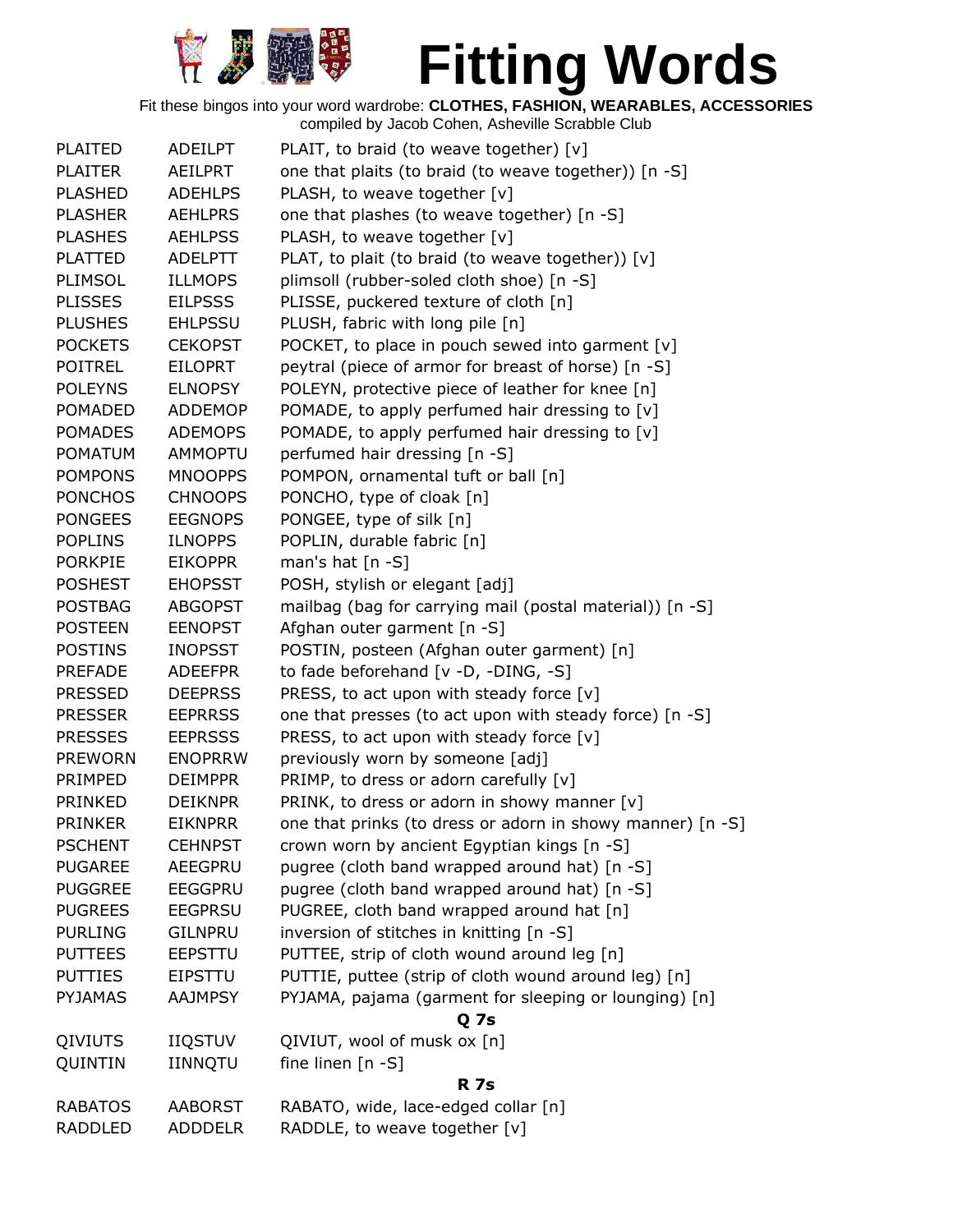

| <b>PLAITED</b> | <b>ADEILPT</b> | PLAIT, to braid (to weave together) [v]                    |
|----------------|----------------|------------------------------------------------------------|
| <b>PLAITER</b> | <b>AEILPRT</b> | one that plaits (to braid (to weave together)) [n -S]      |
| <b>PLASHED</b> | <b>ADEHLPS</b> | PLASH, to weave together [v]                               |
| <b>PLASHER</b> | <b>AEHLPRS</b> | one that plashes (to weave together) [n -S]                |
| <b>PLASHES</b> | <b>AEHLPSS</b> | PLASH, to weave together [v]                               |
| <b>PLATTED</b> | <b>ADELPTT</b> | PLAT, to plait (to braid (to weave together)) [v]          |
| PLIMSOL        | <b>ILLMOPS</b> | plimsoll (rubber-soled cloth shoe) [n -S]                  |
| <b>PLISSES</b> | <b>EILPSSS</b> | PLISSE, puckered texture of cloth [n]                      |
| <b>PLUSHES</b> | <b>EHLPSSU</b> | PLUSH, fabric with long pile [n]                           |
| <b>POCKETS</b> | <b>CEKOPST</b> | POCKET, to place in pouch sewed into garment [v]           |
| <b>POITREL</b> | <b>EILOPRT</b> | peytral (piece of armor for breast of horse) [n -S]        |
| <b>POLEYNS</b> | <b>ELNOPSY</b> | POLEYN, protective piece of leather for knee [n]           |
| <b>POMADED</b> | ADDEMOP        | POMADE, to apply perfumed hair dressing to [v]             |
| <b>POMADES</b> | <b>ADEMOPS</b> | POMADE, to apply perfumed hair dressing to $[v]$           |
| <b>POMATUM</b> | <b>AMMOPTU</b> | perfumed hair dressing [n -S]                              |
| <b>POMPONS</b> | <b>MNOOPPS</b> | POMPON, ornamental tuft or ball [n]                        |
| <b>PONCHOS</b> | <b>CHNOOPS</b> | PONCHO, type of cloak [n]                                  |
| <b>PONGEES</b> | <b>EEGNOPS</b> | PONGEE, type of silk [n]                                   |
| <b>POPLINS</b> | <b>ILNOPPS</b> | POPLIN, durable fabric [n]                                 |
| <b>PORKPIE</b> | <b>EIKOPPR</b> | man's hat $[n - S]$                                        |
| <b>POSHEST</b> | <b>EHOPSST</b> | POSH, stylish or elegant [adj]                             |
| <b>POSTBAG</b> | <b>ABGOPST</b> | mailbag (bag for carrying mail (postal material)) [n -S]   |
| <b>POSTEEN</b> | <b>EENOPST</b> | Afghan outer garment [n -S]                                |
| <b>POSTINS</b> | <b>INOPSST</b> | POSTIN, posteen (Afghan outer garment) [n]                 |
| PREFADE        | <b>ADEEFPR</b> | to fade beforehand [v -D, -DING, -S]                       |
| <b>PRESSED</b> | <b>DEEPRSS</b> | PRESS, to act upon with steady force $[v]$                 |
| <b>PRESSER</b> | <b>EEPRRSS</b> | one that presses (to act upon with steady force) [n -S]    |
| <b>PRESSES</b> | <b>EEPRSSS</b> | PRESS, to act upon with steady force [v]                   |
| <b>PREWORN</b> | <b>ENOPRRW</b> | previously worn by someone [adj]                           |
| PRIMPED        | <b>DEIMPPR</b> | PRIMP, to dress or adorn carefully [v]                     |
| PRINKED        | <b>DEIKNPR</b> | PRINK, to dress or adorn in showy manner [v]               |
| <b>PRINKER</b> | <b>EIKNPRR</b> | one that prinks (to dress or adorn in showy manner) [n -S] |
| <b>PSCHENT</b> | <b>CEHNPST</b> | crown worn by ancient Egyptian kings [n -S]                |
| <b>PUGAREE</b> | AEEGPRU        | pugree (cloth band wrapped around hat) [n -S]              |
| <b>PUGGREE</b> | <b>EEGGPRU</b> | pugree (cloth band wrapped around hat) [n -S]              |
| <b>PUGREES</b> | <b>EEGPRSU</b> | PUGREE, cloth band wrapped around hat [n]                  |
| <b>PURLING</b> | <b>GILNPRU</b> | inversion of stitches in knitting [n -S]                   |
| <b>PUTTEES</b> | EEPSTTU        | PUTTEE, strip of cloth wound around leg [n]                |
| <b>PUTTIES</b> | <b>EIPSTTU</b> | PUTTIE, puttee (strip of cloth wound around leg) [n]       |
| <b>PYJAMAS</b> | <b>AAJMPSY</b> | PYJAMA, pajama (garment for sleeping or lounging) [n]      |
|                |                | Q <sub>7s</sub>                                            |
| QIVIUTS        | <b>IIQSTUV</b> | QIVIUT, wool of musk ox [n]                                |
| QUINTIN        | IINNQTU        | fine linen [n -S]                                          |
|                |                | <b>R</b> 7s                                                |
| <b>RABATOS</b> | <b>AABORST</b> | RABATO, wide, lace-edged collar [n]                        |
| <b>RADDLED</b> | <b>ADDDELR</b> | RADDLE, to weave together [v]                              |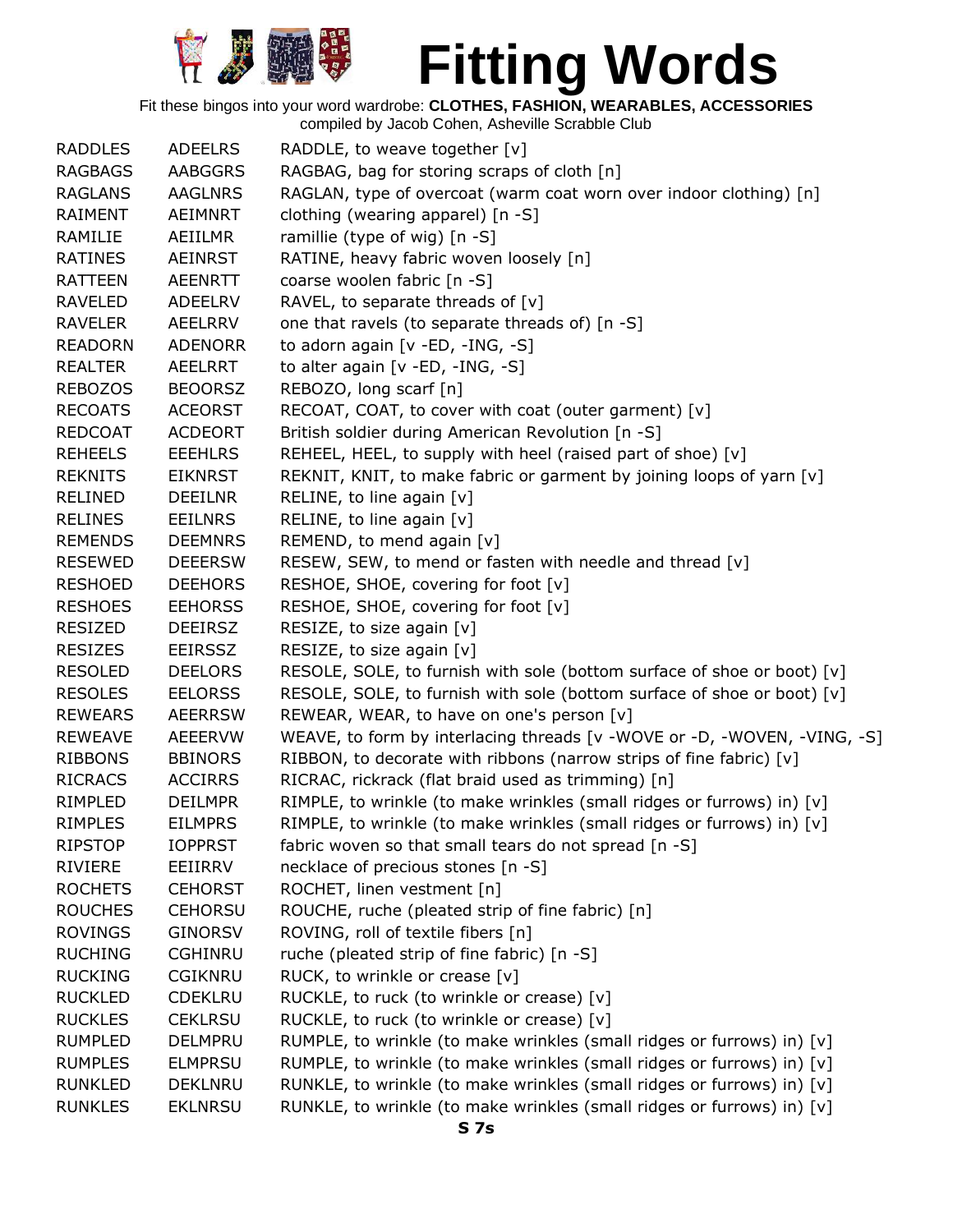

Fit these bingos into your word wardrobe: **CLOTHES, FASHION, WEARABLES, ACCESSORIES**

| <b>RADDLES</b> | <b>ADEELRS</b> | RADDLE, to weave together [v]                                            |
|----------------|----------------|--------------------------------------------------------------------------|
| <b>RAGBAGS</b> | <b>AABGGRS</b> | RAGBAG, bag for storing scraps of cloth [n]                              |
| <b>RAGLANS</b> | <b>AAGLNRS</b> | RAGLAN, type of overcoat (warm coat worn over indoor clothing) [n]       |
| RAIMENT        | AEIMNRT        | clothing (wearing apparel) [n -S]                                        |
| RAMILIE        | AEIILMR        | ramillie (type of wig) [n -S]                                            |
| <b>RATINES</b> | AEINRST        | RATINE, heavy fabric woven loosely [n]                                   |
| <b>RATTEEN</b> | <b>AEENRTT</b> | coarse woolen fabric [n -S]                                              |
| <b>RAVELED</b> | <b>ADEELRV</b> | RAVEL, to separate threads of [v]                                        |
| <b>RAVELER</b> | AEELRRV        | one that ravels (to separate threads of) [n -S]                          |
| <b>READORN</b> | <b>ADENORR</b> | to adorn again [v -ED, -ING, -S]                                         |
| <b>REALTER</b> | AEELRRT        | to alter again [v -ED, -ING, -S]                                         |
| <b>REBOZOS</b> | <b>BEOORSZ</b> | REBOZO, long scarf [n]                                                   |
| <b>RECOATS</b> | <b>ACEORST</b> | RECOAT, COAT, to cover with coat (outer garment) [v]                     |
| <b>REDCOAT</b> | <b>ACDEORT</b> | British soldier during American Revolution [n -S]                        |
| <b>REHEELS</b> | <b>EEEHLRS</b> | REHEEL, HEEL, to supply with heel (raised part of shoe) [v]              |
| <b>REKNITS</b> | <b>EIKNRST</b> | REKNIT, KNIT, to make fabric or garment by joining loops of yarn [v]     |
| <b>RELINED</b> | <b>DEEILNR</b> | RELINE, to line again $[v]$                                              |
| <b>RELINES</b> | <b>EEILNRS</b> | RELINE, to line again [v]                                                |
| <b>REMENDS</b> | <b>DEEMNRS</b> | REMEND, to mend again [v]                                                |
| <b>RESEWED</b> | <b>DEEERSW</b> | RESEW, SEW, to mend or fasten with needle and thread [v]                 |
| <b>RESHOED</b> | <b>DEEHORS</b> | RESHOE, SHOE, covering for foot [v]                                      |
| <b>RESHOES</b> | <b>EEHORSS</b> | RESHOE, SHOE, covering for foot [v]                                      |
| <b>RESIZED</b> | <b>DEEIRSZ</b> | RESIZE, to size again [v]                                                |
| <b>RESIZES</b> | <b>EEIRSSZ</b> | RESIZE, to size again [v]                                                |
| <b>RESOLED</b> | <b>DEELORS</b> | RESOLE, SOLE, to furnish with sole (bottom surface of shoe or boot) [v]  |
| <b>RESOLES</b> | <b>EELORSS</b> | RESOLE, SOLE, to furnish with sole (bottom surface of shoe or boot) [v]  |
| <b>REWEARS</b> | <b>AEERRSW</b> | REWEAR, WEAR, to have on one's person [v]                                |
| <b>REWEAVE</b> | <b>AEEERVW</b> | WEAVE, to form by interlacing threads [v -WOVE or -D, -WOVEN, -VING, -S] |
| <b>RIBBONS</b> | <b>BBINORS</b> | RIBBON, to decorate with ribbons (narrow strips of fine fabric) [v]      |
| <b>RICRACS</b> | <b>ACCIRRS</b> | RICRAC, rickrack (flat braid used as trimming) [n]                       |
| RIMPLED        | <b>DEILMPR</b> | RIMPLE, to wrinkle (to make wrinkles (small ridges or furrows) in) [v]   |
| <b>RIMPLES</b> | <b>EILMPRS</b> | RIMPLE, to wrinkle (to make wrinkles (small ridges or furrows) in) [v]   |
| <b>RIPSTOP</b> | <b>IOPPRST</b> | fabric woven so that small tears do not spread [n -S]                    |
| RIVIERE        | EEIIRRV        | necklace of precious stones [n -S]                                       |
| <b>ROCHETS</b> | <b>CEHORST</b> | ROCHET, linen vestment [n]                                               |
| <b>ROUCHES</b> | <b>CEHORSU</b> | ROUCHE, ruche (pleated strip of fine fabric) [n]                         |
| <b>ROVINGS</b> | <b>GINORSV</b> | ROVING, roll of textile fibers [n]                                       |
| <b>RUCHING</b> | <b>CGHINRU</b> | ruche (pleated strip of fine fabric) [n -S]                              |
| <b>RUCKING</b> | <b>CGIKNRU</b> | RUCK, to wrinkle or crease [v]                                           |
| <b>RUCKLED</b> | <b>CDEKLRU</b> | RUCKLE, to ruck (to wrinkle or crease) [v]                               |
| <b>RUCKLES</b> | <b>CEKLRSU</b> | RUCKLE, to ruck (to wrinkle or crease) [v]                               |
| <b>RUMPLED</b> | <b>DELMPRU</b> | RUMPLE, to wrinkle (to make wrinkles (small ridges or furrows) in) [v]   |
| <b>RUMPLES</b> | <b>ELMPRSU</b> | RUMPLE, to wrinkle (to make wrinkles (small ridges or furrows) in) [v]   |
| <b>RUNKLED</b> | <b>DEKLNRU</b> | RUNKLE, to wrinkle (to make wrinkles (small ridges or furrows) in) [v]   |
| <b>RUNKLES</b> | <b>EKLNRSU</b> | RUNKLE, to wrinkle (to make wrinkles (small ridges or furrows) in) [v]   |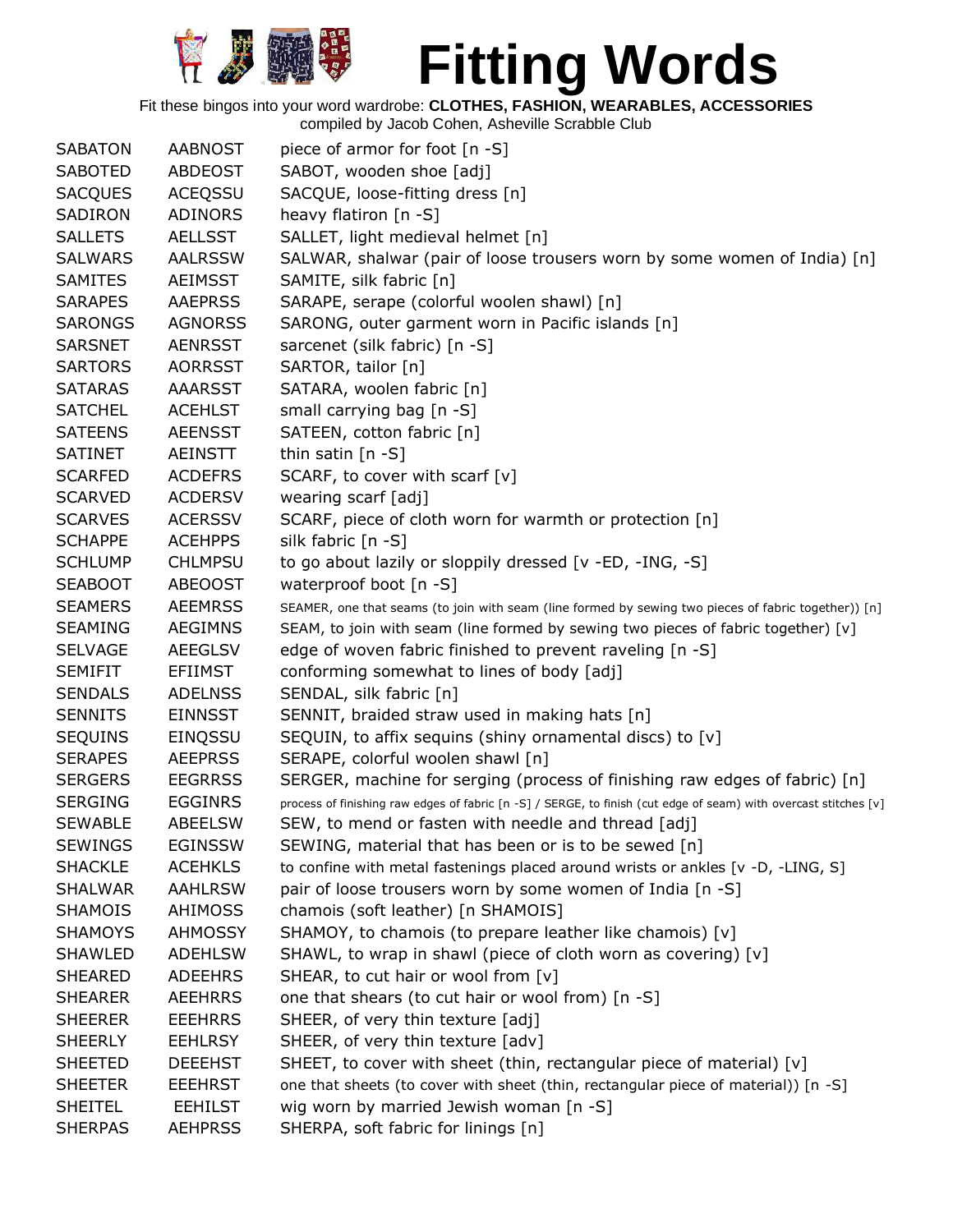

Fit these bingos into your word wardrobe: **CLOTHES, FASHION, WEARABLES, ACCESSORIES**

| <b>SABATON</b> | <b>AABNOST</b> | piece of armor for foot [n -S]                                                                                   |
|----------------|----------------|------------------------------------------------------------------------------------------------------------------|
| <b>SABOTED</b> | <b>ABDEOST</b> | SABOT, wooden shoe [adj]                                                                                         |
| <b>SACQUES</b> | <b>ACEQSSU</b> | SACQUE, loose-fitting dress [n]                                                                                  |
| SADIRON        | <b>ADINORS</b> | heavy flatiron [n -S]                                                                                            |
| <b>SALLETS</b> | <b>AELLSST</b> | SALLET, light medieval helmet [n]                                                                                |
|                |                |                                                                                                                  |
| <b>SALWARS</b> | <b>AALRSSW</b> | SALWAR, shalwar (pair of loose trousers worn by some women of India) [n]                                         |
| <b>SAMITES</b> | <b>AEIMSST</b> | SAMITE, silk fabric [n]                                                                                          |
| <b>SARAPES</b> | <b>AAEPRSS</b> | SARAPE, serape (colorful woolen shawl) [n]                                                                       |
| <b>SARONGS</b> | <b>AGNORSS</b> | SARONG, outer garment worn in Pacific islands [n]                                                                |
| <b>SARSNET</b> | <b>AENRSST</b> | sarcenet (silk fabric) [n -S]                                                                                    |
| <b>SARTORS</b> | <b>AORRSST</b> | SARTOR, tailor [n]                                                                                               |
| <b>SATARAS</b> | <b>AAARSST</b> | SATARA, woolen fabric [n]                                                                                        |
| <b>SATCHEL</b> | <b>ACEHLST</b> | small carrying bag [n -S]                                                                                        |
| <b>SATEENS</b> | <b>AEENSST</b> | SATEEN, cotton fabric [n]                                                                                        |
| <b>SATINET</b> | AEINSTT        | thin satin $[n -S]$                                                                                              |
| <b>SCARFED</b> | <b>ACDEFRS</b> | SCARF, to cover with scarf [v]                                                                                   |
| <b>SCARVED</b> | <b>ACDERSV</b> | wearing scarf [adj]                                                                                              |
| <b>SCARVES</b> | <b>ACERSSV</b> | SCARF, piece of cloth worn for warmth or protection [n]                                                          |
| <b>SCHAPPE</b> | <b>ACEHPPS</b> | silk fabric [n -S]                                                                                               |
| <b>SCHLUMP</b> | <b>CHLMPSU</b> | to go about lazily or sloppily dressed [v -ED, -ING, -S]                                                         |
| <b>SEABOOT</b> | <b>ABEOOST</b> | waterproof boot [n -S]                                                                                           |
| <b>SEAMERS</b> | <b>AEEMRSS</b> | SEAMER, one that seams (to join with seam (line formed by sewing two pieces of fabric together)) [n]             |
| <b>SEAMING</b> | <b>AEGIMNS</b> | SEAM, to join with seam (line formed by sewing two pieces of fabric together) [v]                                |
| <b>SELVAGE</b> | <b>AEEGLSV</b> | edge of woven fabric finished to prevent raveling [n -S]                                                         |
| <b>SEMIFIT</b> | <b>EFIIMST</b> | conforming somewhat to lines of body [adj]                                                                       |
| <b>SENDALS</b> | <b>ADELNSS</b> | SENDAL, silk fabric [n]                                                                                          |
| <b>SENNITS</b> | <b>EINNSST</b> | SENNIT, braided straw used in making hats [n]                                                                    |
| <b>SEQUINS</b> | EINQSSU        | SEQUIN, to affix sequins (shiny ornamental discs) to [v]                                                         |
| <b>SERAPES</b> | <b>AEEPRSS</b> | SERAPE, colorful woolen shawl [n]                                                                                |
| <b>SERGERS</b> | <b>EEGRRSS</b> | SERGER, machine for serging (process of finishing raw edges of fabric) [n]                                       |
| <b>SERGING</b> | <b>EGGINRS</b> | process of finishing raw edges of fabric [n -S] / SERGE, to finish (cut edge of seam) with overcast stitches [v] |
| <b>SEWABLE</b> | <b>ABEELSW</b> | SEW, to mend or fasten with needle and thread [adj]                                                              |
| <b>SEWINGS</b> | <b>EGINSSW</b> | SEWING, material that has been or is to be sewed [n]                                                             |
| <b>SHACKLE</b> | <b>ACEHKLS</b> | to confine with metal fastenings placed around wrists or ankles [v -D, -LING, S]                                 |
| <b>SHALWAR</b> | <b>AAHLRSW</b> | pair of loose trousers worn by some women of India [n -S]                                                        |
| <b>SHAMOIS</b> | AHIMOSS        | chamois (soft leather) [n SHAMOIS]                                                                               |
| <b>SHAMOYS</b> | <b>AHMOSSY</b> | SHAMOY, to chamois (to prepare leather like chamois) [v]                                                         |
| <b>SHAWLED</b> | <b>ADEHLSW</b> | SHAWL, to wrap in shawl (piece of cloth worn as covering) [v]                                                    |
| <b>SHEARED</b> | <b>ADEEHRS</b> | SHEAR, to cut hair or wool from [v]                                                                              |
| <b>SHEARER</b> | <b>AEEHRRS</b> | one that shears (to cut hair or wool from) [n -S]                                                                |
| <b>SHEERER</b> | <b>EEEHRRS</b> | SHEER, of very thin texture [adj]                                                                                |
| <b>SHEERLY</b> | <b>EEHLRSY</b> | SHEER, of very thin texture [adv]                                                                                |
| <b>SHEETED</b> | <b>DEEEHST</b> | SHEET, to cover with sheet (thin, rectangular piece of material) [v]                                             |
| <b>SHEETER</b> | <b>EEEHRST</b> | one that sheets (to cover with sheet (thin, rectangular piece of material)) [n -S]                               |
| <b>SHEITEL</b> | <b>EEHILST</b> | wig worn by married Jewish woman [n -S]                                                                          |
|                |                |                                                                                                                  |
| <b>SHERPAS</b> | <b>AEHPRSS</b> | SHERPA, soft fabric for linings [n]                                                                              |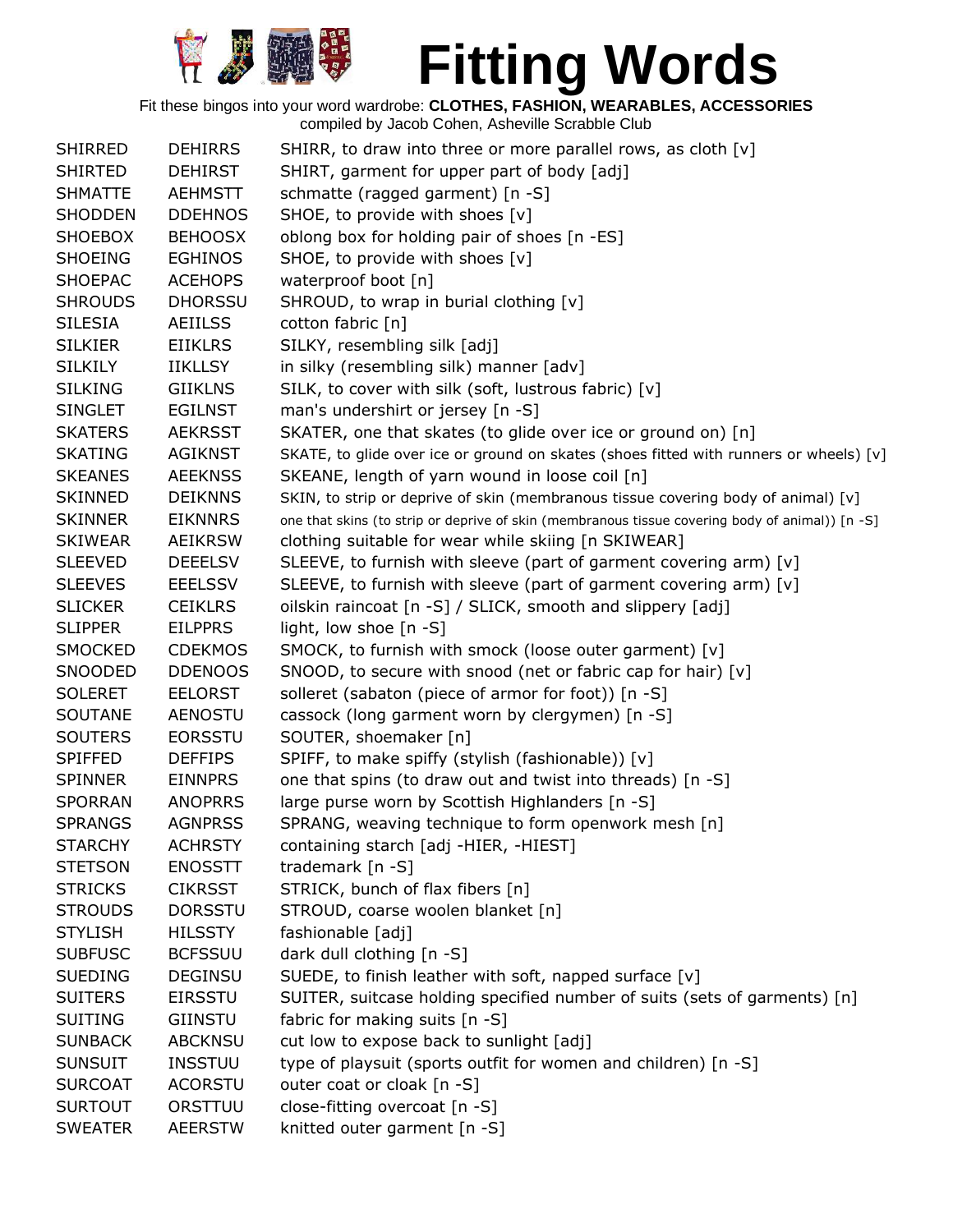

| <b>SHIRRED</b> | <b>DEHIRRS</b> | SHIRR, to draw into three or more parallel rows, as cloth [v]                                   |
|----------------|----------------|-------------------------------------------------------------------------------------------------|
| <b>SHIRTED</b> | <b>DEHIRST</b> | SHIRT, garment for upper part of body [adj]                                                     |
| <b>SHMATTE</b> | <b>AEHMSTT</b> | schmatte (ragged garment) [n -S]                                                                |
| <b>SHODDEN</b> | <b>DDEHNOS</b> | SHOE, to provide with shoes [v]                                                                 |
| <b>SHOEBOX</b> | <b>BEHOOSX</b> | oblong box for holding pair of shoes [n -ES]                                                    |
| <b>SHOEING</b> | <b>EGHINOS</b> | SHOE, to provide with shoes [v]                                                                 |
| <b>SHOEPAC</b> | <b>ACEHOPS</b> | waterproof boot [n]                                                                             |
| <b>SHROUDS</b> | <b>DHORSSU</b> | SHROUD, to wrap in burial clothing [v]                                                          |
| <b>SILESIA</b> | <b>AEIILSS</b> | cotton fabric [n]                                                                               |
| <b>SILKIER</b> | <b>EIIKLRS</b> | SILKY, resembling silk [adj]                                                                    |
| <b>SILKILY</b> | <b>IIKLLSY</b> | in silky (resembling silk) manner [adv]                                                         |
| <b>SILKING</b> | <b>GIIKLNS</b> | SILK, to cover with silk (soft, lustrous fabric) [v]                                            |
| <b>SINGLET</b> | <b>EGILNST</b> | man's undershirt or jersey [n -S]                                                               |
| <b>SKATERS</b> | <b>AEKRSST</b> | SKATER, one that skates (to glide over ice or ground on) [n]                                    |
| <b>SKATING</b> | <b>AGIKNST</b> | SKATE, to glide over ice or ground on skates (shoes fitted with runners or wheels) [v]          |
| <b>SKEANES</b> | <b>AEEKNSS</b> | SKEANE, length of yarn wound in loose coil [n]                                                  |
| <b>SKINNED</b> | <b>DEIKNNS</b> | SKIN, to strip or deprive of skin (membranous tissue covering body of animal) [v]               |
| <b>SKINNER</b> | <b>EIKNNRS</b> | one that skins (to strip or deprive of skin (membranous tissue covering body of animal)) [n -S] |
| <b>SKIWEAR</b> | <b>AEIKRSW</b> | clothing suitable for wear while skiing [n SKIWEAR]                                             |
| <b>SLEEVED</b> | <b>DEEELSV</b> | SLEEVE, to furnish with sleeve (part of garment covering arm) [v]                               |
| <b>SLEEVES</b> | <b>EEELSSV</b> | SLEEVE, to furnish with sleeve (part of garment covering arm) [v]                               |
| <b>SLICKER</b> | <b>CEIKLRS</b> | oilskin raincoat [n -S] / SLICK, smooth and slippery [adj]                                      |
| <b>SLIPPER</b> | <b>EILPPRS</b> | light, low shoe [n -S]                                                                          |
| <b>SMOCKED</b> | <b>CDEKMOS</b> | SMOCK, to furnish with smock (loose outer garment) [v]                                          |
| SNOODED        | <b>DDENOOS</b> | SNOOD, to secure with snood (net or fabric cap for hair) [v]                                    |
| <b>SOLERET</b> | <b>EELORST</b> | solleret (sabaton (piece of armor for foot)) [n -S]                                             |
| <b>SOUTANE</b> | <b>AENOSTU</b> | cassock (long garment worn by clergymen) [n -S]                                                 |
| <b>SOUTERS</b> | <b>EORSSTU</b> | SOUTER, shoemaker [n]                                                                           |
| <b>SPIFFED</b> | <b>DEFFIPS</b> | SPIFF, to make spiffy (stylish (fashionable)) [v]                                               |
| <b>SPINNER</b> | <b>EINNPRS</b> | one that spins (to draw out and twist into threads) [n -S]                                      |
| <b>SPORRAN</b> | <b>ANOPRRS</b> | large purse worn by Scottish Highlanders [n -S]                                                 |
| <b>SPRANGS</b> | <b>AGNPRSS</b> | SPRANG, weaving technique to form openwork mesh [n]                                             |
| <b>STARCHY</b> | <b>ACHRSTY</b> | containing starch [adj -HIER, -HIEST]                                                           |
| <b>STETSON</b> | <b>ENOSSTT</b> | trademark [n -S]                                                                                |
| <b>STRICKS</b> | <b>CIKRSST</b> | STRICK, bunch of flax fibers [n]                                                                |
| <b>STROUDS</b> | <b>DORSSTU</b> | STROUD, coarse woolen blanket [n]                                                               |
| <b>STYLISH</b> | <b>HILSSTY</b> | fashionable [adj]                                                                               |
| <b>SUBFUSC</b> | <b>BCFSSUU</b> | dark dull clothing [n -S]                                                                       |
| <b>SUEDING</b> | <b>DEGINSU</b> | SUEDE, to finish leather with soft, napped surface [v]                                          |
| <b>SUITERS</b> | <b>EIRSSTU</b> | SUITER, suitcase holding specified number of suits (sets of garments) [n]                       |
| <b>SUITING</b> | GIINSTU        | fabric for making suits [n -S]                                                                  |
| <b>SUNBACK</b> | <b>ABCKNSU</b> | cut low to expose back to sunlight [adj]                                                        |
| <b>SUNSUIT</b> | <b>INSSTUU</b> | type of playsuit (sports outfit for women and children) [n -S]                                  |
| <b>SURCOAT</b> | <b>ACORSTU</b> | outer coat or cloak [n -S]                                                                      |
| <b>SURTOUT</b> | ORSTTUU        | close-fitting overcoat [n -S]                                                                   |
| <b>SWEATER</b> | <b>AEERSTW</b> | knitted outer garment [n -S]                                                                    |
|                |                |                                                                                                 |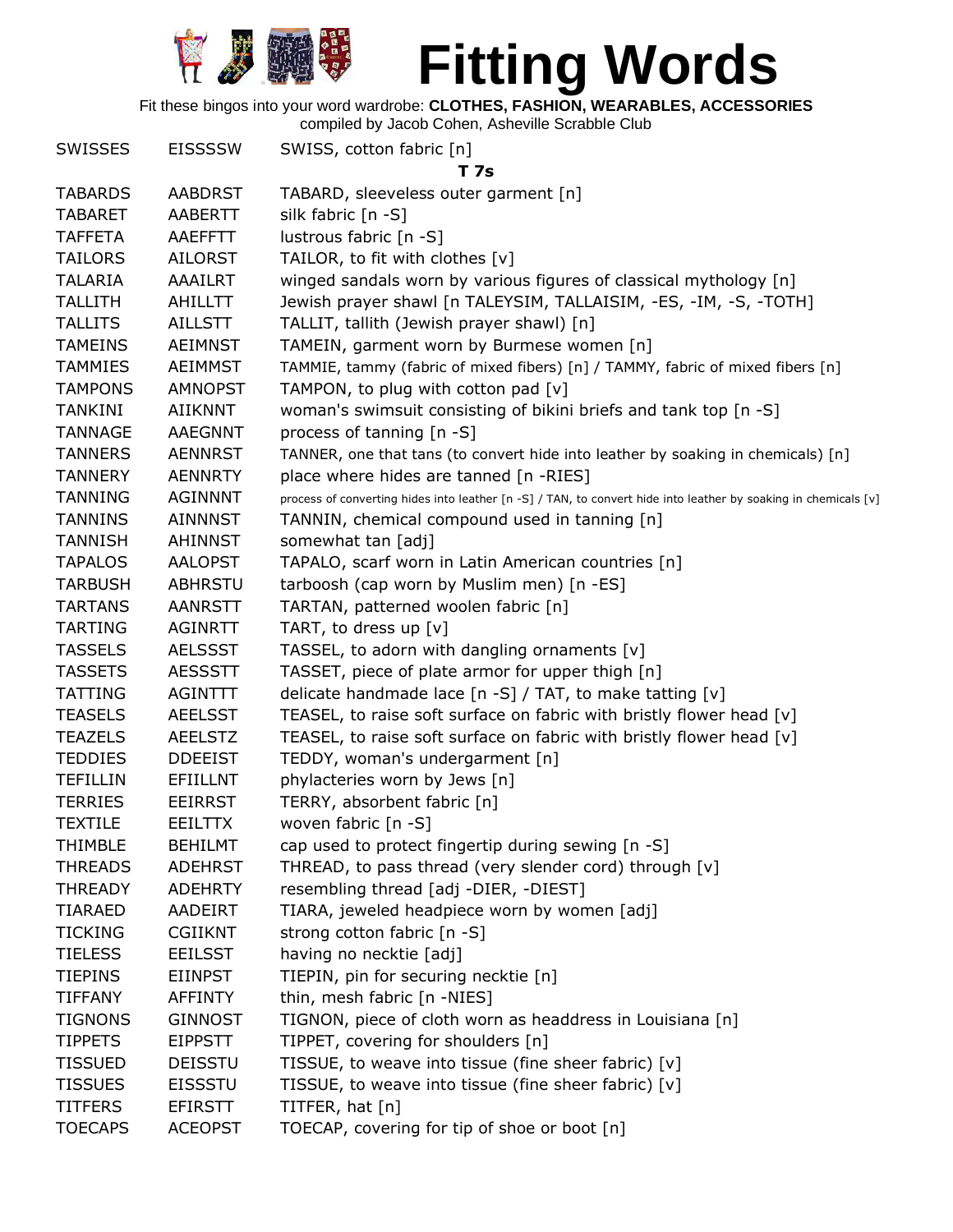

Fit these bingos into your word wardrobe: **CLOTHES, FASHION, WEARABLES, ACCESSORIES**

| T 7s<br><b>TABARDS</b><br><b>AABDRST</b><br>TABARD, sleeveless outer garment [n]<br>silk fabric [n -S]<br><b>TABARET</b><br>AABERTT<br><b>TAFFETA</b><br>lustrous fabric [n -S]<br>AAEFFTT<br>TAILOR, to fit with clothes [v]<br><b>TAILORS</b><br><b>AILORST</b><br>winged sandals worn by various figures of classical mythology [n]<br><b>TALARIA</b><br>AAAILRT<br>Jewish prayer shawl [n TALEYSIM, TALLAISIM, -ES, -IM, -S, -TOTH]<br><b>TALLITH</b><br><b>AHILLTT</b><br><b>TALLITS</b><br><b>AILLSTT</b><br>TALLIT, tallith (Jewish prayer shawl) [n]<br>TAMEIN, garment worn by Burmese women [n]<br><b>TAMEINS</b><br><b>AEIMNST</b><br><b>TAMMIES</b><br><b>AEIMMST</b><br>TAMMIE, tammy (fabric of mixed fibers) [n] / TAMMY, fabric of mixed fibers [n]<br><b>TAMPONS</b><br><b>AMNOPST</b><br>TAMPON, to plug with cotton pad $[v]$<br>woman's swimsuit consisting of bikini briefs and tank top [n -S]<br><b>TANKINI</b><br><b>AIIKNNT</b><br>process of tanning [n -S]<br><b>TANNAGE</b><br>AAEGNNT<br>TANNER, one that tans (to convert hide into leather by soaking in chemicals) [n]<br><b>TANNERS</b><br><b>AENNRST</b><br>place where hides are tanned [n -RIES]<br><b>TANNERY</b><br><b>AENNRTY</b><br><b>TANNING</b><br><b>AGINNNT</b><br>process of converting hides into leather [n -S] / TAN, to convert hide into leather by soaking in chemicals [v]<br><b>TANNINS</b><br><b>AINNNST</b><br>TANNIN, chemical compound used in tanning [n]<br>somewhat tan [adj]<br><b>TANNISH</b><br>AHINNST<br><b>TAPALOS</b><br><b>AALOPST</b><br>TAPALO, scarf worn in Latin American countries [n]<br>tarboosh (cap worn by Muslim men) [n -ES]<br><b>TARBUSH</b><br><b>ABHRSTU</b><br>TARTAN, patterned woolen fabric [n]<br><b>TARTANS</b><br><b>AANRSTT</b><br>TART, to dress up [v]<br><b>TARTING</b><br><b>AGINRTT</b><br>TASSEL, to adorn with dangling ornaments [v]<br><b>TASSELS</b><br><b>AELSSST</b><br>TASSET, piece of plate armor for upper thigh [n]<br><b>TASSETS</b><br><b>AESSSTT</b><br><b>TATTING</b><br>delicate handmade lace $[n -S] / TAT$ , to make tatting $[v]$<br>AGINTTT<br>TEASEL, to raise soft surface on fabric with bristly flower head [v]<br><b>TEASELS</b><br><b>AEELSST</b><br>TEASEL, to raise soft surface on fabric with bristly flower head [v]<br><b>TEAZELS</b><br><b>AEELSTZ</b><br><b>TEDDIES</b><br><b>DDEEIST</b><br>TEDDY, woman's undergarment [n]<br>phylacteries worn by Jews [n]<br><b>TEFILLIN</b><br><b>EFIILLNT</b><br>TERRY, absorbent fabric [n]<br><b>TERRIES</b><br><b>EEIRRST</b><br>woven fabric [n -S]<br><b>TEXTILE</b><br><b>EEILTTX</b><br>cap used to protect fingertip during sewing [n -S]<br><b>BEHILMT</b><br><b>THIMBLE</b><br>THREAD, to pass thread (very slender cord) through [v]<br><b>THREADS</b><br><b>ADEHRST</b><br>resembling thread [adj -DIER, -DIEST]<br><b>THREADY</b><br><b>ADEHRTY</b><br>TIARA, jeweled headpiece worn by women [adj]<br><b>TIARAED</b><br><b>AADEIRT</b> |
|-----------------------------------------------------------------------------------------------------------------------------------------------------------------------------------------------------------------------------------------------------------------------------------------------------------------------------------------------------------------------------------------------------------------------------------------------------------------------------------------------------------------------------------------------------------------------------------------------------------------------------------------------------------------------------------------------------------------------------------------------------------------------------------------------------------------------------------------------------------------------------------------------------------------------------------------------------------------------------------------------------------------------------------------------------------------------------------------------------------------------------------------------------------------------------------------------------------------------------------------------------------------------------------------------------------------------------------------------------------------------------------------------------------------------------------------------------------------------------------------------------------------------------------------------------------------------------------------------------------------------------------------------------------------------------------------------------------------------------------------------------------------------------------------------------------------------------------------------------------------------------------------------------------------------------------------------------------------------------------------------------------------------------------------------------------------------------------------------------------------------------------------------------------------------------------------------------------------------------------------------------------------------------------------------------------------------------------------------------------------------------------------------------------------------------------------------------------------------------------------------------------------------------------------------------------------------------------------------------------------------------------------------------------------------------------------------------------------------------------------------------------------------------------------------------------------------------------------------------------------------------------------------------------------------------------------------------------------------------------|
|                                                                                                                                                                                                                                                                                                                                                                                                                                                                                                                                                                                                                                                                                                                                                                                                                                                                                                                                                                                                                                                                                                                                                                                                                                                                                                                                                                                                                                                                                                                                                                                                                                                                                                                                                                                                                                                                                                                                                                                                                                                                                                                                                                                                                                                                                                                                                                                                                                                                                                                                                                                                                                                                                                                                                                                                                                                                                                                                                                                   |
|                                                                                                                                                                                                                                                                                                                                                                                                                                                                                                                                                                                                                                                                                                                                                                                                                                                                                                                                                                                                                                                                                                                                                                                                                                                                                                                                                                                                                                                                                                                                                                                                                                                                                                                                                                                                                                                                                                                                                                                                                                                                                                                                                                                                                                                                                                                                                                                                                                                                                                                                                                                                                                                                                                                                                                                                                                                                                                                                                                                   |
|                                                                                                                                                                                                                                                                                                                                                                                                                                                                                                                                                                                                                                                                                                                                                                                                                                                                                                                                                                                                                                                                                                                                                                                                                                                                                                                                                                                                                                                                                                                                                                                                                                                                                                                                                                                                                                                                                                                                                                                                                                                                                                                                                                                                                                                                                                                                                                                                                                                                                                                                                                                                                                                                                                                                                                                                                                                                                                                                                                                   |
|                                                                                                                                                                                                                                                                                                                                                                                                                                                                                                                                                                                                                                                                                                                                                                                                                                                                                                                                                                                                                                                                                                                                                                                                                                                                                                                                                                                                                                                                                                                                                                                                                                                                                                                                                                                                                                                                                                                                                                                                                                                                                                                                                                                                                                                                                                                                                                                                                                                                                                                                                                                                                                                                                                                                                                                                                                                                                                                                                                                   |
|                                                                                                                                                                                                                                                                                                                                                                                                                                                                                                                                                                                                                                                                                                                                                                                                                                                                                                                                                                                                                                                                                                                                                                                                                                                                                                                                                                                                                                                                                                                                                                                                                                                                                                                                                                                                                                                                                                                                                                                                                                                                                                                                                                                                                                                                                                                                                                                                                                                                                                                                                                                                                                                                                                                                                                                                                                                                                                                                                                                   |
|                                                                                                                                                                                                                                                                                                                                                                                                                                                                                                                                                                                                                                                                                                                                                                                                                                                                                                                                                                                                                                                                                                                                                                                                                                                                                                                                                                                                                                                                                                                                                                                                                                                                                                                                                                                                                                                                                                                                                                                                                                                                                                                                                                                                                                                                                                                                                                                                                                                                                                                                                                                                                                                                                                                                                                                                                                                                                                                                                                                   |
|                                                                                                                                                                                                                                                                                                                                                                                                                                                                                                                                                                                                                                                                                                                                                                                                                                                                                                                                                                                                                                                                                                                                                                                                                                                                                                                                                                                                                                                                                                                                                                                                                                                                                                                                                                                                                                                                                                                                                                                                                                                                                                                                                                                                                                                                                                                                                                                                                                                                                                                                                                                                                                                                                                                                                                                                                                                                                                                                                                                   |
|                                                                                                                                                                                                                                                                                                                                                                                                                                                                                                                                                                                                                                                                                                                                                                                                                                                                                                                                                                                                                                                                                                                                                                                                                                                                                                                                                                                                                                                                                                                                                                                                                                                                                                                                                                                                                                                                                                                                                                                                                                                                                                                                                                                                                                                                                                                                                                                                                                                                                                                                                                                                                                                                                                                                                                                                                                                                                                                                                                                   |
|                                                                                                                                                                                                                                                                                                                                                                                                                                                                                                                                                                                                                                                                                                                                                                                                                                                                                                                                                                                                                                                                                                                                                                                                                                                                                                                                                                                                                                                                                                                                                                                                                                                                                                                                                                                                                                                                                                                                                                                                                                                                                                                                                                                                                                                                                                                                                                                                                                                                                                                                                                                                                                                                                                                                                                                                                                                                                                                                                                                   |
|                                                                                                                                                                                                                                                                                                                                                                                                                                                                                                                                                                                                                                                                                                                                                                                                                                                                                                                                                                                                                                                                                                                                                                                                                                                                                                                                                                                                                                                                                                                                                                                                                                                                                                                                                                                                                                                                                                                                                                                                                                                                                                                                                                                                                                                                                                                                                                                                                                                                                                                                                                                                                                                                                                                                                                                                                                                                                                                                                                                   |
|                                                                                                                                                                                                                                                                                                                                                                                                                                                                                                                                                                                                                                                                                                                                                                                                                                                                                                                                                                                                                                                                                                                                                                                                                                                                                                                                                                                                                                                                                                                                                                                                                                                                                                                                                                                                                                                                                                                                                                                                                                                                                                                                                                                                                                                                                                                                                                                                                                                                                                                                                                                                                                                                                                                                                                                                                                                                                                                                                                                   |
|                                                                                                                                                                                                                                                                                                                                                                                                                                                                                                                                                                                                                                                                                                                                                                                                                                                                                                                                                                                                                                                                                                                                                                                                                                                                                                                                                                                                                                                                                                                                                                                                                                                                                                                                                                                                                                                                                                                                                                                                                                                                                                                                                                                                                                                                                                                                                                                                                                                                                                                                                                                                                                                                                                                                                                                                                                                                                                                                                                                   |
|                                                                                                                                                                                                                                                                                                                                                                                                                                                                                                                                                                                                                                                                                                                                                                                                                                                                                                                                                                                                                                                                                                                                                                                                                                                                                                                                                                                                                                                                                                                                                                                                                                                                                                                                                                                                                                                                                                                                                                                                                                                                                                                                                                                                                                                                                                                                                                                                                                                                                                                                                                                                                                                                                                                                                                                                                                                                                                                                                                                   |
|                                                                                                                                                                                                                                                                                                                                                                                                                                                                                                                                                                                                                                                                                                                                                                                                                                                                                                                                                                                                                                                                                                                                                                                                                                                                                                                                                                                                                                                                                                                                                                                                                                                                                                                                                                                                                                                                                                                                                                                                                                                                                                                                                                                                                                                                                                                                                                                                                                                                                                                                                                                                                                                                                                                                                                                                                                                                                                                                                                                   |
|                                                                                                                                                                                                                                                                                                                                                                                                                                                                                                                                                                                                                                                                                                                                                                                                                                                                                                                                                                                                                                                                                                                                                                                                                                                                                                                                                                                                                                                                                                                                                                                                                                                                                                                                                                                                                                                                                                                                                                                                                                                                                                                                                                                                                                                                                                                                                                                                                                                                                                                                                                                                                                                                                                                                                                                                                                                                                                                                                                                   |
|                                                                                                                                                                                                                                                                                                                                                                                                                                                                                                                                                                                                                                                                                                                                                                                                                                                                                                                                                                                                                                                                                                                                                                                                                                                                                                                                                                                                                                                                                                                                                                                                                                                                                                                                                                                                                                                                                                                                                                                                                                                                                                                                                                                                                                                                                                                                                                                                                                                                                                                                                                                                                                                                                                                                                                                                                                                                                                                                                                                   |
|                                                                                                                                                                                                                                                                                                                                                                                                                                                                                                                                                                                                                                                                                                                                                                                                                                                                                                                                                                                                                                                                                                                                                                                                                                                                                                                                                                                                                                                                                                                                                                                                                                                                                                                                                                                                                                                                                                                                                                                                                                                                                                                                                                                                                                                                                                                                                                                                                                                                                                                                                                                                                                                                                                                                                                                                                                                                                                                                                                                   |
|                                                                                                                                                                                                                                                                                                                                                                                                                                                                                                                                                                                                                                                                                                                                                                                                                                                                                                                                                                                                                                                                                                                                                                                                                                                                                                                                                                                                                                                                                                                                                                                                                                                                                                                                                                                                                                                                                                                                                                                                                                                                                                                                                                                                                                                                                                                                                                                                                                                                                                                                                                                                                                                                                                                                                                                                                                                                                                                                                                                   |
|                                                                                                                                                                                                                                                                                                                                                                                                                                                                                                                                                                                                                                                                                                                                                                                                                                                                                                                                                                                                                                                                                                                                                                                                                                                                                                                                                                                                                                                                                                                                                                                                                                                                                                                                                                                                                                                                                                                                                                                                                                                                                                                                                                                                                                                                                                                                                                                                                                                                                                                                                                                                                                                                                                                                                                                                                                                                                                                                                                                   |
|                                                                                                                                                                                                                                                                                                                                                                                                                                                                                                                                                                                                                                                                                                                                                                                                                                                                                                                                                                                                                                                                                                                                                                                                                                                                                                                                                                                                                                                                                                                                                                                                                                                                                                                                                                                                                                                                                                                                                                                                                                                                                                                                                                                                                                                                                                                                                                                                                                                                                                                                                                                                                                                                                                                                                                                                                                                                                                                                                                                   |
|                                                                                                                                                                                                                                                                                                                                                                                                                                                                                                                                                                                                                                                                                                                                                                                                                                                                                                                                                                                                                                                                                                                                                                                                                                                                                                                                                                                                                                                                                                                                                                                                                                                                                                                                                                                                                                                                                                                                                                                                                                                                                                                                                                                                                                                                                                                                                                                                                                                                                                                                                                                                                                                                                                                                                                                                                                                                                                                                                                                   |
|                                                                                                                                                                                                                                                                                                                                                                                                                                                                                                                                                                                                                                                                                                                                                                                                                                                                                                                                                                                                                                                                                                                                                                                                                                                                                                                                                                                                                                                                                                                                                                                                                                                                                                                                                                                                                                                                                                                                                                                                                                                                                                                                                                                                                                                                                                                                                                                                                                                                                                                                                                                                                                                                                                                                                                                                                                                                                                                                                                                   |
|                                                                                                                                                                                                                                                                                                                                                                                                                                                                                                                                                                                                                                                                                                                                                                                                                                                                                                                                                                                                                                                                                                                                                                                                                                                                                                                                                                                                                                                                                                                                                                                                                                                                                                                                                                                                                                                                                                                                                                                                                                                                                                                                                                                                                                                                                                                                                                                                                                                                                                                                                                                                                                                                                                                                                                                                                                                                                                                                                                                   |
|                                                                                                                                                                                                                                                                                                                                                                                                                                                                                                                                                                                                                                                                                                                                                                                                                                                                                                                                                                                                                                                                                                                                                                                                                                                                                                                                                                                                                                                                                                                                                                                                                                                                                                                                                                                                                                                                                                                                                                                                                                                                                                                                                                                                                                                                                                                                                                                                                                                                                                                                                                                                                                                                                                                                                                                                                                                                                                                                                                                   |
|                                                                                                                                                                                                                                                                                                                                                                                                                                                                                                                                                                                                                                                                                                                                                                                                                                                                                                                                                                                                                                                                                                                                                                                                                                                                                                                                                                                                                                                                                                                                                                                                                                                                                                                                                                                                                                                                                                                                                                                                                                                                                                                                                                                                                                                                                                                                                                                                                                                                                                                                                                                                                                                                                                                                                                                                                                                                                                                                                                                   |
|                                                                                                                                                                                                                                                                                                                                                                                                                                                                                                                                                                                                                                                                                                                                                                                                                                                                                                                                                                                                                                                                                                                                                                                                                                                                                                                                                                                                                                                                                                                                                                                                                                                                                                                                                                                                                                                                                                                                                                                                                                                                                                                                                                                                                                                                                                                                                                                                                                                                                                                                                                                                                                                                                                                                                                                                                                                                                                                                                                                   |
|                                                                                                                                                                                                                                                                                                                                                                                                                                                                                                                                                                                                                                                                                                                                                                                                                                                                                                                                                                                                                                                                                                                                                                                                                                                                                                                                                                                                                                                                                                                                                                                                                                                                                                                                                                                                                                                                                                                                                                                                                                                                                                                                                                                                                                                                                                                                                                                                                                                                                                                                                                                                                                                                                                                                                                                                                                                                                                                                                                                   |
|                                                                                                                                                                                                                                                                                                                                                                                                                                                                                                                                                                                                                                                                                                                                                                                                                                                                                                                                                                                                                                                                                                                                                                                                                                                                                                                                                                                                                                                                                                                                                                                                                                                                                                                                                                                                                                                                                                                                                                                                                                                                                                                                                                                                                                                                                                                                                                                                                                                                                                                                                                                                                                                                                                                                                                                                                                                                                                                                                                                   |
|                                                                                                                                                                                                                                                                                                                                                                                                                                                                                                                                                                                                                                                                                                                                                                                                                                                                                                                                                                                                                                                                                                                                                                                                                                                                                                                                                                                                                                                                                                                                                                                                                                                                                                                                                                                                                                                                                                                                                                                                                                                                                                                                                                                                                                                                                                                                                                                                                                                                                                                                                                                                                                                                                                                                                                                                                                                                                                                                                                                   |
|                                                                                                                                                                                                                                                                                                                                                                                                                                                                                                                                                                                                                                                                                                                                                                                                                                                                                                                                                                                                                                                                                                                                                                                                                                                                                                                                                                                                                                                                                                                                                                                                                                                                                                                                                                                                                                                                                                                                                                                                                                                                                                                                                                                                                                                                                                                                                                                                                                                                                                                                                                                                                                                                                                                                                                                                                                                                                                                                                                                   |
|                                                                                                                                                                                                                                                                                                                                                                                                                                                                                                                                                                                                                                                                                                                                                                                                                                                                                                                                                                                                                                                                                                                                                                                                                                                                                                                                                                                                                                                                                                                                                                                                                                                                                                                                                                                                                                                                                                                                                                                                                                                                                                                                                                                                                                                                                                                                                                                                                                                                                                                                                                                                                                                                                                                                                                                                                                                                                                                                                                                   |
|                                                                                                                                                                                                                                                                                                                                                                                                                                                                                                                                                                                                                                                                                                                                                                                                                                                                                                                                                                                                                                                                                                                                                                                                                                                                                                                                                                                                                                                                                                                                                                                                                                                                                                                                                                                                                                                                                                                                                                                                                                                                                                                                                                                                                                                                                                                                                                                                                                                                                                                                                                                                                                                                                                                                                                                                                                                                                                                                                                                   |
|                                                                                                                                                                                                                                                                                                                                                                                                                                                                                                                                                                                                                                                                                                                                                                                                                                                                                                                                                                                                                                                                                                                                                                                                                                                                                                                                                                                                                                                                                                                                                                                                                                                                                                                                                                                                                                                                                                                                                                                                                                                                                                                                                                                                                                                                                                                                                                                                                                                                                                                                                                                                                                                                                                                                                                                                                                                                                                                                                                                   |
|                                                                                                                                                                                                                                                                                                                                                                                                                                                                                                                                                                                                                                                                                                                                                                                                                                                                                                                                                                                                                                                                                                                                                                                                                                                                                                                                                                                                                                                                                                                                                                                                                                                                                                                                                                                                                                                                                                                                                                                                                                                                                                                                                                                                                                                                                                                                                                                                                                                                                                                                                                                                                                                                                                                                                                                                                                                                                                                                                                                   |
|                                                                                                                                                                                                                                                                                                                                                                                                                                                                                                                                                                                                                                                                                                                                                                                                                                                                                                                                                                                                                                                                                                                                                                                                                                                                                                                                                                                                                                                                                                                                                                                                                                                                                                                                                                                                                                                                                                                                                                                                                                                                                                                                                                                                                                                                                                                                                                                                                                                                                                                                                                                                                                                                                                                                                                                                                                                                                                                                                                                   |
| <b>TICKING</b><br>strong cotton fabric [n -S]<br><b>CGIIKNT</b>                                                                                                                                                                                                                                                                                                                                                                                                                                                                                                                                                                                                                                                                                                                                                                                                                                                                                                                                                                                                                                                                                                                                                                                                                                                                                                                                                                                                                                                                                                                                                                                                                                                                                                                                                                                                                                                                                                                                                                                                                                                                                                                                                                                                                                                                                                                                                                                                                                                                                                                                                                                                                                                                                                                                                                                                                                                                                                                   |
| <b>TIELESS</b><br>having no necktie [adj]<br><b>EEILSST</b>                                                                                                                                                                                                                                                                                                                                                                                                                                                                                                                                                                                                                                                                                                                                                                                                                                                                                                                                                                                                                                                                                                                                                                                                                                                                                                                                                                                                                                                                                                                                                                                                                                                                                                                                                                                                                                                                                                                                                                                                                                                                                                                                                                                                                                                                                                                                                                                                                                                                                                                                                                                                                                                                                                                                                                                                                                                                                                                       |
| TIEPIN, pin for securing necktie [n]<br><b>TIEPINS</b><br><b>EIINPST</b>                                                                                                                                                                                                                                                                                                                                                                                                                                                                                                                                                                                                                                                                                                                                                                                                                                                                                                                                                                                                                                                                                                                                                                                                                                                                                                                                                                                                                                                                                                                                                                                                                                                                                                                                                                                                                                                                                                                                                                                                                                                                                                                                                                                                                                                                                                                                                                                                                                                                                                                                                                                                                                                                                                                                                                                                                                                                                                          |
| thin, mesh fabric [n -NIES]<br><b>TIFFANY</b><br>AFFINTY                                                                                                                                                                                                                                                                                                                                                                                                                                                                                                                                                                                                                                                                                                                                                                                                                                                                                                                                                                                                                                                                                                                                                                                                                                                                                                                                                                                                                                                                                                                                                                                                                                                                                                                                                                                                                                                                                                                                                                                                                                                                                                                                                                                                                                                                                                                                                                                                                                                                                                                                                                                                                                                                                                                                                                                                                                                                                                                          |
| TIGNON, piece of cloth worn as headdress in Louisiana [n]<br><b>TIGNONS</b><br><b>GINNOST</b>                                                                                                                                                                                                                                                                                                                                                                                                                                                                                                                                                                                                                                                                                                                                                                                                                                                                                                                                                                                                                                                                                                                                                                                                                                                                                                                                                                                                                                                                                                                                                                                                                                                                                                                                                                                                                                                                                                                                                                                                                                                                                                                                                                                                                                                                                                                                                                                                                                                                                                                                                                                                                                                                                                                                                                                                                                                                                     |
| <b>TIPPETS</b><br>TIPPET, covering for shoulders [n]<br><b>EIPPSTT</b>                                                                                                                                                                                                                                                                                                                                                                                                                                                                                                                                                                                                                                                                                                                                                                                                                                                                                                                                                                                                                                                                                                                                                                                                                                                                                                                                                                                                                                                                                                                                                                                                                                                                                                                                                                                                                                                                                                                                                                                                                                                                                                                                                                                                                                                                                                                                                                                                                                                                                                                                                                                                                                                                                                                                                                                                                                                                                                            |
| TISSUE, to weave into tissue (fine sheer fabric) [v]<br><b>TISSUED</b><br><b>DEISSTU</b>                                                                                                                                                                                                                                                                                                                                                                                                                                                                                                                                                                                                                                                                                                                                                                                                                                                                                                                                                                                                                                                                                                                                                                                                                                                                                                                                                                                                                                                                                                                                                                                                                                                                                                                                                                                                                                                                                                                                                                                                                                                                                                                                                                                                                                                                                                                                                                                                                                                                                                                                                                                                                                                                                                                                                                                                                                                                                          |
| TISSUE, to weave into tissue (fine sheer fabric) [v]<br><b>TISSUES</b><br><b>EISSSTU</b>                                                                                                                                                                                                                                                                                                                                                                                                                                                                                                                                                                                                                                                                                                                                                                                                                                                                                                                                                                                                                                                                                                                                                                                                                                                                                                                                                                                                                                                                                                                                                                                                                                                                                                                                                                                                                                                                                                                                                                                                                                                                                                                                                                                                                                                                                                                                                                                                                                                                                                                                                                                                                                                                                                                                                                                                                                                                                          |
| <b>TITFERS</b><br>TITFER, hat [n]<br><b>EFIRSTT</b>                                                                                                                                                                                                                                                                                                                                                                                                                                                                                                                                                                                                                                                                                                                                                                                                                                                                                                                                                                                                                                                                                                                                                                                                                                                                                                                                                                                                                                                                                                                                                                                                                                                                                                                                                                                                                                                                                                                                                                                                                                                                                                                                                                                                                                                                                                                                                                                                                                                                                                                                                                                                                                                                                                                                                                                                                                                                                                                               |
| TOECAP, covering for tip of shoe or boot [n]<br><b>TOECAPS</b><br><b>ACEOPST</b>                                                                                                                                                                                                                                                                                                                                                                                                                                                                                                                                                                                                                                                                                                                                                                                                                                                                                                                                                                                                                                                                                                                                                                                                                                                                                                                                                                                                                                                                                                                                                                                                                                                                                                                                                                                                                                                                                                                                                                                                                                                                                                                                                                                                                                                                                                                                                                                                                                                                                                                                                                                                                                                                                                                                                                                                                                                                                                  |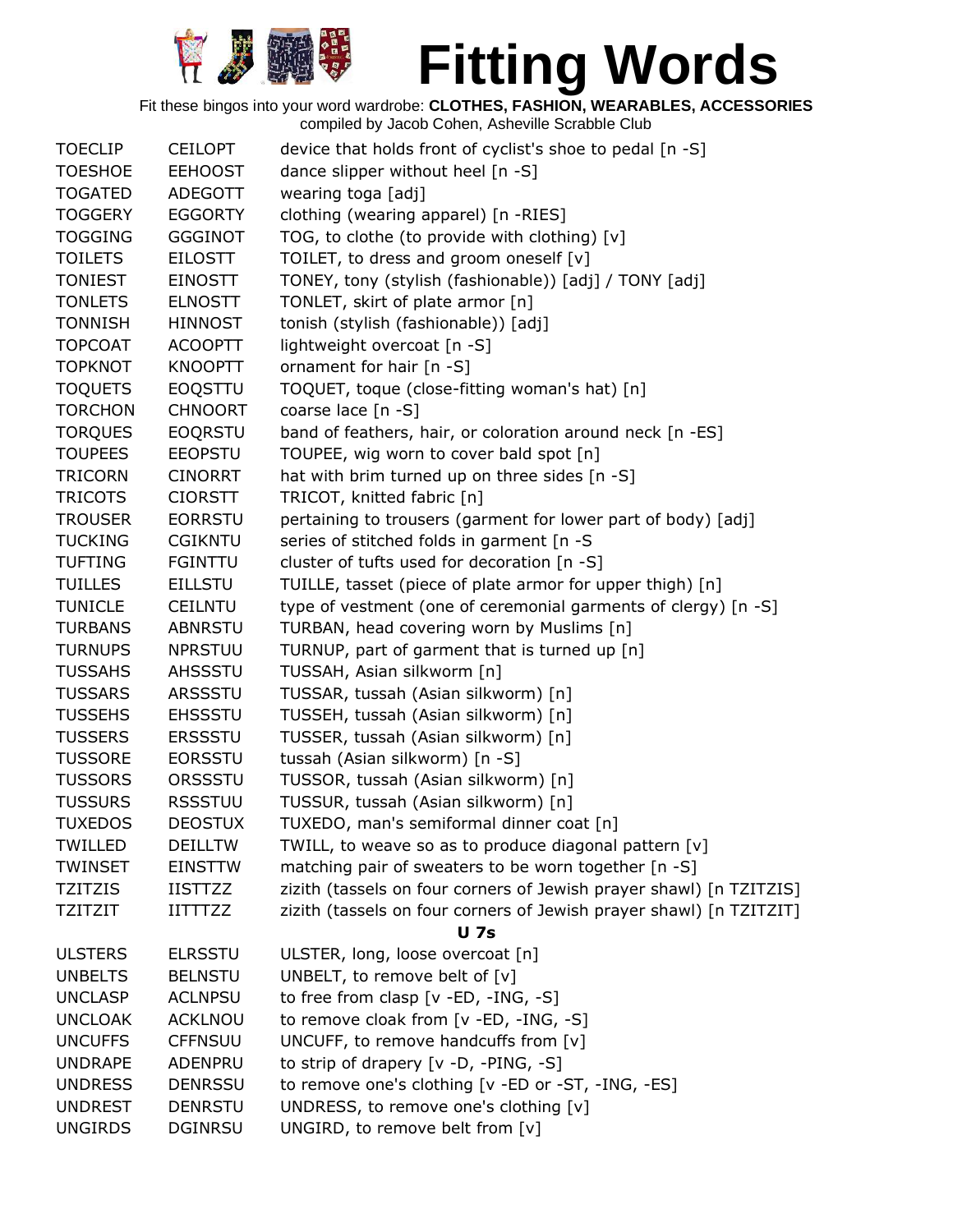

| <b>TOECLIP</b> | <b>CEILOPT</b> | device that holds front of cyclist's shoe to pedal [n -S]                          |
|----------------|----------------|------------------------------------------------------------------------------------|
| <b>TOESHOE</b> | <b>EEHOOST</b> | dance slipper without heel [n -S]                                                  |
| <b>TOGATED</b> | <b>ADEGOTT</b> | wearing toga [adj]                                                                 |
| <b>TOGGERY</b> | <b>EGGORTY</b> | clothing (wearing apparel) [n -RIES]                                               |
| <b>TOGGING</b> | <b>GGGINOT</b> | TOG, to clothe (to provide with clothing) [v]                                      |
| <b>TOILETS</b> | <b>EILOSTT</b> | TOILET, to dress and groom oneself [v]                                             |
| <b>TONIEST</b> | <b>EINOSTT</b> | TONEY, tony (stylish (fashionable)) [adj] / TONY [adj]                             |
| <b>TONLETS</b> | <b>ELNOSTT</b> | TONLET, skirt of plate armor [n]                                                   |
| <b>TONNISH</b> | <b>HINNOST</b> | tonish (stylish (fashionable)) [adj]                                               |
| <b>TOPCOAT</b> | <b>ACOOPTT</b> | lightweight overcoat [n -S]                                                        |
| <b>TOPKNOT</b> | <b>KNOOPTT</b> | ornament for hair [n -S]                                                           |
| <b>TOQUETS</b> | EOQSTTU        | TOQUET, toque (close-fitting woman's hat) [n]                                      |
| <b>TORCHON</b> | <b>CHNOORT</b> | coarse lace $[n - S]$                                                              |
| <b>TORQUES</b> | <b>EOQRSTU</b> | band of feathers, hair, or coloration around neck [n -ES]                          |
| <b>TOUPEES</b> | <b>EEOPSTU</b> | TOUPEE, wig worn to cover bald spot [n]                                            |
| <b>TRICORN</b> | <b>CINORRT</b> | hat with brim turned up on three sides [n -S]                                      |
| <b>TRICOTS</b> | <b>CIORSTT</b> | TRICOT, knitted fabric [n]                                                         |
| <b>TROUSER</b> | <b>EORRSTU</b> | pertaining to trousers (garment for lower part of body) [adj]                      |
| <b>TUCKING</b> | <b>CGIKNTU</b> | series of stitched folds in garment [n -S                                          |
| <b>TUFTING</b> | <b>FGINTTU</b> | cluster of tufts used for decoration [n -S]                                        |
| <b>TUILLES</b> | <b>EILLSTU</b> | TUILLE, tasset (piece of plate armor for upper thigh) [n]                          |
| <b>TUNICLE</b> | <b>CEILNTU</b> | type of vestment (one of ceremonial garments of clergy) [n -S]                     |
| <b>TURBANS</b> | ABNRSTU        | TURBAN, head covering worn by Muslims [n]                                          |
| <b>TURNUPS</b> | <b>NPRSTUU</b> | TURNUP, part of garment that is turned up [n]                                      |
| <b>TUSSAHS</b> | AHSSSTU        | TUSSAH, Asian silkworm [n]                                                         |
| <b>TUSSARS</b> | ARSSSTU        | TUSSAR, tussah (Asian silkworm) [n]                                                |
| <b>TUSSEHS</b> | <b>EHSSSTU</b> | TUSSEH, tussah (Asian silkworm) [n]                                                |
| <b>TUSSERS</b> | <b>ERSSSTU</b> | TUSSER, tussah (Asian silkworm) [n]                                                |
| <b>TUSSORE</b> | <b>EORSSTU</b> | tussah (Asian silkworm) [n -S]                                                     |
| <b>TUSSORS</b> | ORSSSTU        | TUSSOR, tussah (Asian silkworm) [n]                                                |
| <b>TUSSURS</b> | <b>RSSSTUU</b> | TUSSUR, tussah (Asian silkworm) [n]                                                |
| <b>TUXEDOS</b> | <b>DEOSTUX</b> | TUXEDO, man's semiformal dinner coat [n]                                           |
| <b>TWILLED</b> | <b>DEILLTW</b> | TWILL, to weave so as to produce diagonal pattern [v]                              |
| <b>TWINSET</b> | <b>EINSTTW</b> | matching pair of sweaters to be worn together [n -S]                               |
| <b>TZITZIS</b> | <b>IISTTZZ</b> | zizith (tassels on four corners of Jewish prayer shawl) [n TZITZIS]                |
|                |                |                                                                                    |
| <b>TZITZIT</b> | <b>IITTTZZ</b> | zizith (tassels on four corners of Jewish prayer shawl) [n TZITZIT]<br><b>U</b> 7s |
| <b>ULSTERS</b> | <b>ELRSSTU</b> | ULSTER, long, loose overcoat [n]                                                   |
| <b>UNBELTS</b> | <b>BELNSTU</b> | UNBELT, to remove belt of $[v]$                                                    |
| <b>UNCLASP</b> | <b>ACLNPSU</b> | to free from clasp $[v - ED, -ING, -S]$                                            |
| <b>UNCLOAK</b> | <b>ACKLNOU</b> | to remove cloak from [v -ED, -ING, -S]                                             |
| <b>UNCUFFS</b> | <b>CFFNSUU</b> | UNCUFF, to remove handcuffs from [v]                                               |
| <b>UNDRAPE</b> | ADENPRU        | to strip of drapery $[v -D, -PING, -S]$                                            |
| <b>UNDRESS</b> | <b>DENRSSU</b> | to remove one's clothing [v -ED or -ST, -ING, -ES]                                 |
|                |                |                                                                                    |
| <b>UNGIRDS</b> | <b>DGINRSU</b> |                                                                                    |
| <b>UNDREST</b> | <b>DENRSTU</b> | UNDRESS, to remove one's clothing [v]<br>UNGIRD, to remove belt from [v]           |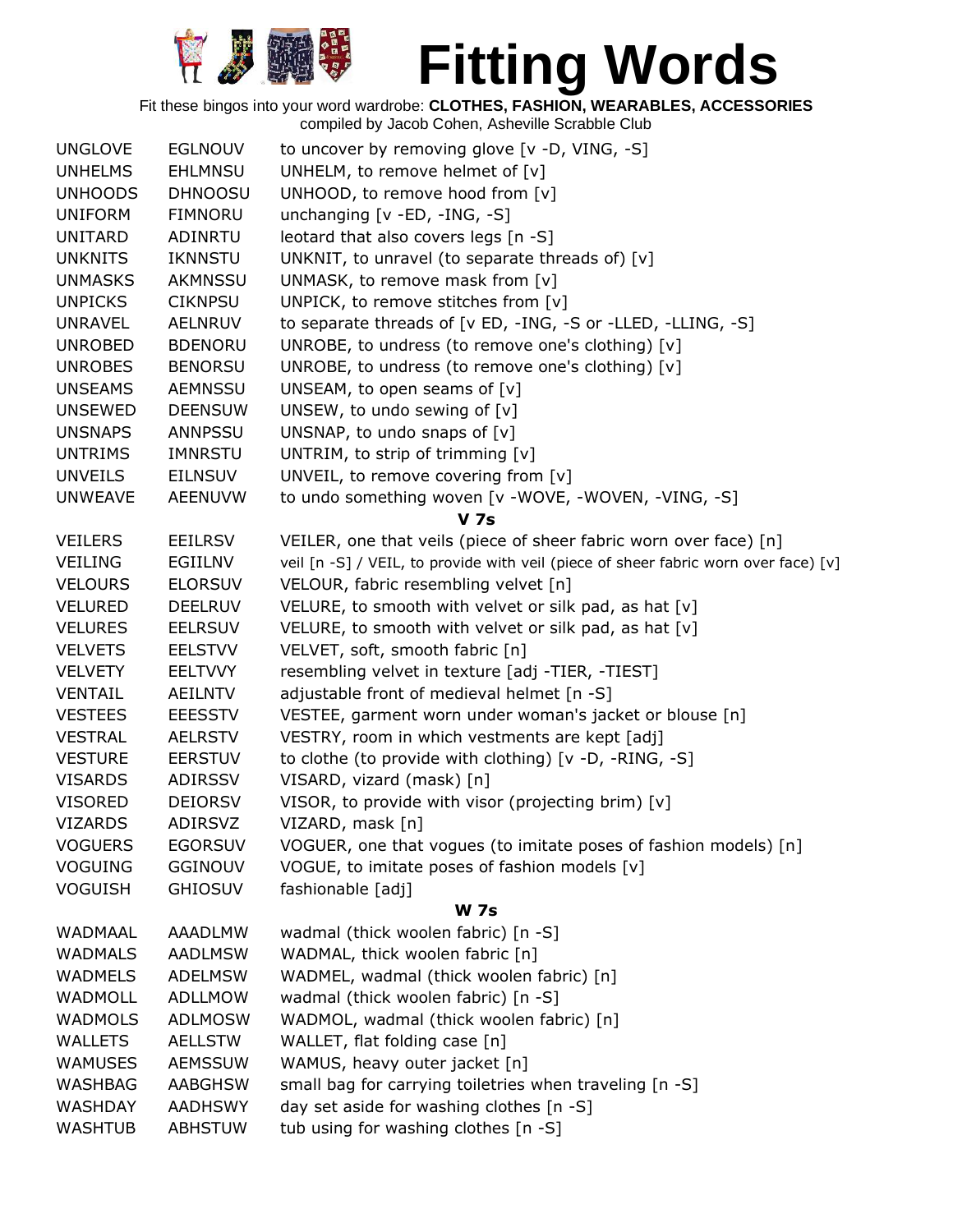

| <b>UNGLOVE</b> | <b>EGLNOUV</b> | to uncover by removing glove [v -D, VING, -S]                                       |
|----------------|----------------|-------------------------------------------------------------------------------------|
| <b>UNHELMS</b> | <b>EHLMNSU</b> | UNHELM, to remove helmet of [v]                                                     |
| <b>UNHOODS</b> | <b>DHNOOSU</b> | UNHOOD, to remove hood from [v]                                                     |
| <b>UNIFORM</b> | <b>FIMNORU</b> | unchanging [v - ED, -ING, -S]                                                       |
| <b>UNITARD</b> | <b>ADINRTU</b> | leotard that also covers legs [n -S]                                                |
| <b>UNKNITS</b> | <b>IKNNSTU</b> | UNKNIT, to unravel (to separate threads of) [v]                                     |
| <b>UNMASKS</b> | AKMNSSU        | UNMASK, to remove mask from [v]                                                     |
| <b>UNPICKS</b> | <b>CIKNPSU</b> | UNPICK, to remove stitches from [v]                                                 |
| <b>UNRAVEL</b> | AELNRUV        | to separate threads of [v ED, -ING, -S or -LLED, -LLING, -S]                        |
| <b>UNROBED</b> | <b>BDENORU</b> | UNROBE, to undress (to remove one's clothing) [v]                                   |
| <b>UNROBES</b> | <b>BENORSU</b> | UNROBE, to undress (to remove one's clothing) [v]                                   |
| <b>UNSEAMS</b> | AEMNSSU        | UNSEAM, to open seams of $[v]$                                                      |
| <b>UNSEWED</b> | <b>DEENSUW</b> | UNSEW, to undo sewing of [v]                                                        |
| <b>UNSNAPS</b> | <b>ANNPSSU</b> | UNSNAP, to undo snaps of $[v]$                                                      |
| <b>UNTRIMS</b> | IMNRSTU        | UNTRIM, to strip of trimming [v]                                                    |
| <b>UNVEILS</b> | <b>EILNSUV</b> | UNVEIL, to remove covering from [v]                                                 |
| <b>UNWEAVE</b> | AEENUVW        | to undo something woven [v -WOVE, -WOVEN, -VING, -S]                                |
|                |                | <b>V</b> 7s                                                                         |
| <b>VEILERS</b> | <b>EEILRSV</b> | VEILER, one that veils (piece of sheer fabric worn over face) [n]                   |
| <b>VEILING</b> | EGIILNV        | veil [n -S] / VEIL, to provide with veil (piece of sheer fabric worn over face) [v] |
| <b>VELOURS</b> | <b>ELORSUV</b> | VELOUR, fabric resembling velvet [n]                                                |
| <b>VELURED</b> | <b>DEELRUV</b> | VELURE, to smooth with velvet or silk pad, as hat [v]                               |
| <b>VELURES</b> | <b>EELRSUV</b> | VELURE, to smooth with velvet or silk pad, as hat [v]                               |
| <b>VELVETS</b> | <b>EELSTVV</b> | VELVET, soft, smooth fabric [n]                                                     |
| <b>VELVETY</b> | <b>EELTVVY</b> | resembling velvet in texture [adj -TIER, -TIEST]                                    |
| <b>VENTAIL</b> | <b>AEILNTV</b> | adjustable front of medieval helmet [n -S]                                          |
| <b>VESTEES</b> | <b>EEESSTV</b> | VESTEE, garment worn under woman's jacket or blouse [n]                             |
| <b>VESTRAL</b> | <b>AELRSTV</b> | VESTRY, room in which vestments are kept [adj]                                      |
| <b>VESTURE</b> | <b>EERSTUV</b> | to clothe (to provide with clothing) [v -D, -RING, -S]                              |
| <b>VISARDS</b> | ADIRSSV        | VISARD, vizard (mask) [n]                                                           |
| <b>VISORED</b> | <b>DEIORSV</b> | VISOR, to provide with visor (projecting brim) [v]                                  |
| <b>VIZARDS</b> | <b>ADIRSVZ</b> | VIZARD, mask [n]                                                                    |
| <b>VOGUERS</b> | <b>EGORSUV</b> | VOGUER, one that vogues (to imitate poses of fashion models) [n]                    |
| <b>VOGUING</b> | <b>GGINOUV</b> | VOGUE, to imitate poses of fashion models [v]                                       |
| <b>VOGUISH</b> | <b>GHIOSUV</b> | fashionable [adj]                                                                   |
|                |                | <b>W 7s</b>                                                                         |
| WADMAAL        | AAADLMW        | wadmal (thick woolen fabric) [n -S]                                                 |
| <b>WADMALS</b> | <b>AADLMSW</b> | WADMAL, thick woolen fabric [n]                                                     |
| <b>WADMELS</b> | <b>ADELMSW</b> | WADMEL, wadmal (thick woolen fabric) [n]                                            |
| <b>WADMOLL</b> | <b>ADLLMOW</b> | wadmal (thick woolen fabric) [n -S]                                                 |
| <b>WADMOLS</b> | <b>ADLMOSW</b> | WADMOL, wadmal (thick woolen fabric) [n]                                            |
| <b>WALLETS</b> | <b>AELLSTW</b> | WALLET, flat folding case [n]                                                       |
| <b>WAMUSES</b> | <b>AEMSSUW</b> | WAMUS, heavy outer jacket [n]                                                       |
| <b>WASHBAG</b> | <b>AABGHSW</b> | small bag for carrying toiletries when traveling [n -S]                             |
| <b>WASHDAY</b> | <b>AADHSWY</b> | day set aside for washing clothes [n -S]                                            |
| <b>WASHTUB</b> | <b>ABHSTUW</b> | tub using for washing clothes [n -S]                                                |
|                |                |                                                                                     |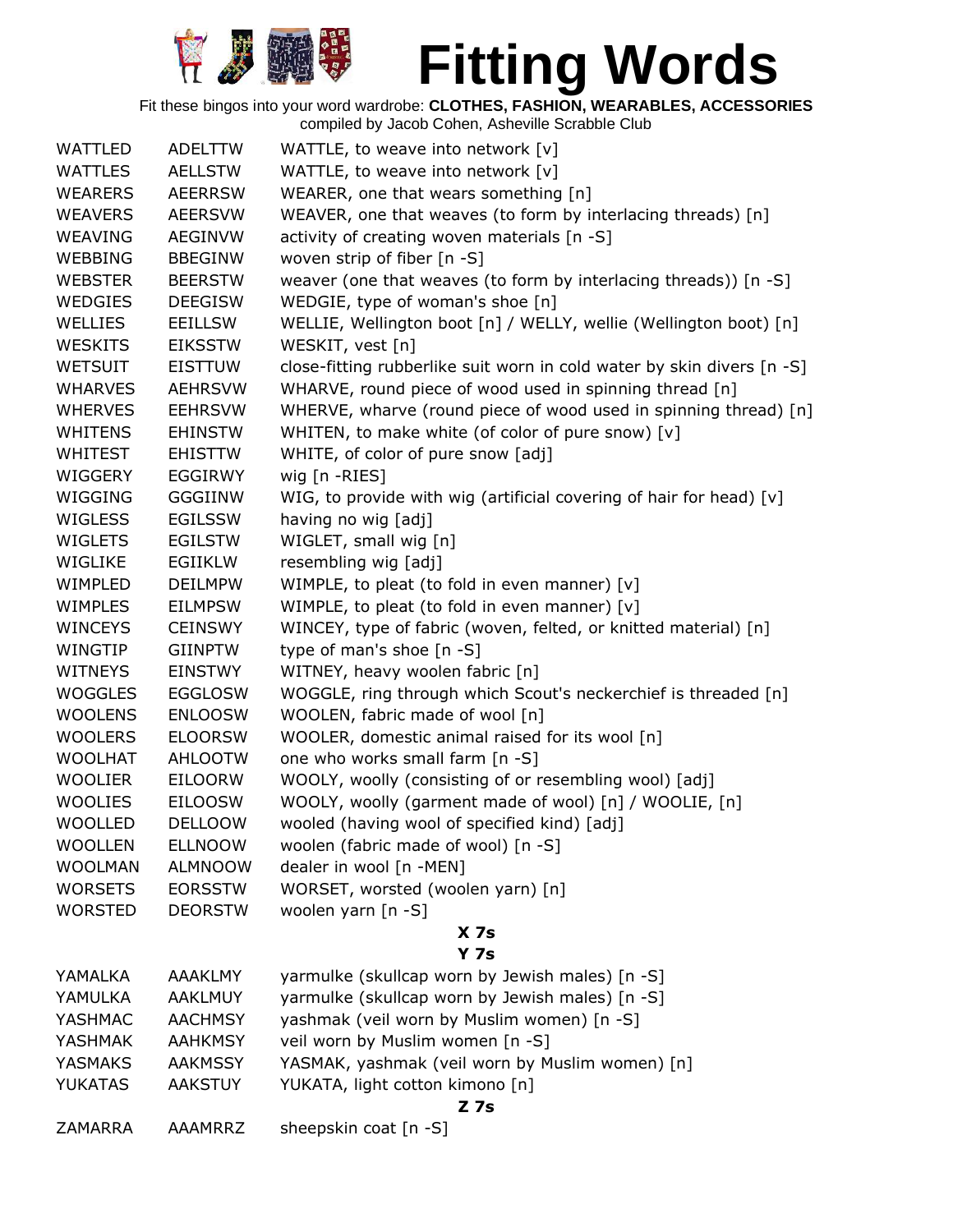

| <b>WATTLED</b> | <b>ADELTTW</b> | WATTLE, to weave into network [v]                                      |
|----------------|----------------|------------------------------------------------------------------------|
| <b>WATTLES</b> | <b>AELLSTW</b> | WATTLE, to weave into network [v]                                      |
| <b>WEARERS</b> | <b>AEERRSW</b> | WEARER, one that wears something [n]                                   |
| <b>WEAVERS</b> | <b>AEERSVW</b> | WEAVER, one that weaves (to form by interlacing threads) [n]           |
| <b>WEAVING</b> | <b>AEGINVW</b> | activity of creating woven materials [n -S]                            |
| <b>WEBBING</b> | <b>BBEGINW</b> | woven strip of fiber [n -S]                                            |
| <b>WEBSTER</b> | <b>BEERSTW</b> | weaver (one that weaves (to form by interlacing threads)) [n -S]       |
| <b>WEDGIES</b> | <b>DEEGISW</b> | WEDGIE, type of woman's shoe [n]                                       |
| WELLIES        | <b>EEILLSW</b> | WELLIE, Wellington boot [n] / WELLY, wellie (Wellington boot) [n]      |
| <b>WESKITS</b> | <b>EIKSSTW</b> | WESKIT, vest [n]                                                       |
| <b>WETSUIT</b> | <b>EISTTUW</b> | close-fitting rubberlike suit worn in cold water by skin divers [n -S] |
| <b>WHARVES</b> | <b>AEHRSVW</b> | WHARVE, round piece of wood used in spinning thread [n]                |
| <b>WHERVES</b> | <b>EEHRSVW</b> | WHERVE, wharve (round piece of wood used in spinning thread) [n]       |
| <b>WHITENS</b> | <b>EHINSTW</b> | WHITEN, to make white (of color of pure snow) [v]                      |
| <b>WHITEST</b> | <b>EHISTTW</b> | WHITE, of color of pure snow [adj]                                     |
| WIGGERY        | <b>EGGIRWY</b> | wig [n -RIES]                                                          |
| WIGGING        | <b>GGGIINW</b> | WIG, to provide with wig (artificial covering of hair for head) [v]    |
| WIGLESS        | <b>EGILSSW</b> | having no wig [adj]                                                    |
| WIGLETS        | <b>EGILSTW</b> | WIGLET, small wig [n]                                                  |
| WIGLIKE        | EGIIKLW        | resembling wig [adj]                                                   |
| WIMPLED        | <b>DEILMPW</b> | WIMPLE, to pleat (to fold in even manner) [v]                          |
| <b>WIMPLES</b> | <b>EILMPSW</b> | WIMPLE, to pleat (to fold in even manner) [v]                          |
| <b>WINCEYS</b> | <b>CEINSWY</b> | WINCEY, type of fabric (woven, felted, or knitted material) [n]        |
| WINGTIP        | <b>GIINPTW</b> | type of man's shoe [n -S]                                              |
| <b>WITNEYS</b> | <b>EINSTWY</b> | WITNEY, heavy woolen fabric [n]                                        |
| WOGGLES        | <b>EGGLOSW</b> | WOGGLE, ring through which Scout's neckerchief is threaded [n]         |
| <b>WOOLENS</b> | <b>ENLOOSW</b> | WOOLEN, fabric made of wool [n]                                        |
| <b>WOOLERS</b> | <b>ELOORSW</b> | WOOLER, domestic animal raised for its wool [n]                        |
| <b>WOOLHAT</b> | <b>AHLOOTW</b> | one who works small farm [n -S]                                        |
| <b>WOOLIER</b> | <b>EILOORW</b> | WOOLY, woolly (consisting of or resembling wool) [adj]                 |
| <b>WOOLIES</b> | <b>EILOOSW</b> | WOOLY, woolly (garment made of wool) [n] / WOOLIE, [n]                 |
| WOOLLED        | <b>DELLOOW</b> | wooled (having wool of specified kind) [adj]                           |
| <b>WOOLLEN</b> | <b>ELLNOOW</b> | woolen (fabric made of wool) [n -S]                                    |
| <b>WOOLMAN</b> | <b>ALMNOOW</b> | dealer in wool [n -MEN]                                                |
| <b>WORSETS</b> | <b>EORSSTW</b> | WORSET, worsted (woolen yarn) [n]                                      |
| <b>WORSTED</b> | <b>DEORSTW</b> | woolen yarn [n -S]                                                     |
|                |                | X <sub>7s</sub>                                                        |
|                |                | <b>Y 7s</b>                                                            |
| YAMALKA        | <b>AAAKLMY</b> | yarmulke (skullcap worn by Jewish males) [n -S]                        |
| YAMULKA        | <b>AAKLMUY</b> | yarmulke (skullcap worn by Jewish males) [n -S]                        |
| YASHMAC        | <b>AACHMSY</b> | yashmak (veil worn by Muslim women) [n -S]                             |
| <b>YASHMAK</b> | <b>AAHKMSY</b> | veil worn by Muslim women [n -S]                                       |
| <b>YASMAKS</b> | <b>AAKMSSY</b> | YASMAK, yashmak (veil worn by Muslim women) [n]                        |
| <b>YUKATAS</b> | <b>AAKSTUY</b> | YUKATA, light cotton kimono [n]                                        |
|                |                | $Z$ 7s                                                                 |
| <b>ZAMARRA</b> | AAAMRRZ        | sheepskin coat [n -S]                                                  |